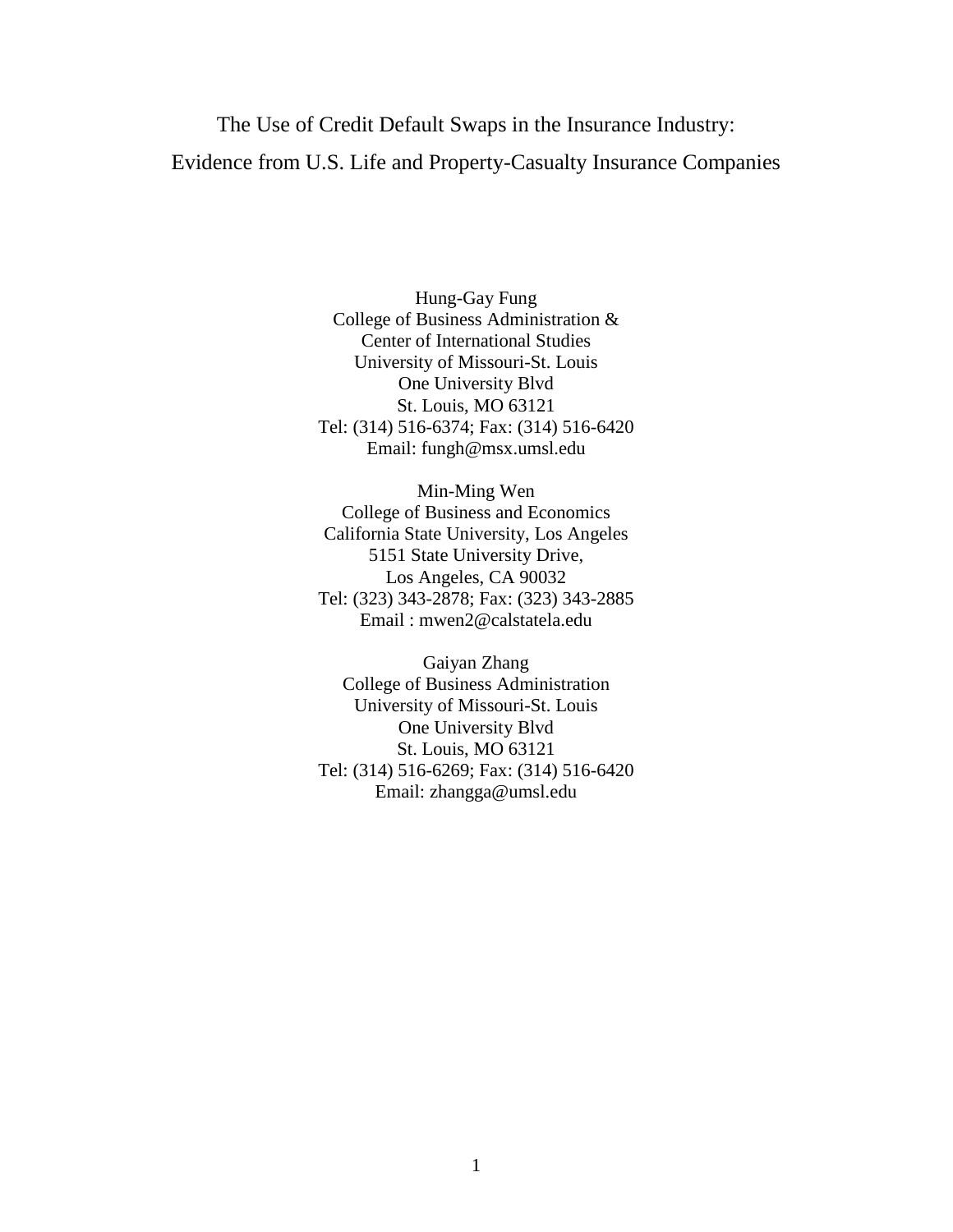The Use of Credit Default Swaps in the Insurance Industry: Evidence from U.S. Life and Property-Casualty Insurance Companies

> Hung-Gay Fung College of Business Administration & Center of International Studies University of Missouri-St. Louis One University Blvd St. Louis, MO 63121 Tel: (314) 516-6374; Fax: (314) 516-6420 Email: fungh@msx.umsl.edu

> Min-Ming Wen College of Business and Economics California State University, Los Angeles 5151 State University Drive, Los Angeles, CA 90032 Tel: (323) 343-2878; Fax: (323) 343-2885 Email : mwen2@calstatela.edu

> Gaiyan Zhang College of Business Administration University of Missouri-St. Louis One University Blvd St. Louis, MO 63121 Tel: (314) 516-6269; Fax: (314) 516-6420 Email: zhangga@umsl.edu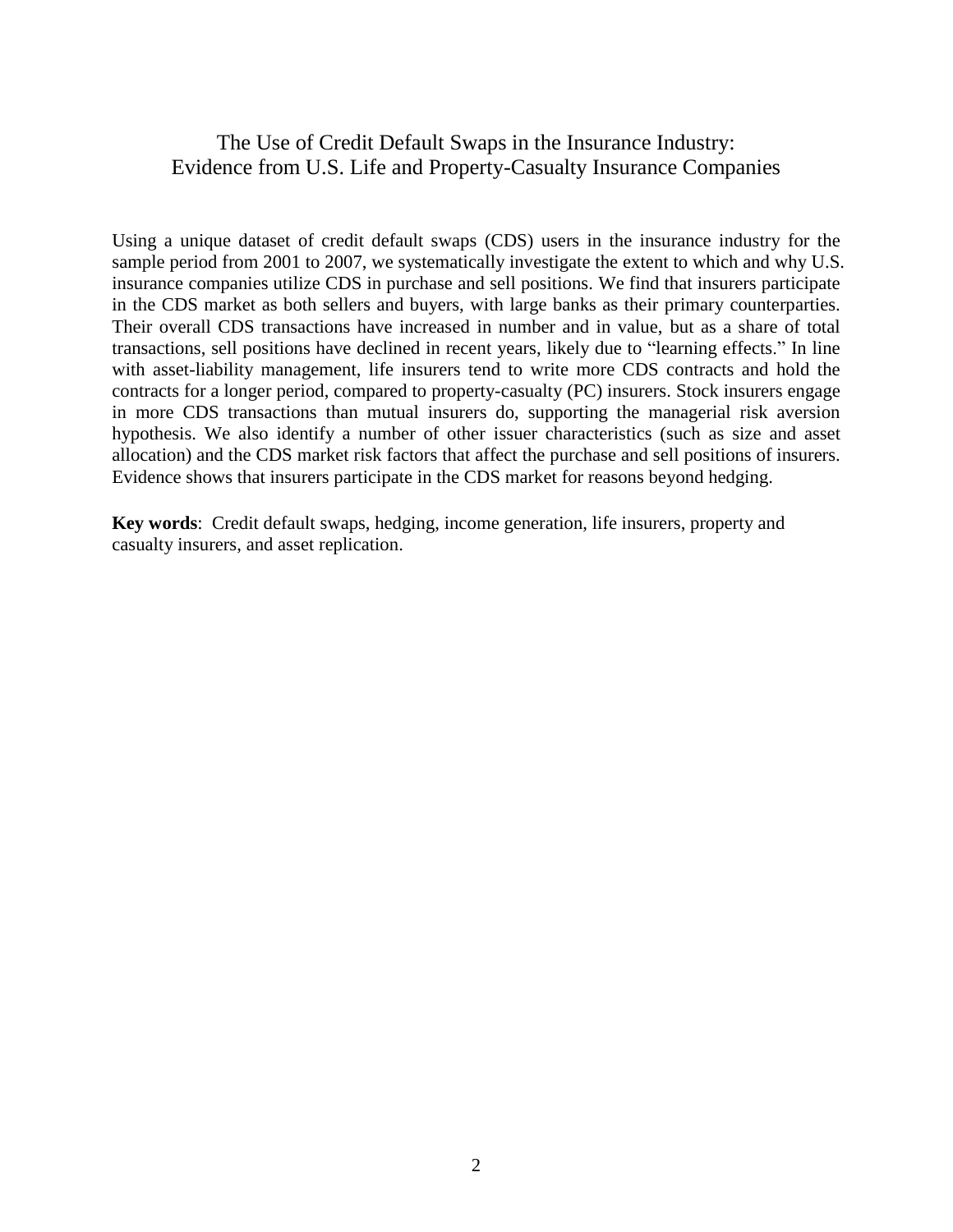# The Use of Credit Default Swaps in the Insurance Industry: Evidence from U.S. Life and Property-Casualty Insurance Companies

Using a unique dataset of credit default swaps (CDS) users in the insurance industry for the sample period from 2001 to 2007, we systematically investigate the extent to which and why U.S. insurance companies utilize CDS in purchase and sell positions. We find that insurers participate in the CDS market as both sellers and buyers, with large banks as their primary counterparties. Their overall CDS transactions have increased in number and in value, but as a share of total transactions, sell positions have declined in recent years, likely due to "learning effects." In line with asset-liability management, life insurers tend to write more CDS contracts and hold the contracts for a longer period, compared to property-casualty (PC) insurers. Stock insurers engage in more CDS transactions than mutual insurers do, supporting the managerial risk aversion hypothesis. We also identify a number of other issuer characteristics (such as size and asset allocation) and the CDS market risk factors that affect the purchase and sell positions of insurers. Evidence shows that insurers participate in the CDS market for reasons beyond hedging.

**Key words**: Credit default swaps, hedging, income generation, life insurers, property and casualty insurers, and asset replication.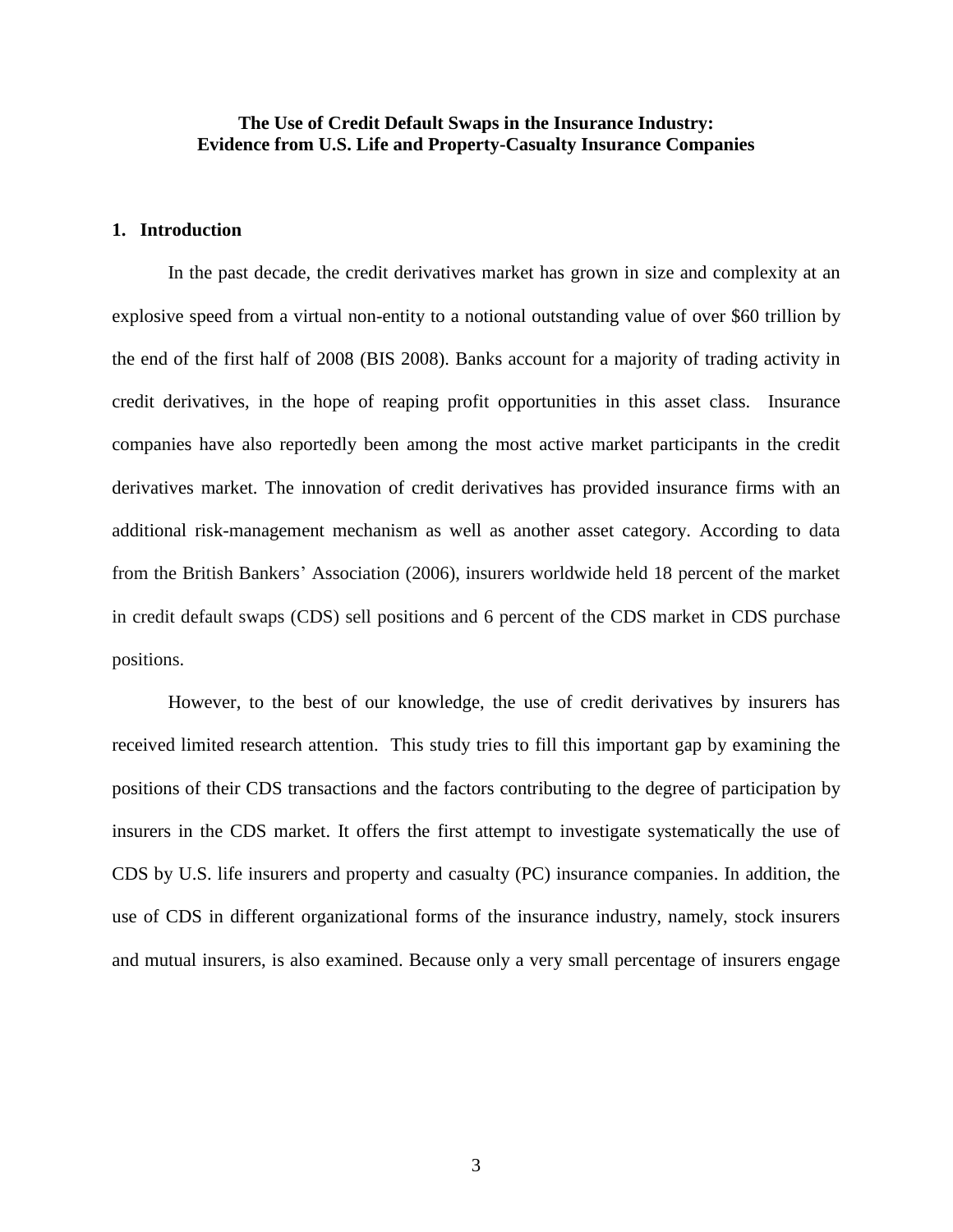## **The Use of Credit Default Swaps in the Insurance Industry: Evidence from U.S. Life and Property-Casualty Insurance Companies**

## **1. Introduction**

In the past decade, the credit derivatives market has grown in size and complexity at an explosive speed from a virtual non-entity to a notional outstanding value of over \$60 trillion by the end of the first half of 2008 (BIS 2008). Banks account for a majority of trading activity in credit derivatives, in the hope of reaping profit opportunities in this asset class. Insurance companies have also reportedly been among the most active market participants in the credit derivatives market. The innovation of credit derivatives has provided insurance firms with an additional risk-management mechanism as well as another asset category. According to data from the British Bankers' Association (2006), insurers worldwide held 18 percent of the market in credit default swaps (CDS) sell positions and 6 percent of the CDS market in CDS purchase positions.

However, to the best of our knowledge, the use of credit derivatives by insurers has received limited research attention. This study tries to fill this important gap by examining the positions of their CDS transactions and the factors contributing to the degree of participation by insurers in the CDS market. It offers the first attempt to investigate systematically the use of CDS by U.S. life insurers and property and casualty (PC) insurance companies. In addition, the use of CDS in different organizational forms of the insurance industry, namely, stock insurers and mutual insurers, is also examined. Because only a very small percentage of insurers engage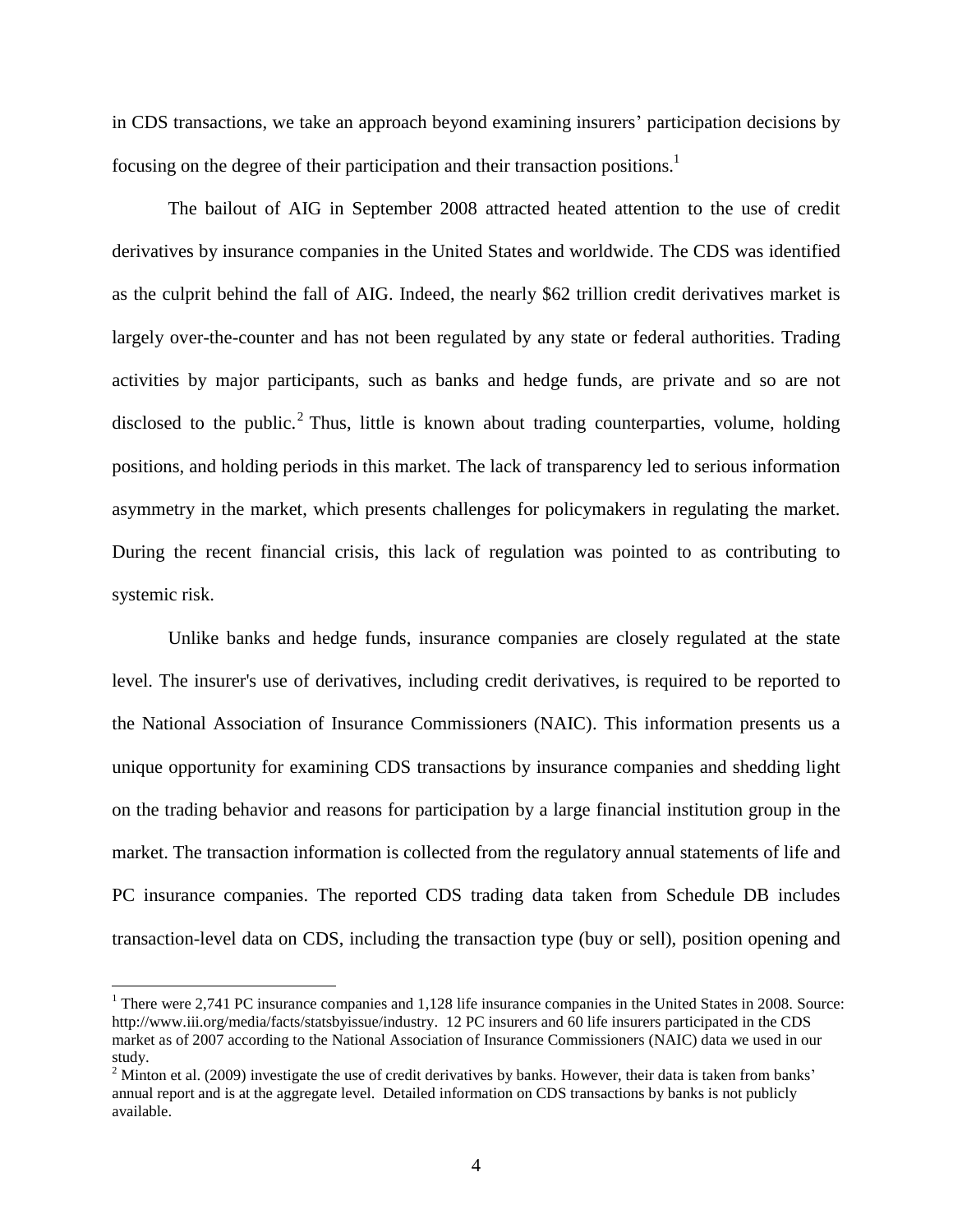in CDS transactions, we take an approach beyond examining insurers' participation decisions by focusing on the degree of their participation and their transaction positions.<sup>1</sup>

The bailout of AIG in September 2008 attracted heated attention to the use of credit derivatives by insurance companies in the United States and worldwide. The CDS was identified as the culprit behind the fall of AIG. Indeed, the nearly \$62 trillion credit derivatives market is largely over-the-counter and has not been regulated by any state or federal authorities. Trading activities by major participants, such as banks and hedge funds, are private and so are not disclosed to the public.<sup>2</sup> Thus, little is known about trading counterparties, volume, holding positions, and holding periods in this market. The lack of transparency led to serious information asymmetry in the market, which presents challenges for policymakers in regulating the market. During the recent financial crisis, this lack of regulation was pointed to as contributing to systemic risk.

Unlike banks and hedge funds, insurance companies are closely regulated at the state level. The insurer's use of derivatives, including credit derivatives, is required to be reported to the National Association of Insurance Commissioners (NAIC). This information presents us a unique opportunity for examining CDS transactions by insurance companies and shedding light on the trading behavior and reasons for participation by a large financial institution group in the market. The transaction information is collected from the regulatory annual statements of life and PC insurance companies. The reported CDS trading data taken from Schedule DB includes transaction-level data on CDS, including the transaction type (buy or sell), position opening and

<sup>&</sup>lt;sup>1</sup> There were 2,741 PC insurance companies and 1,128 life insurance companies in the United States in 2008. Source: [http://www.iii.org/media/facts/statsbyissue/industry.](http://www.iii.org/media/facts/statsbyissue/industry) 12 PC insurers and 60 life insurers participated in the CDS market as of 2007 according to the National Association of Insurance Commissioners (NAIC) data we used in our study.

 $2$  Minton et al. (2009) investigate the use of credit derivatives by banks. However, their data is taken from banks' annual report and is at the aggregate level. Detailed information on CDS transactions by banks is not publicly available.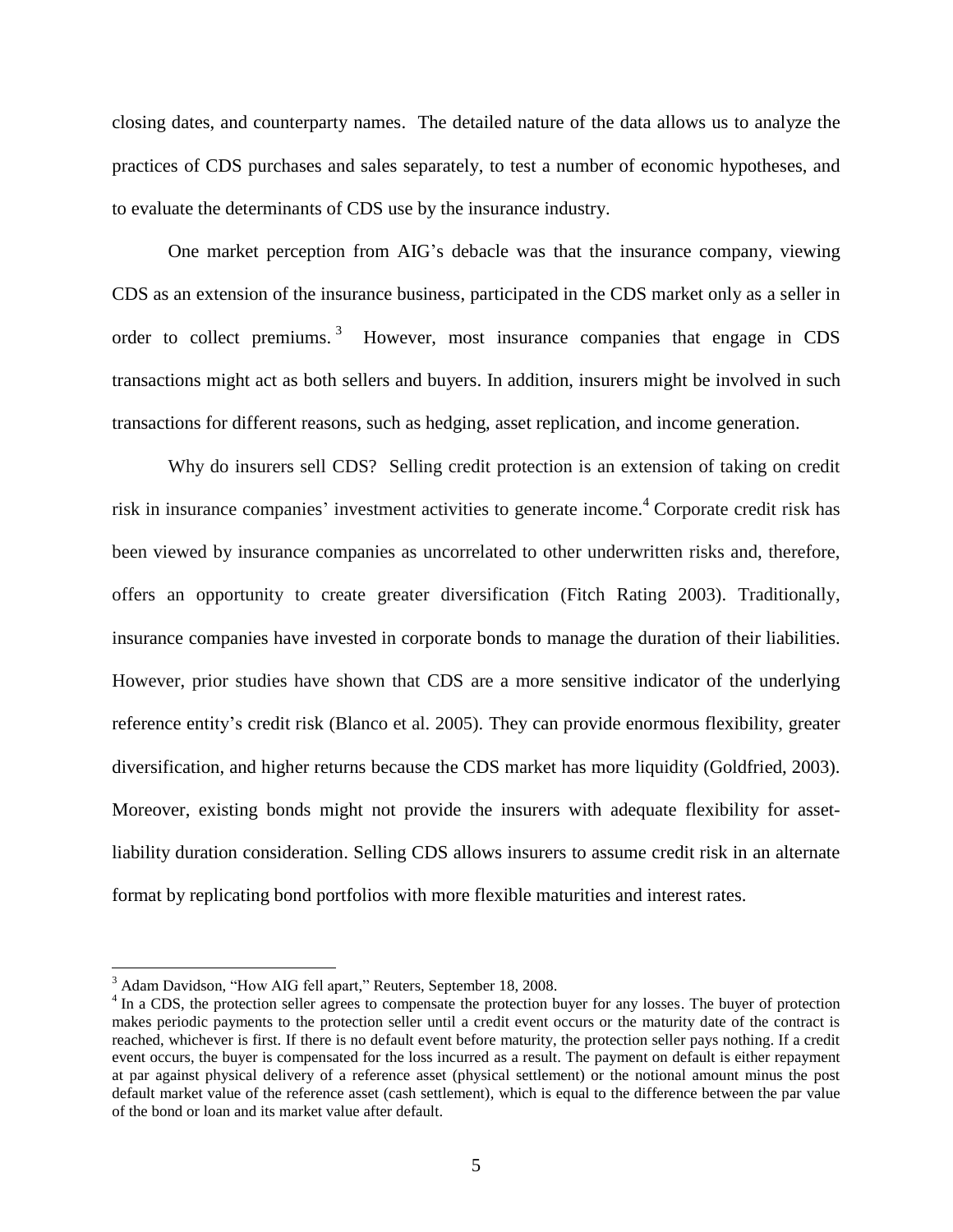closing dates, and counterparty names. The detailed nature of the data allows us to analyze the practices of CDS purchases and sales separately, to test a number of economic hypotheses, and to evaluate the determinants of CDS use by the insurance industry.

One market perception from AIG's debacle was that the insurance company, viewing CDS as an extension of the insurance business, participated in the CDS market only as a seller in order to collect premiums.<sup>3</sup> However, most insurance companies that engage in CDS transactions might act as both sellers and buyers. In addition, insurers might be involved in such transactions for different reasons, such as hedging, asset replication, and income generation.

Why do insurers sell CDS? Selling credit protection is an extension of taking on credit risk in insurance companies' investment activities to generate income. <sup>4</sup> Corporate credit risk has been viewed by insurance companies as uncorrelated to other underwritten risks and, therefore, offers an opportunity to create greater diversification (Fitch Rating 2003). Traditionally, insurance companies have invested in corporate bonds to manage the duration of their liabilities. However, prior studies have shown that CDS are a more sensitive indicator of the underlying reference entity's credit risk (Blanco et al. 2005). They can provide enormous flexibility, greater diversification, and higher returns because the CDS market has more liquidity (Goldfried, 2003). Moreover, existing bonds might not provide the insurers with adequate flexibility for assetliability duration consideration. Selling CDS allows insurers to assume credit risk in an alternate format by replicating bond portfolios with more flexible maturities and interest rates.

<sup>&</sup>lt;sup>3</sup> Adam Davidson, "How AIG fell apart," Reuters, September 18, 2008.

<sup>&</sup>lt;sup>4</sup> In a CDS, the protection seller agrees to compensate the protection buyer for any losses. The buyer of protection makes periodic payments to the protection seller until a credit event occurs or the maturity date of the contract is reached, whichever is first. If there is no default event before maturity, the protection seller pays nothing. If a credit event occurs, the buyer is compensated for the loss incurred as a result. The payment on default is either repayment at par against physical delivery of a reference asset (physical settlement) or the notional amount minus the post default market value of the reference asset (cash settlement), which is equal to the difference between the par value of the bond or loan and its market value after default.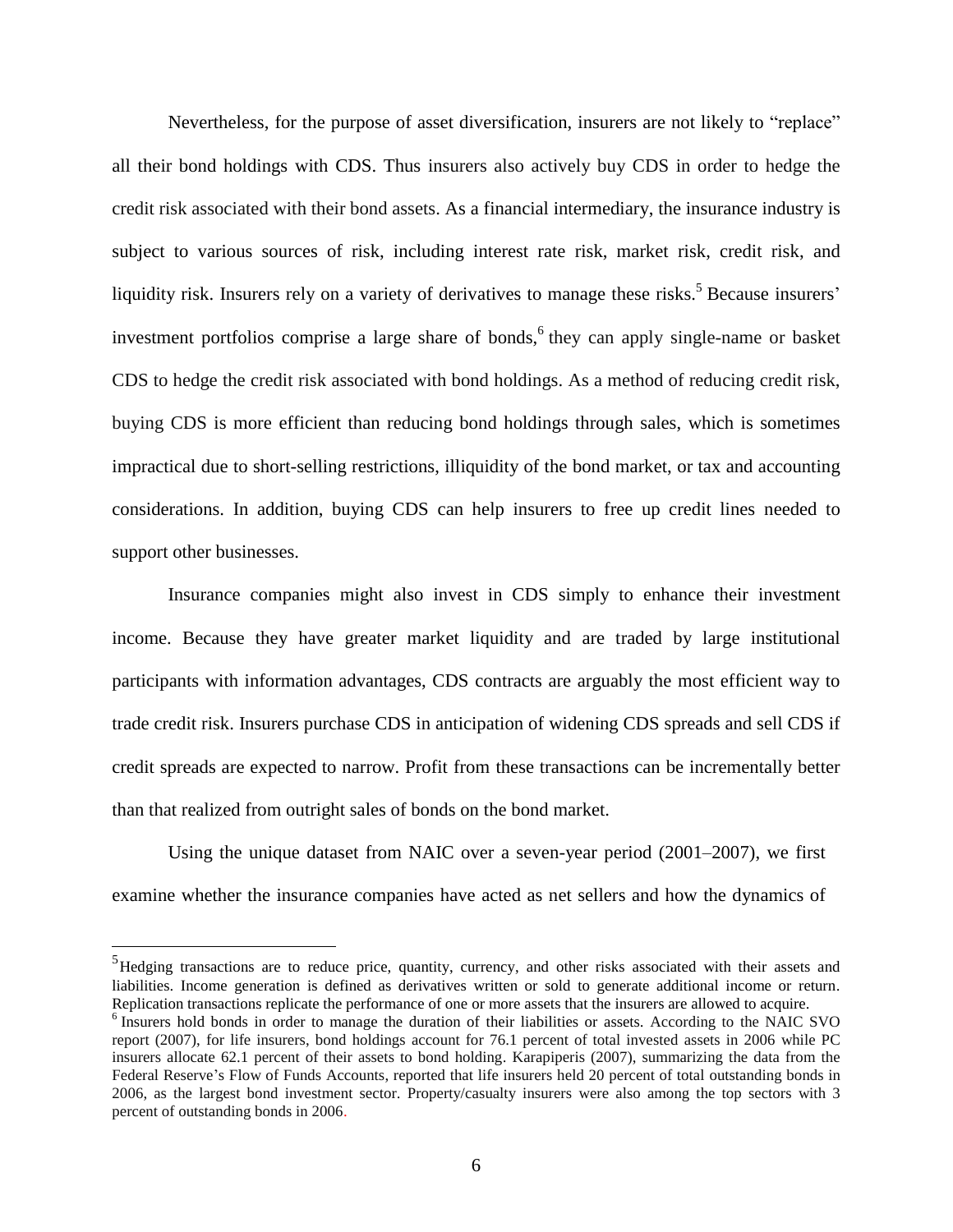Nevertheless, for the purpose of asset diversification, insurers are not likely to "replace" all their bond holdings with CDS. Thus insurers also actively buy CDS in order to hedge the credit risk associated with their bond assets. As a financial intermediary, the insurance industry is subject to various sources of risk, including interest rate risk, market risk, credit risk, and liquidity risk. Insurers rely on a variety of derivatives to manage these risks.<sup>5</sup> Because insurers' investment portfolios comprise a large share of bonds,<sup>6</sup> they can apply single-name or basket CDS to hedge the credit risk associated with bond holdings. As a method of reducing credit risk, buying CDS is more efficient than reducing bond holdings through sales, which is sometimes impractical due to short-selling restrictions, illiquidity of the bond market, or tax and accounting considerations. In addition, buying CDS can help insurers to free up credit lines needed to support other businesses.

Insurance companies might also invest in CDS simply to enhance their investment income. Because they have greater market liquidity and are traded by large institutional participants with information advantages, CDS contracts are arguably the most efficient way to trade credit risk. Insurers purchase CDS in anticipation of widening CDS spreads and sell CDS if credit spreads are expected to narrow. Profit from these transactions can be incrementally better than that realized from outright sales of bonds on the bond market.

Using the unique dataset from NAIC over a seven-year period (2001–2007), we first examine whether the insurance companies have acted as net sellers and how the dynamics of

<sup>5</sup>Hedging transactions are to reduce price, quantity, currency, and other risks associated with their assets and liabilities. Income generation is defined as derivatives written or sold to generate additional income or return. Replication transactions replicate the performance of one or more assets that the insurers are allowed to acquire.

<sup>&</sup>lt;sup>6</sup> Insurers hold bonds in order to manage the duration of their liabilities or assets. According to the NAIC SVO report (2007), for life insurers, bond holdings account for 76.1 percent of total invested assets in 2006 while PC insurers allocate 62.1 percent of their assets to bond holding. Karapiperis (2007), summarizing the data from the Federal Reserve's Flow of Funds Accounts, reported that life insurers held 20 percent of total outstanding bonds in 2006, as the largest bond investment sector. Property/casualty insurers were also among the top sectors with 3 percent of outstanding bonds in 2006.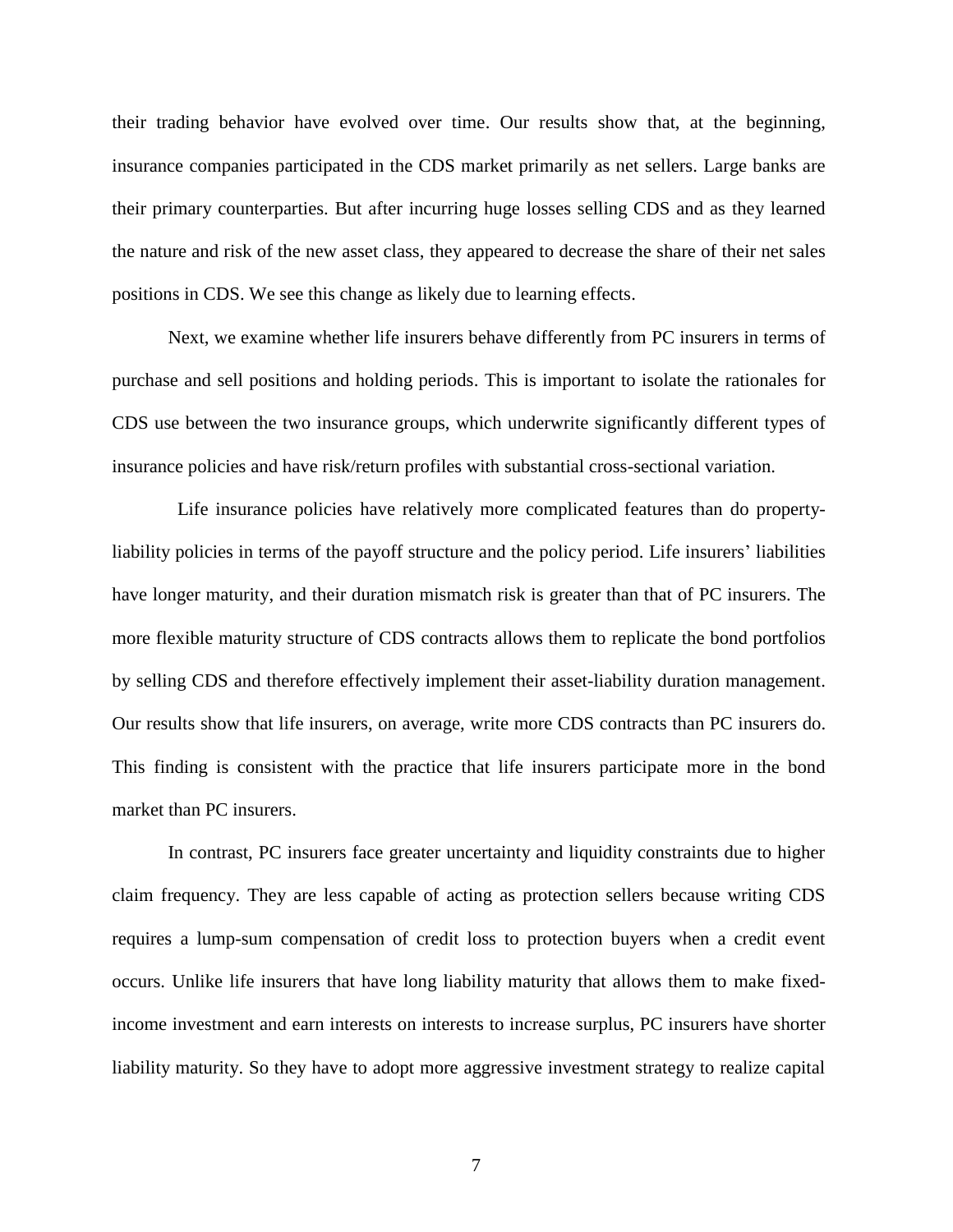their trading behavior have evolved over time. Our results show that, at the beginning, insurance companies participated in the CDS market primarily as net sellers. Large banks are their primary counterparties. But after incurring huge losses selling CDS and as they learned the nature and risk of the new asset class, they appeared to decrease the share of their net sales positions in CDS. We see this change as likely due to learning effects.

Next, we examine whether life insurers behave differently from PC insurers in terms of purchase and sell positions and holding periods. This is important to isolate the rationales for CDS use between the two insurance groups, which underwrite significantly different types of insurance policies and have risk/return profiles with substantial cross-sectional variation.

Life insurance policies have relatively more complicated features than do propertyliability policies in terms of the payoff structure and the policy period. Life insurers' liabilities have longer maturity, and their duration mismatch risk is greater than that of PC insurers. The more flexible maturity structure of CDS contracts allows them to replicate the bond portfolios by selling CDS and therefore effectively implement their asset-liability duration management. Our results show that life insurers, on average, write more CDS contracts than PC insurers do. This finding is consistent with the practice that life insurers participate more in the bond market than PC insurers.

In contrast, PC insurers face greater uncertainty and liquidity constraints due to higher claim frequency. They are less capable of acting as protection sellers because writing CDS requires a lump-sum compensation of credit loss to protection buyers when a credit event occurs. Unlike life insurers that have long liability maturity that allows them to make fixedincome investment and earn interests on interests to increase surplus, PC insurers have shorter liability maturity. So they have to adopt more aggressive investment strategy to realize capital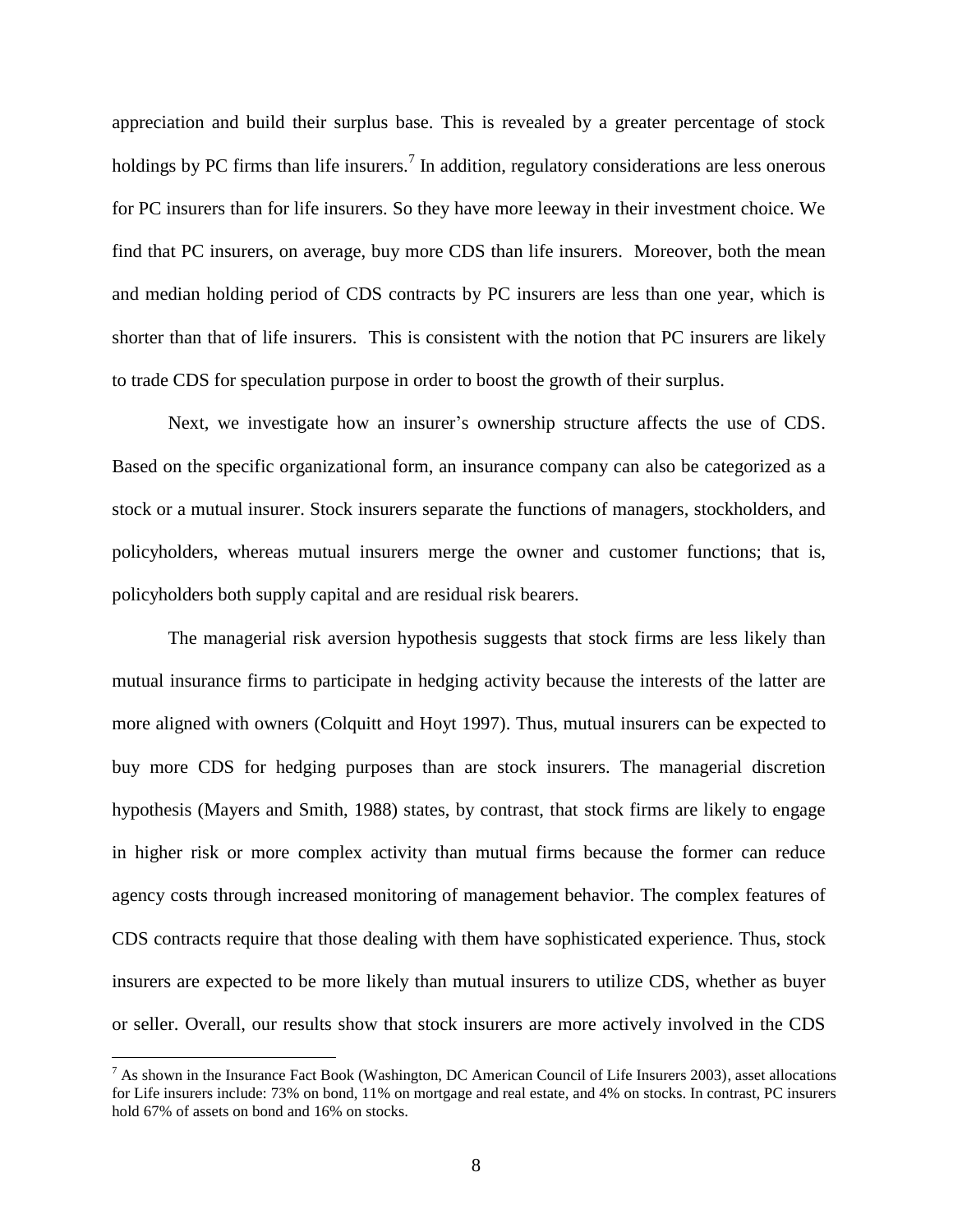appreciation and build their surplus base. This is revealed by a greater percentage of stock holdings by PC firms than life insurers.<sup>7</sup> In addition, regulatory considerations are less onerous for PC insurers than for life insurers. So they have more leeway in their investment choice. We find that PC insurers, on average, buy more CDS than life insurers. Moreover, both the mean and median holding period of CDS contracts by PC insurers are less than one year, which is shorter than that of life insurers. This is consistent with the notion that PC insurers are likely to trade CDS for speculation purpose in order to boost the growth of their surplus.

Next, we investigate how an insurer's ownership structure affects the use of CDS. Based on the specific organizational form, an insurance company can also be categorized as a stock or a mutual insurer. Stock insurers separate the functions of managers, stockholders, and policyholders, whereas mutual insurers merge the owner and customer functions; that is, policyholders both supply capital and are residual risk bearers.

The managerial risk aversion hypothesis suggests that stock firms are less likely than mutual insurance firms to participate in hedging activity because the interests of the latter are more aligned with owners (Colquitt and Hoyt 1997). Thus, mutual insurers can be expected to buy more CDS for hedging purposes than are stock insurers. The managerial discretion hypothesis (Mayers and Smith, 1988) states, by contrast, that stock firms are likely to engage in higher risk or more complex activity than mutual firms because the former can reduce agency costs through increased monitoring of management behavior. The complex features of CDS contracts require that those dealing with them have sophisticated experience. Thus, stock insurers are expected to be more likely than mutual insurers to utilize CDS, whether as buyer or seller. Overall, our results show that stock insurers are more actively involved in the CDS

 $^7$  As shown in the Insurance Fact Book (Washington, DC American Council of Life Insurers 2003), asset allocations for Life insurers include: 73% on bond, 11% on mortgage and real estate, and 4% on stocks. In contrast, PC insurers hold 67% of assets on bond and 16% on stocks.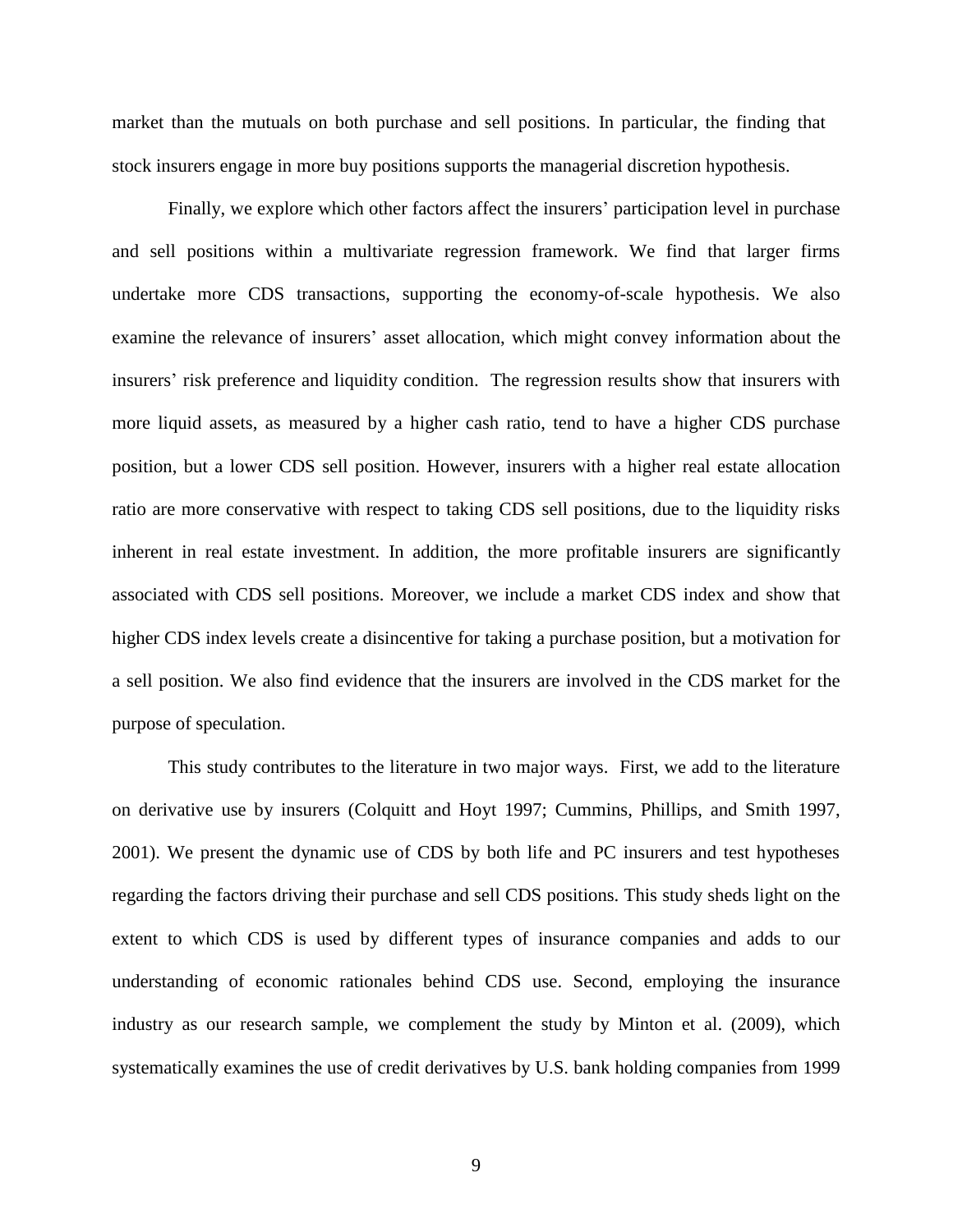market than the mutuals on both purchase and sell positions. In particular, the finding that stock insurers engage in more buy positions supports the managerial discretion hypothesis.

Finally, we explore which other factors affect the insurers' participation level in purchase and sell positions within a multivariate regression framework. We find that larger firms undertake more CDS transactions, supporting the economy-of-scale hypothesis. We also examine the relevance of insurers' asset allocation, which might convey information about the insurers' risk preference and liquidity condition. The regression results show that insurers with more liquid assets, as measured by a higher cash ratio, tend to have a higher CDS purchase position, but a lower CDS sell position. However, insurers with a higher real estate allocation ratio are more conservative with respect to taking CDS sell positions, due to the liquidity risks inherent in real estate investment. In addition, the more profitable insurers are significantly associated with CDS sell positions. Moreover, we include a market CDS index and show that higher CDS index levels create a disincentive for taking a purchase position, but a motivation for a sell position. We also find evidence that the insurers are involved in the CDS market for the purpose of speculation.

This study contributes to the literature in two major ways. First, we add to the literature on derivative use by insurers (Colquitt and Hoyt 1997; Cummins, Phillips, and Smith 1997, 2001). We present the dynamic use of CDS by both life and PC insurers and test hypotheses regarding the factors driving their purchase and sell CDS positions. This study sheds light on the extent to which CDS is used by different types of insurance companies and adds to our understanding of economic rationales behind CDS use. Second, employing the insurance industry as our research sample, we complement the study by Minton et al. (2009), which systematically examines the use of credit derivatives by U.S. bank holding companies from 1999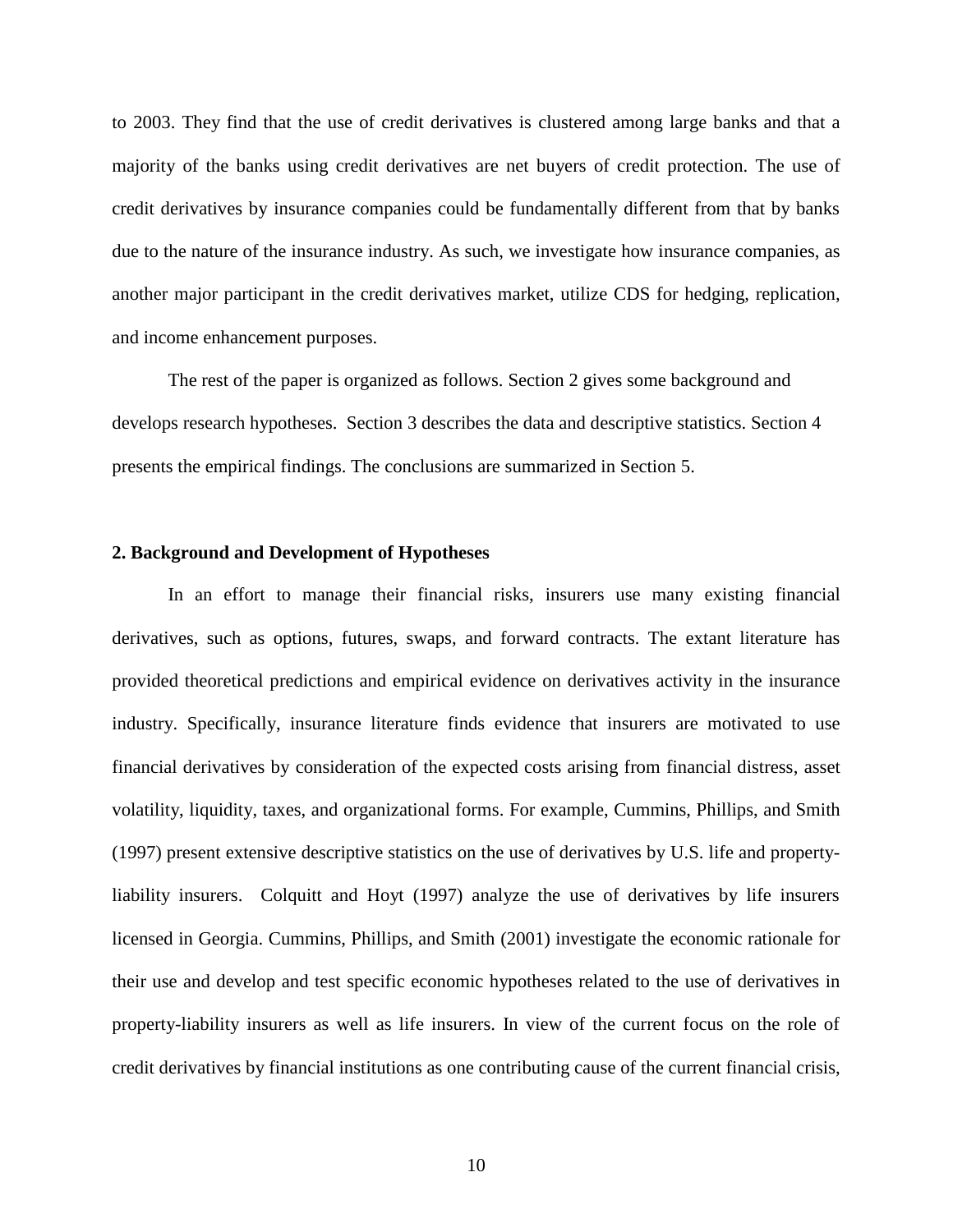to 2003. They find that the use of credit derivatives is clustered among large banks and that a majority of the banks using credit derivatives are net buyers of credit protection. The use of credit derivatives by insurance companies could be fundamentally different from that by banks due to the nature of the insurance industry. As such, we investigate how insurance companies, as another major participant in the credit derivatives market, utilize CDS for hedging, replication, and income enhancement purposes.

The rest of the paper is organized as follows. Section 2 gives some background and develops research hypotheses. Section 3 describes the data and descriptive statistics. Section 4 presents the empirical findings. The conclusions are summarized in Section 5.

## **2. Background and Development of Hypotheses**

In an effort to manage their financial risks, insurers use many existing financial derivatives, such as options, futures, swaps, and forward contracts. The extant literature has provided theoretical predictions and empirical evidence on derivatives activity in the insurance industry. Specifically, insurance literature finds evidence that insurers are motivated to use financial derivatives by consideration of the expected costs arising from financial distress, asset volatility, liquidity, taxes, and organizational forms. For example, Cummins, Phillips, and Smith (1997) present extensive descriptive statistics on the use of derivatives by U.S. life and propertyliability insurers. Colquitt and Hoyt (1997) analyze the use of derivatives by life insurers licensed in Georgia. Cummins, Phillips, and Smith (2001) investigate the economic rationale for their use and develop and test specific economic hypotheses related to the use of derivatives in property-liability insurers as well as life insurers. In view of the current focus on the role of credit derivatives by financial institutions as one contributing cause of the current financial crisis,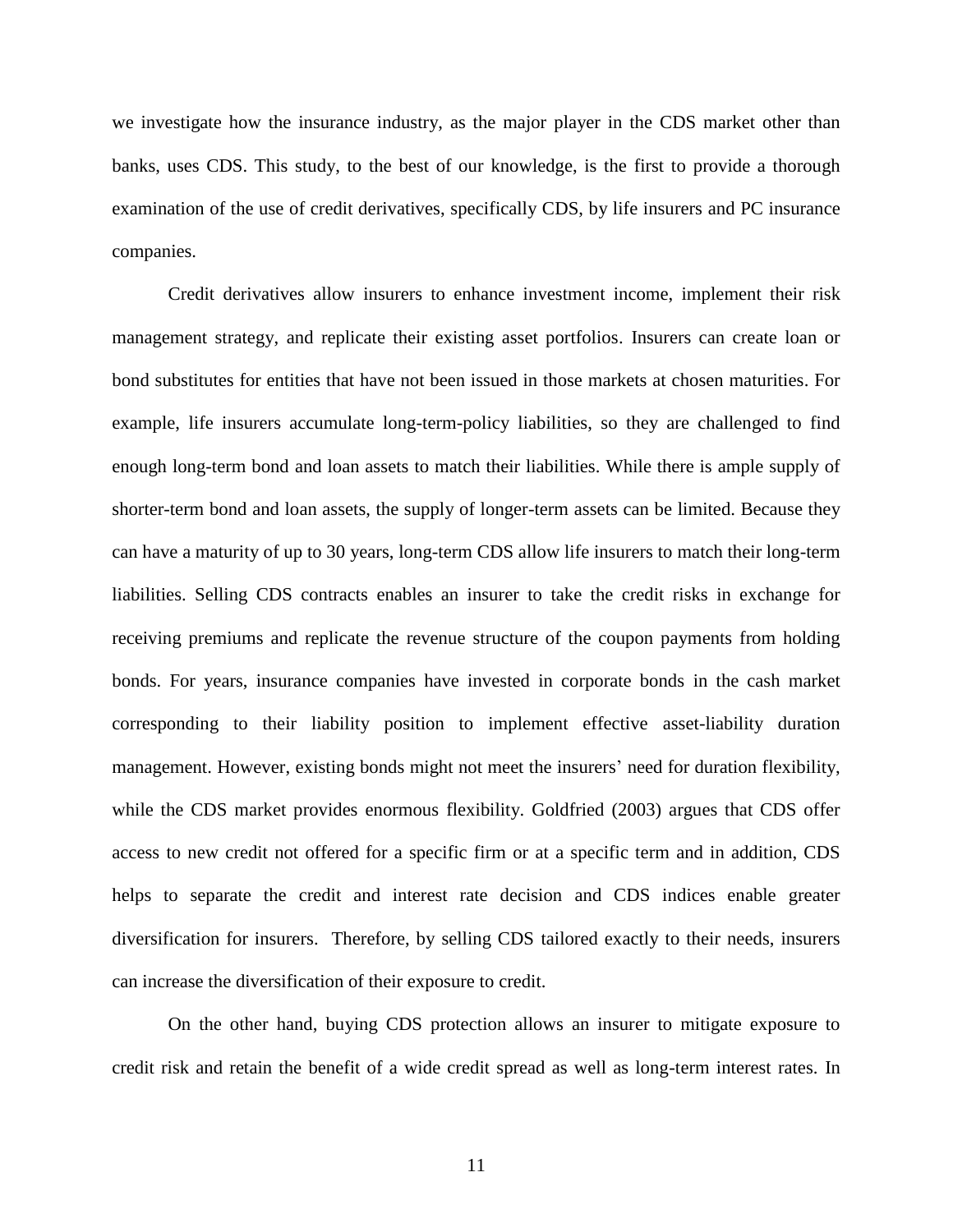we investigate how the insurance industry, as the major player in the CDS market other than banks, uses CDS. This study, to the best of our knowledge, is the first to provide a thorough examination of the use of credit derivatives, specifically CDS, by life insurers and PC insurance companies.

Credit derivatives allow insurers to enhance investment income, implement their risk management strategy, and replicate their existing asset portfolios. Insurers can create loan or bond substitutes for entities that have not been issued in those markets at chosen maturities. For example, life insurers accumulate long-term-policy liabilities, so they are challenged to find enough long-term bond and loan assets to match their liabilities. While there is ample supply of shorter-term bond and loan assets, the supply of longer-term assets can be limited. Because they can have a maturity of up to 30 years, long-term CDS allow life insurers to match their long-term liabilities. Selling CDS contracts enables an insurer to take the credit risks in exchange for receiving premiums and replicate the revenue structure of the coupon payments from holding bonds. For years, insurance companies have invested in corporate bonds in the cash market corresponding to their liability position to implement effective asset-liability duration management. However, existing bonds might not meet the insurers' need for duration flexibility, while the CDS market provides enormous flexibility. Goldfried (2003) argues that CDS offer access to new credit not offered for a specific firm or at a specific term and in addition, CDS helps to separate the credit and interest rate decision and CDS indices enable greater diversification for insurers. Therefore, by selling CDS tailored exactly to their needs, insurers can increase the diversification of their exposure to credit.

On the other hand, buying CDS protection allows an insurer to mitigate exposure to credit risk and retain the benefit of a wide credit spread as well as long-term interest rates. In

11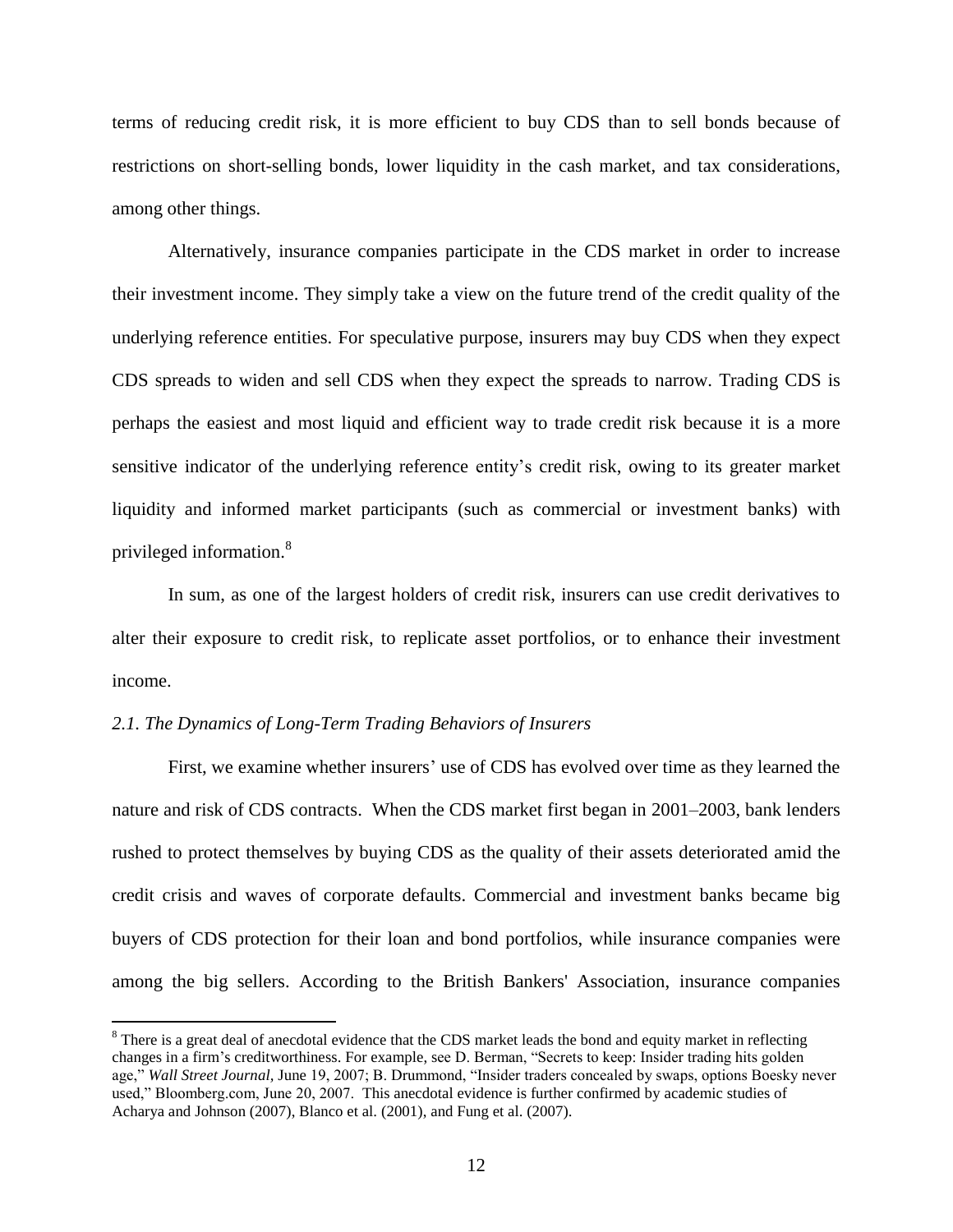terms of reducing credit risk, it is more efficient to buy CDS than to sell bonds because of restrictions on short-selling bonds, lower liquidity in the cash market, and tax considerations, among other things.

Alternatively, insurance companies participate in the CDS market in order to increase their investment income. They simply take a view on the future trend of the credit quality of the underlying reference entities. For speculative purpose, insurers may buy CDS when they expect CDS spreads to widen and sell CDS when they expect the spreads to narrow. Trading CDS is perhaps the easiest and most liquid and efficient way to trade credit risk because it is a more sensitive indicator of the underlying reference entity's credit risk, owing to its greater market liquidity and informed market participants (such as commercial or investment banks) with privileged information. 8

In sum, as one of the largest holders of credit risk, insurers can use credit derivatives to alter their exposure to credit risk, to replicate asset portfolios, or to enhance their investment income.

## *2.1. The Dynamics of Long-Term Trading Behaviors of Insurers*

 $\overline{a}$ 

First, we examine whether insurers' use of CDS has evolved over time as they learned the nature and risk of CDS contracts. When the CDS market first began in 2001–2003, bank lenders rushed to protect themselves by buying CDS as the quality of their assets deteriorated amid the credit crisis and waves of corporate defaults. Commercial and investment banks became big buyers of CDS protection for their loan and bond portfolios, while insurance companies were among the big sellers. According to the British Bankers' Association, insurance companies

 $8$  There is a great deal of anecdotal evidence that the CDS market leads the bond and equity market in reflecting changes in a firm's creditworthiness. For example, see D. Berman, "Secrets to keep: Insider trading hits golden age," Wall Street Journal, June 19, 2007; B. Drummond, "Insider traders concealed by swaps, options Boesky never used," Bloomberg.com, June 20, 2007. This anecdotal evidence is further confirmed by academic studies of Acharya and Johnson (2007), Blanco et al. (2001), and Fung et al. (2007).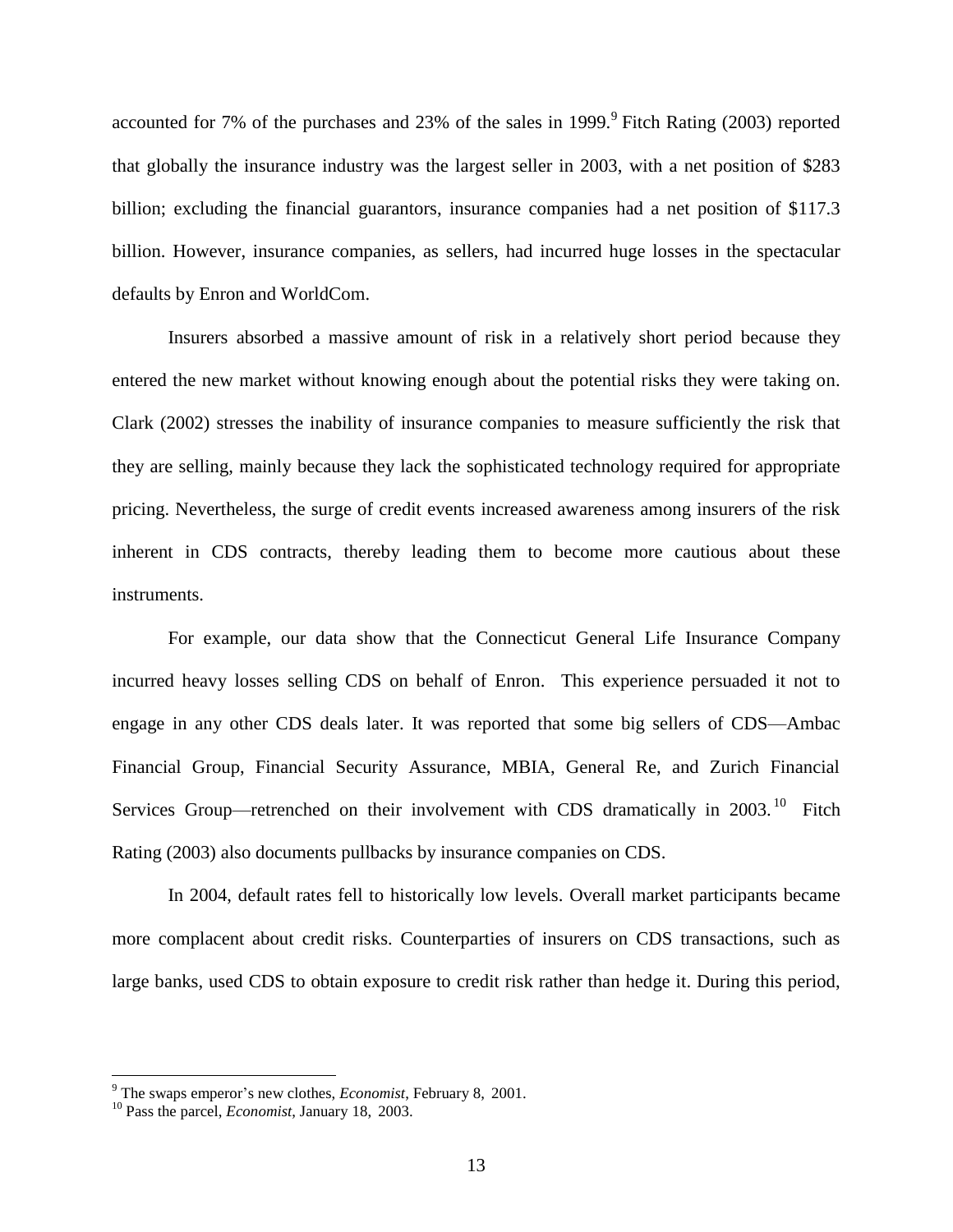accounted for 7% of the purchases and 23% of the sales in 1999. $9$  Fitch Rating (2003) reported that globally the insurance industry was the largest seller in 2003, with a net position of \$283 billion; excluding the financial guarantors, insurance companies had a net position of \$117.3 billion. However, insurance companies, as sellers, had incurred huge losses in the spectacular defaults by Enron and WorldCom.

Insurers absorbed a massive amount of risk in a relatively short period because they entered the new market without knowing enough about the potential risks they were taking on. Clark (2002) stresses the inability of insurance companies to measure sufficiently the risk that they are selling, mainly because they lack the sophisticated technology required for appropriate pricing. Nevertheless, the surge of credit events increased awareness among insurers of the risk inherent in CDS contracts, thereby leading them to become more cautious about these instruments.

For example, our data show that the Connecticut General Life Insurance Company incurred heavy losses selling CDS on behalf of Enron. This experience persuaded it not to engage in any other CDS deals later. It was reported that some big sellers of CDS—Ambac Financial Group, Financial Security Assurance, MBIA, General Re, and Zurich Financial Services Group—retrenched on their involvement with CDS dramatically in  $2003$ .<sup>10</sup> Fitch Rating (2003) also documents pullbacks by insurance companies on CDS.

In 2004, default rates fell to historically low levels. Overall market participants became more complacent about credit risks. Counterparties of insurers on CDS transactions, such as large banks, used CDS to obtain exposure to credit risk rather than hedge it. During this period,

<sup>9</sup> The swaps emperor's new clothes, *Economist*, February 8, 2001.

<sup>10</sup> Pass the parcel, *Economist*, January 18, 2003.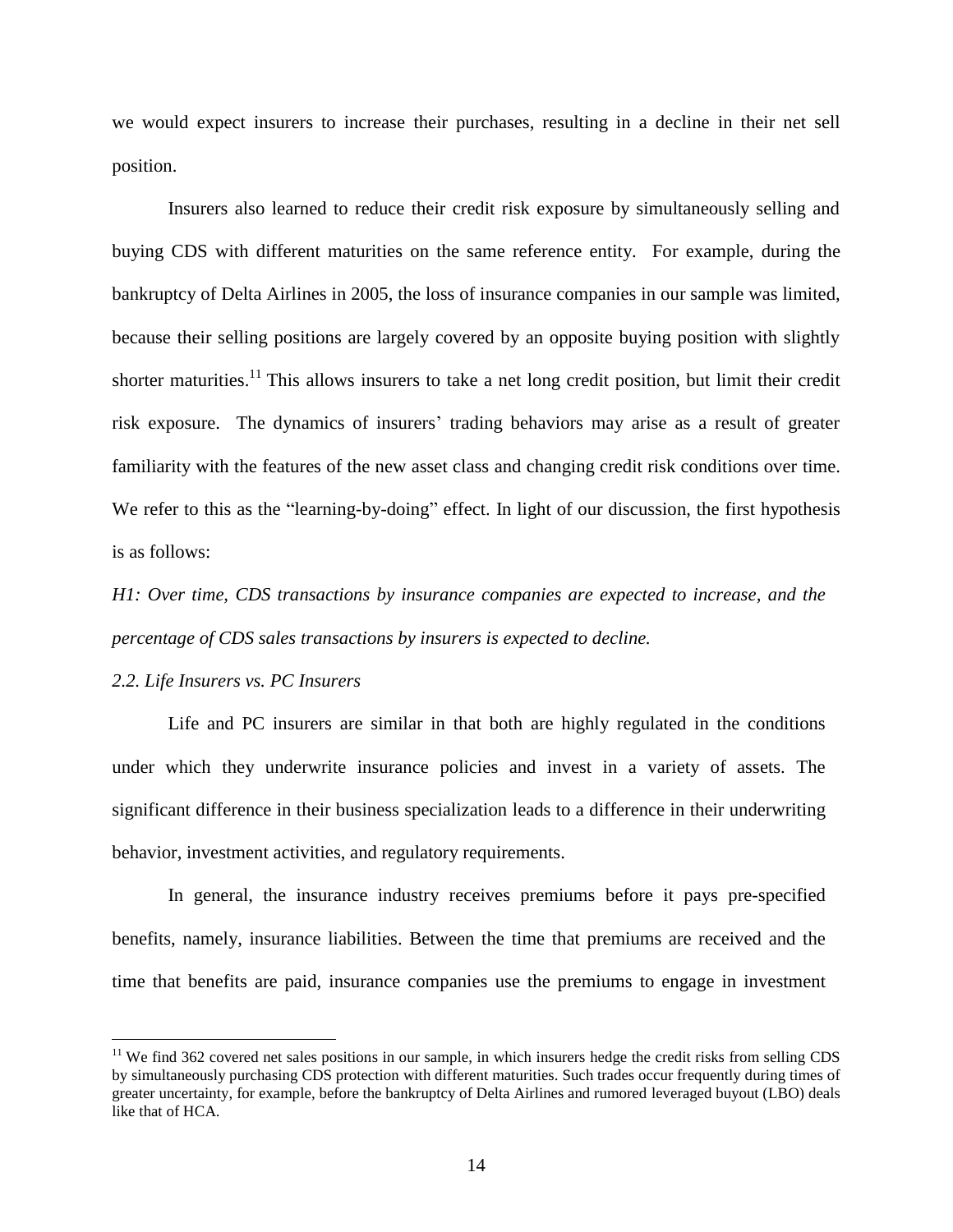we would expect insurers to increase their purchases, resulting in a decline in their net sell position.

Insurers also learned to reduce their credit risk exposure by simultaneously selling and buying CDS with different maturities on the same reference entity. For example, during the bankruptcy of Delta Airlines in 2005, the loss of insurance companies in our sample was limited, because their selling positions are largely covered by an opposite buying position with slightly shorter maturities.<sup>11</sup> This allows insurers to take a net long credit position, but limit their credit risk exposure. The dynamics of insurers' trading behaviors may arise as a result of greater familiarity with the features of the new asset class and changing credit risk conditions over time. We refer to this as the "learning-by-doing" effect. In light of our discussion, the first hypothesis is as follows:

*H1: Over time, CDS transactions by insurance companies are expected to increase, and the percentage of CDS sales transactions by insurers is expected to decline.* 

## *2.2. Life Insurers vs. PC Insurers*

 $\overline{a}$ 

Life and PC insurers are similar in that both are highly regulated in the conditions under which they underwrite insurance policies and invest in a variety of assets. The significant difference in their business specialization leads to a difference in their underwriting behavior, investment activities, and regulatory requirements.

In general, the insurance industry receives premiums before it pays pre-specified benefits, namely, insurance liabilities. Between the time that premiums are received and the time that benefits are paid, insurance companies use the premiums to engage in investment

 $11$  We find 362 covered net sales positions in our sample, in which insurers hedge the credit risks from selling CDS by simultaneously purchasing CDS protection with different maturities. Such trades occur frequently during times of greater uncertainty, for example, before the bankruptcy of Delta Airlines and rumored leveraged buyout (LBO) deals like that of HCA.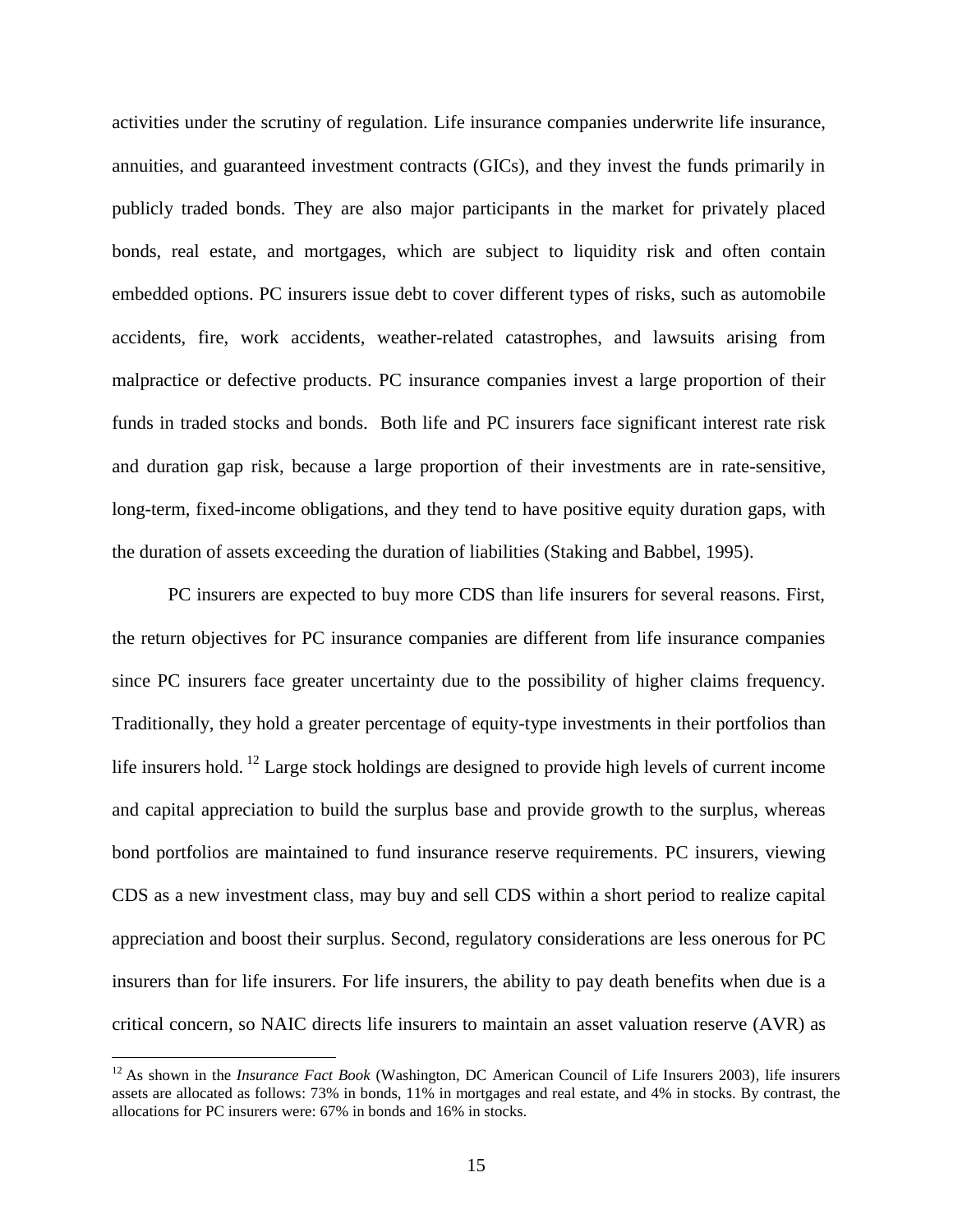activities under the scrutiny of regulation. Life insurance companies underwrite life insurance, annuities, and guaranteed investment contracts (GICs), and they invest the funds primarily in publicly traded bonds. They are also major participants in the market for privately placed bonds, real estate, and mortgages, which are subject to liquidity risk and often contain embedded options. PC insurers issue debt to cover different types of risks, such as automobile accidents, fire, work accidents, weather-related catastrophes, and lawsuits arising from malpractice or defective products. PC insurance companies invest a large proportion of their funds in traded stocks and bonds. Both life and PC insurers face significant interest rate risk and duration gap risk, because a large proportion of their investments are in rate-sensitive, long-term, fixed-income obligations, and they tend to have positive equity duration gaps, with the duration of assets exceeding the duration of liabilities (Staking and Babbel, 1995).

PC insurers are expected to buy more CDS than life insurers for several reasons. First, the return objectives for PC insurance companies are different from life insurance companies since PC insurers face greater uncertainty due to the possibility of higher claims frequency. Traditionally, they hold a greater percentage of equity-type investments in their portfolios than life insurers hold. <sup>12</sup> Large stock holdings are designed to provide high levels of current income and capital appreciation to build the surplus base and provide growth to the surplus, whereas bond portfolios are maintained to fund insurance reserve requirements. PC insurers, viewing CDS as a new investment class, may buy and sell CDS within a short period to realize capital appreciation and boost their surplus. Second, regulatory considerations are less onerous for PC insurers than for life insurers. For life insurers, the ability to pay death benefits when due is a critical concern, so NAIC directs life insurers to maintain an asset valuation reserve (AVR) as

<sup>&</sup>lt;sup>12</sup> As shown in the *Insurance Fact Book* (Washington, DC American Council of Life Insurers 2003), life insurers assets are allocated as follows: 73% in bonds, 11% in mortgages and real estate, and 4% in stocks. By contrast, the allocations for PC insurers were: 67% in bonds and 16% in stocks.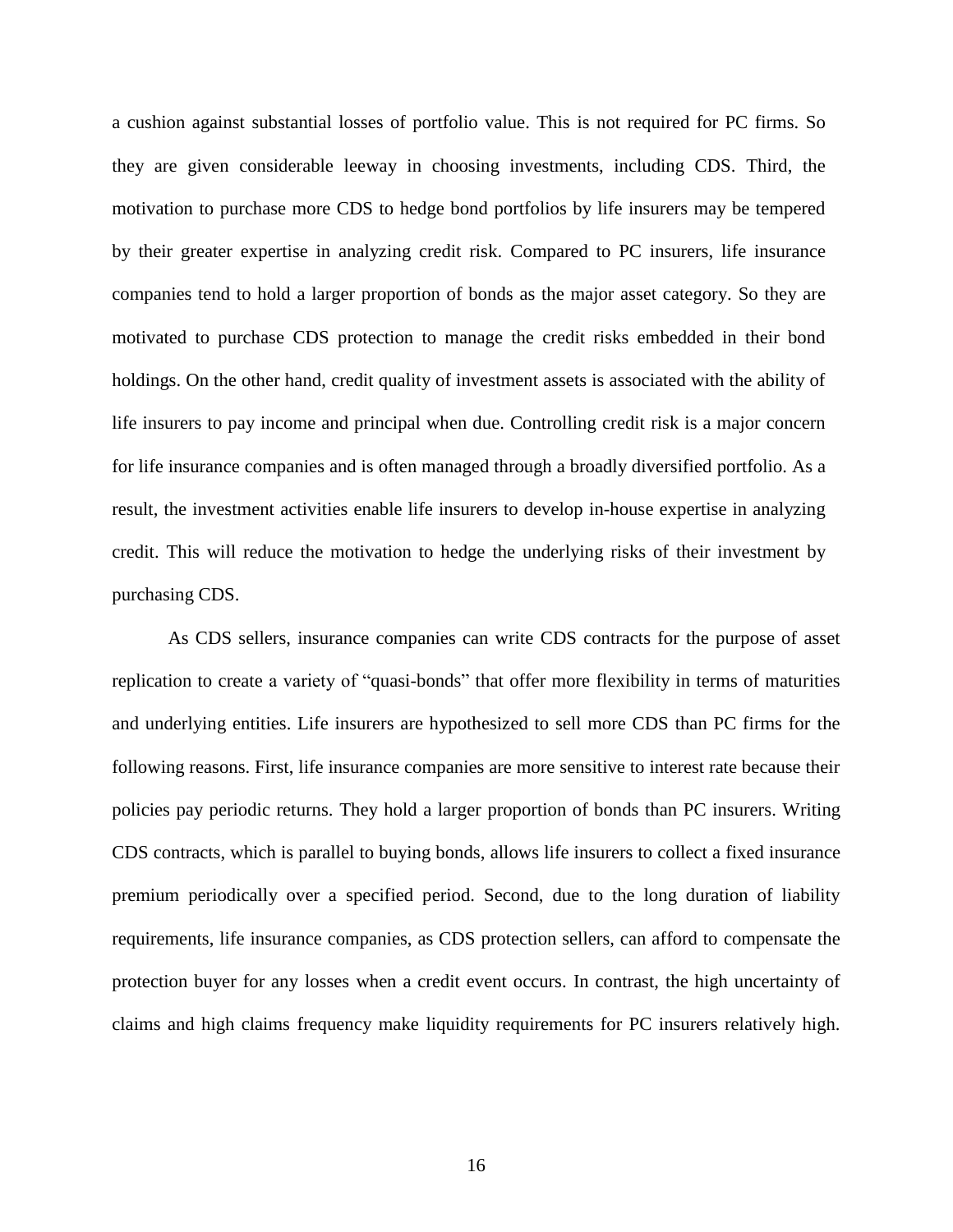a cushion against substantial losses of portfolio value. This is not required for PC firms. So they are given considerable leeway in choosing investments, including CDS. Third, the motivation to purchase more CDS to hedge bond portfolios by life insurers may be tempered by their greater expertise in analyzing credit risk. Compared to PC insurers, life insurance companies tend to hold a larger proportion of bonds as the major asset category. So they are motivated to purchase CDS protection to manage the credit risks embedded in their bond holdings. On the other hand, credit quality of investment assets is associated with the ability of life insurers to pay income and principal when due. Controlling credit risk is a major concern for life insurance companies and is often managed through a broadly diversified portfolio. As a result, the investment activities enable life insurers to develop in-house expertise in analyzing credit. This will reduce the motivation to hedge the underlying risks of their investment by purchasing CDS.

As CDS sellers, insurance companies can write CDS contracts for the purpose of asset replication to create a variety of "quasi-bonds" that offer more flexibility in terms of maturities and underlying entities. Life insurers are hypothesized to sell more CDS than PC firms for the following reasons. First, life insurance companies are more sensitive to interest rate because their policies pay periodic returns. They hold a larger proportion of bonds than PC insurers. Writing CDS contracts, which is parallel to buying bonds, allows life insurers to collect a fixed insurance premium periodically over a specified period. Second, due to the long duration of liability requirements, life insurance companies, as CDS protection sellers, can afford to compensate the protection buyer for any losses when a credit event occurs. In contrast, the high uncertainty of claims and high claims frequency make liquidity requirements for PC insurers relatively high.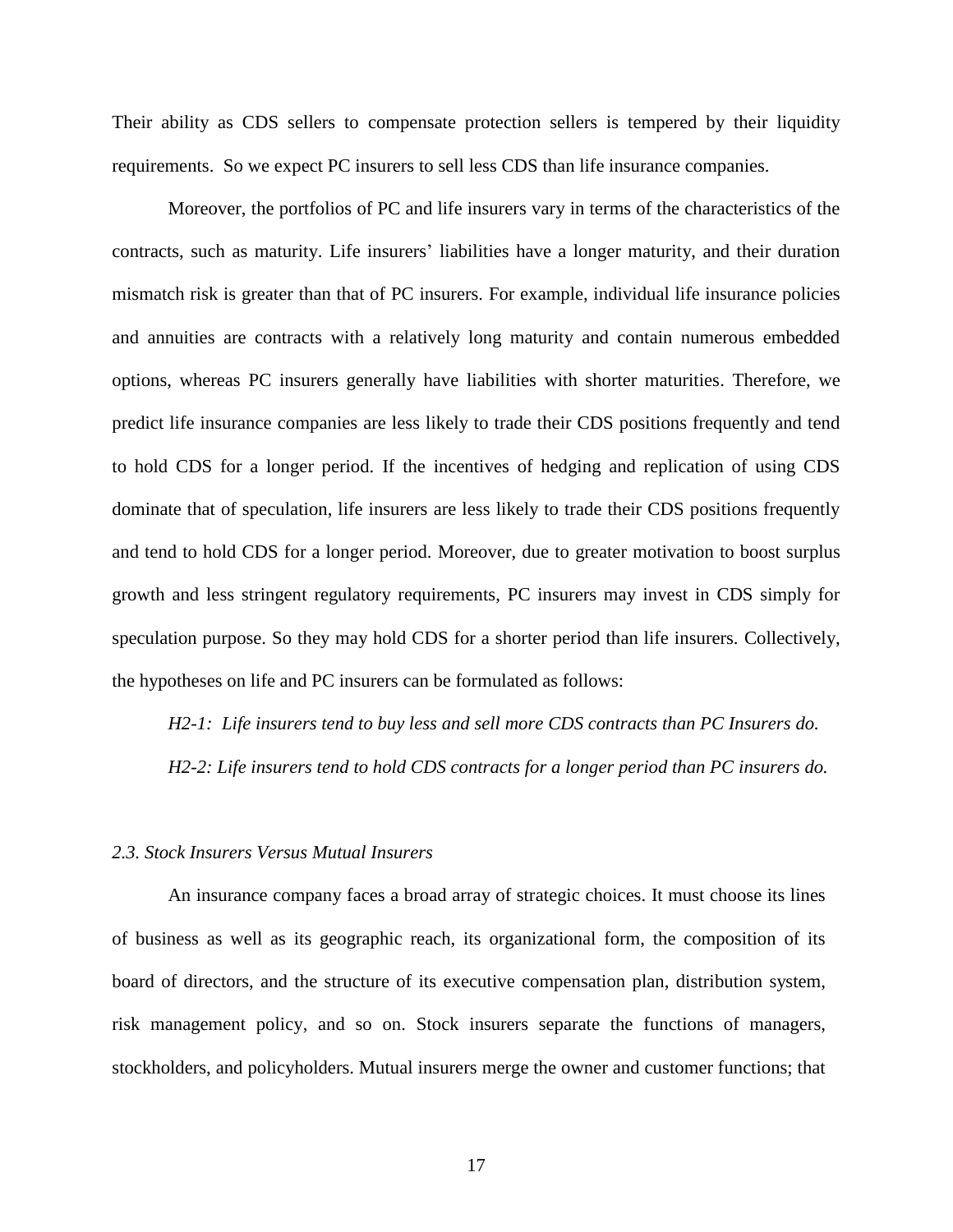Their ability as CDS sellers to compensate protection sellers is tempered by their liquidity requirements. So we expect PC insurers to sell less CDS than life insurance companies.

Moreover, the portfolios of PC and life insurers vary in terms of the characteristics of the contracts, such as maturity. Life insurers' liabilities have a longer maturity, and their duration mismatch risk is greater than that of PC insurers. For example, individual life insurance policies and annuities are contracts with a relatively long maturity and contain numerous embedded options, whereas PC insurers generally have liabilities with shorter maturities. Therefore, we predict life insurance companies are less likely to trade their CDS positions frequently and tend to hold CDS for a longer period. If the incentives of hedging and replication of using CDS dominate that of speculation, life insurers are less likely to trade their CDS positions frequently and tend to hold CDS for a longer period. Moreover, due to greater motivation to boost surplus growth and less stringent regulatory requirements, PC insurers may invest in CDS simply for speculation purpose. So they may hold CDS for a shorter period than life insurers. Collectively, the hypotheses on life and PC insurers can be formulated as follows:

*H2-1: Life insurers tend to buy less and sell more CDS contracts than PC Insurers do. H2-2: Life insurers tend to hold CDS contracts for a longer period than PC insurers do.*

### *2.3. Stock Insurers Versus Mutual Insurers*

An insurance company faces a broad array of strategic choices. It must choose its lines of business as well as its geographic reach, its organizational form, the composition of its board of directors, and the structure of its executive compensation plan, distribution system, risk management policy, and so on. Stock insurers separate the functions of managers, stockholders, and policyholders. Mutual insurers merge the owner and customer functions; that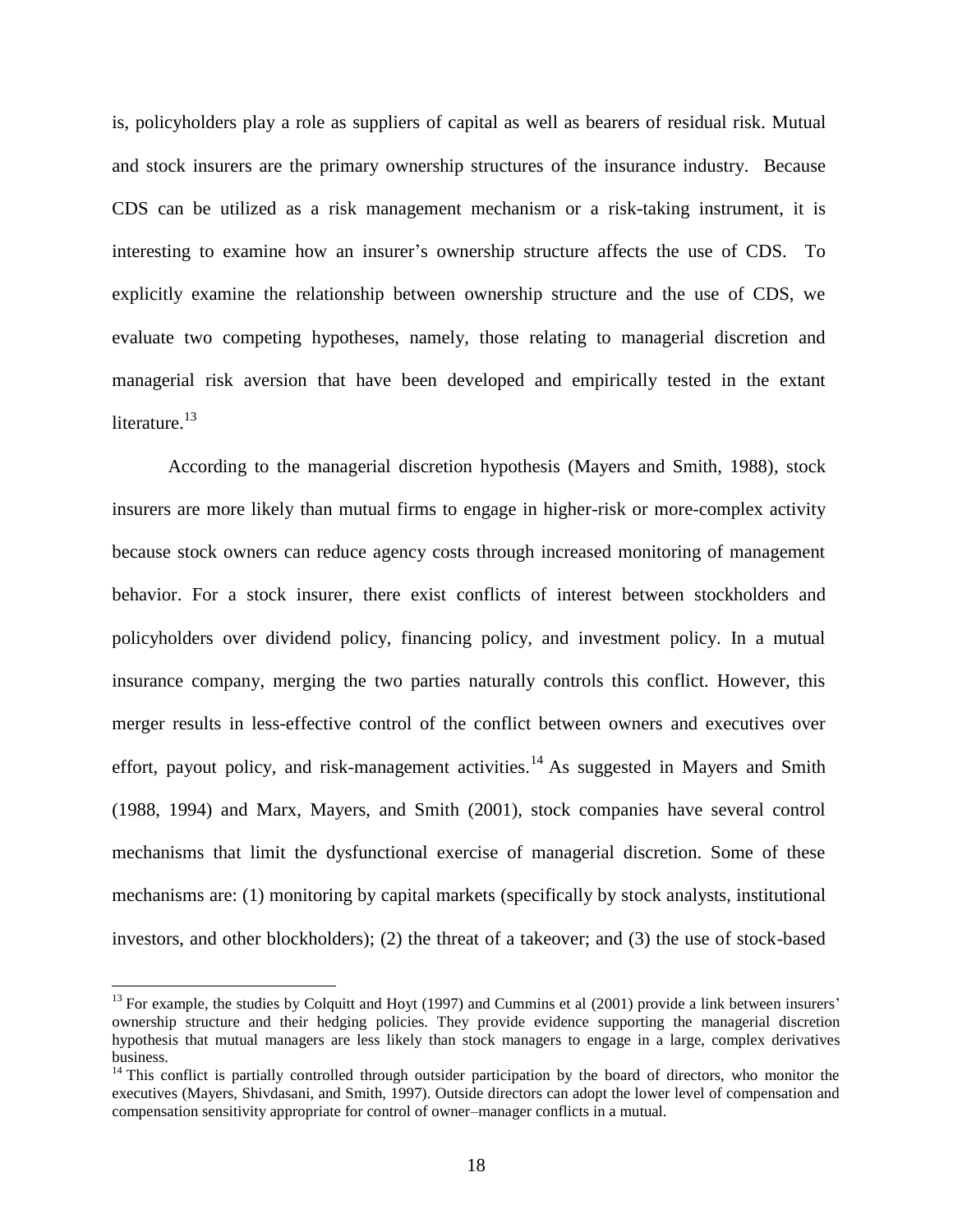is, policyholders play a role as suppliers of capital as well as bearers of residual risk. Mutual and stock insurers are the primary ownership structures of the insurance industry. Because CDS can be utilized as a risk management mechanism or a risk-taking instrument, it is interesting to examine how an insurer's ownership structure affects the use of CDS. To explicitly examine the relationship between ownership structure and the use of CDS, we evaluate two competing hypotheses, namely, those relating to managerial discretion and managerial risk aversion that have been developed and empirically tested in the extant literature.<sup>13</sup>

According to the managerial discretion hypothesis (Mayers and Smith, 1988), stock insurers are more likely than mutual firms to engage in higher-risk or more-complex activity because stock owners can reduce agency costs through increased monitoring of management behavior. For a stock insurer, there exist conflicts of interest between stockholders and policyholders over dividend policy, financing policy, and investment policy. In a mutual insurance company, merging the two parties naturally controls this conflict. However, this merger results in less-effective control of the conflict between owners and executives over effort, payout policy, and risk-management activities.<sup>14</sup> As suggested in Mayers and Smith (1988, 1994) and Marx, Mayers, and Smith (2001), stock companies have several control mechanisms that limit the dysfunctional exercise of managerial discretion. Some of these mechanisms are: (1) monitoring by capital markets (specifically by stock analysts, institutional investors, and other blockholders); (2) the threat of a takeover; and (3) the use of stock-based

 $13$  For example, the studies by Colquitt and Hoyt (1997) and Cummins et al (2001) provide a link between insurers' ownership structure and their hedging policies. They provide evidence supporting the managerial discretion hypothesis that mutual managers are less likely than stock managers to engage in a large, complex derivatives business.

 $14$  This conflict is partially controlled through outsider participation by the board of directors, who monitor the executives (Mayers, Shivdasani, and Smith, 1997). Outside directors can adopt the lower level of compensation and compensation sensitivity appropriate for control of owner–manager conflicts in a mutual.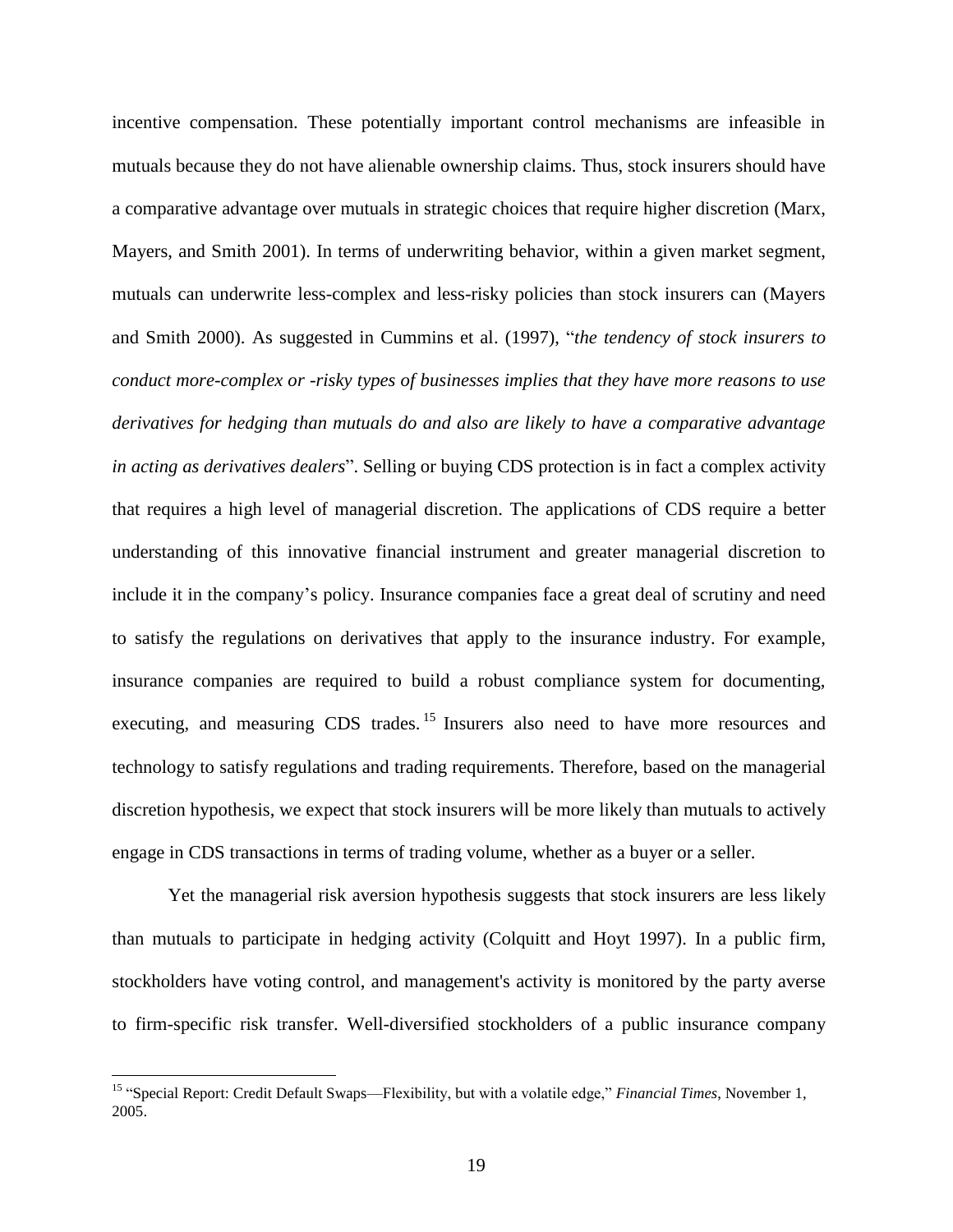incentive compensation. These potentially important control mechanisms are infeasible in mutuals because they do not have alienable ownership claims. Thus, stock insurers should have a comparative advantage over mutuals in strategic choices that require higher discretion (Marx, Mayers, and Smith 2001). In terms of underwriting behavior, within a given market segment, mutuals can underwrite less-complex and less-risky policies than stock insurers can (Mayers and Smith 2000). As suggested in Cummins et al. (1997), "the tendency of stock insurers to *conduct more-complex or -risky types of businesses implies that they have more reasons to use derivatives for hedging than mutuals do and also are likely to have a comparative advantage in acting as derivatives dealers*". Selling or buying CDS protection is in fact a complex activity that requires a high level of managerial discretion. The applications of CDS require a better understanding of this innovative financial instrument and greater managerial discretion to include it in the company's policy. Insurance companies face a great deal of scrutiny and need to satisfy the regulations on derivatives that apply to the insurance industry. For example, insurance companies are required to build a robust compliance system for documenting, executing, and measuring CDS trades.<sup>15</sup> Insurers also need to have more resources and technology to satisfy regulations and trading requirements. Therefore, based on the managerial discretion hypothesis, we expect that stock insurers will be more likely than mutuals to actively engage in CDS transactions in terms of trading volume, whether as a buyer or a seller.

Yet the managerial risk aversion hypothesis suggests that stock insurers are less likely than mutuals to participate in hedging activity (Colquitt and Hoyt 1997). In a public firm, stockholders have voting control, and management's activity is monitored by the party averse to firm-specific risk transfer. Well-diversified stockholders of a public insurance company

<sup>&</sup>lt;sup>15</sup> "Special Report: Credit Default Swaps—Flexibility, but with a volatile edge," *Financial Times*, November 1, 2005.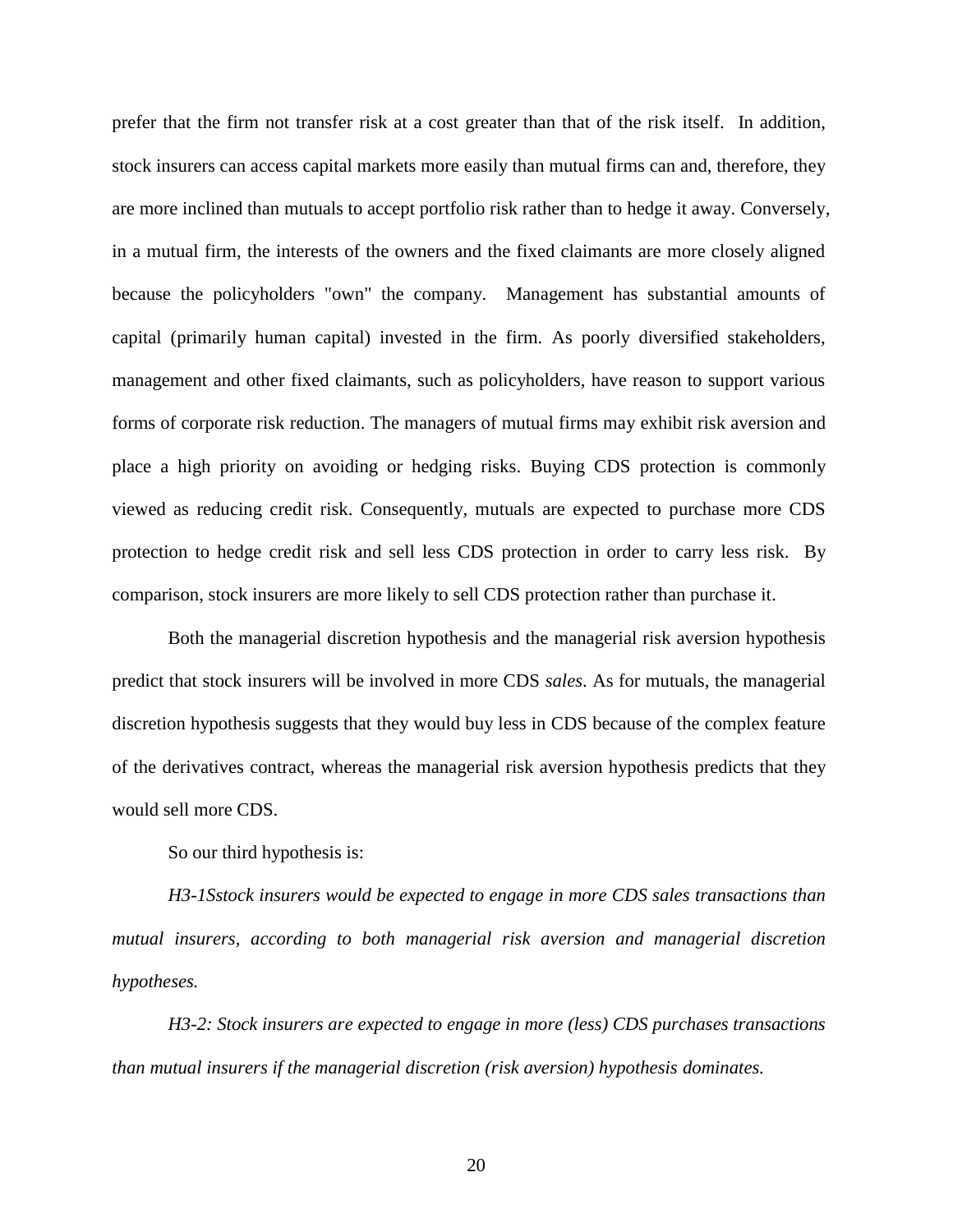prefer that the firm not transfer risk at a cost greater than that of the risk itself. In addition, stock insurers can access capital markets more easily than mutual firms can and, therefore, they are more inclined than mutuals to accept portfolio risk rather than to hedge it away. Conversely, in a mutual firm, the interests of the owners and the fixed claimants are more closely aligned because the policyholders "own" the company. Management has substantial amounts of capital (primarily human capital) invested in the firm. As poorly diversified stakeholders, management and other fixed claimants, such as policyholders, have reason to support various forms of corporate risk reduction. The managers of mutual firms may exhibit risk aversion and place a high priority on avoiding or hedging risks. Buying CDS protection is commonly viewed as reducing credit risk. Consequently, mutuals are expected to purchase more CDS protection to hedge credit risk and sell less CDS protection in order to carry less risk. By comparison, stock insurers are more likely to sell CDS protection rather than purchase it.

Both the managerial discretion hypothesis and the managerial risk aversion hypothesis predict that stock insurers will be involved in more CDS *sales*. As for mutuals, the managerial discretion hypothesis suggests that they would buy less in CDS because of the complex feature of the derivatives contract, whereas the managerial risk aversion hypothesis predicts that they would sell more CDS.

So our third hypothesis is:

*H3-1Sstock insurers would be expected to engage in more CDS sales transactions than mutual insurers, according to both managerial risk aversion and managerial discretion hypotheses.* 

*H3-2: Stock insurers are expected to engage in more (less) CDS purchases transactions than mutual insurers if the managerial discretion (risk aversion) hypothesis dominates.*

20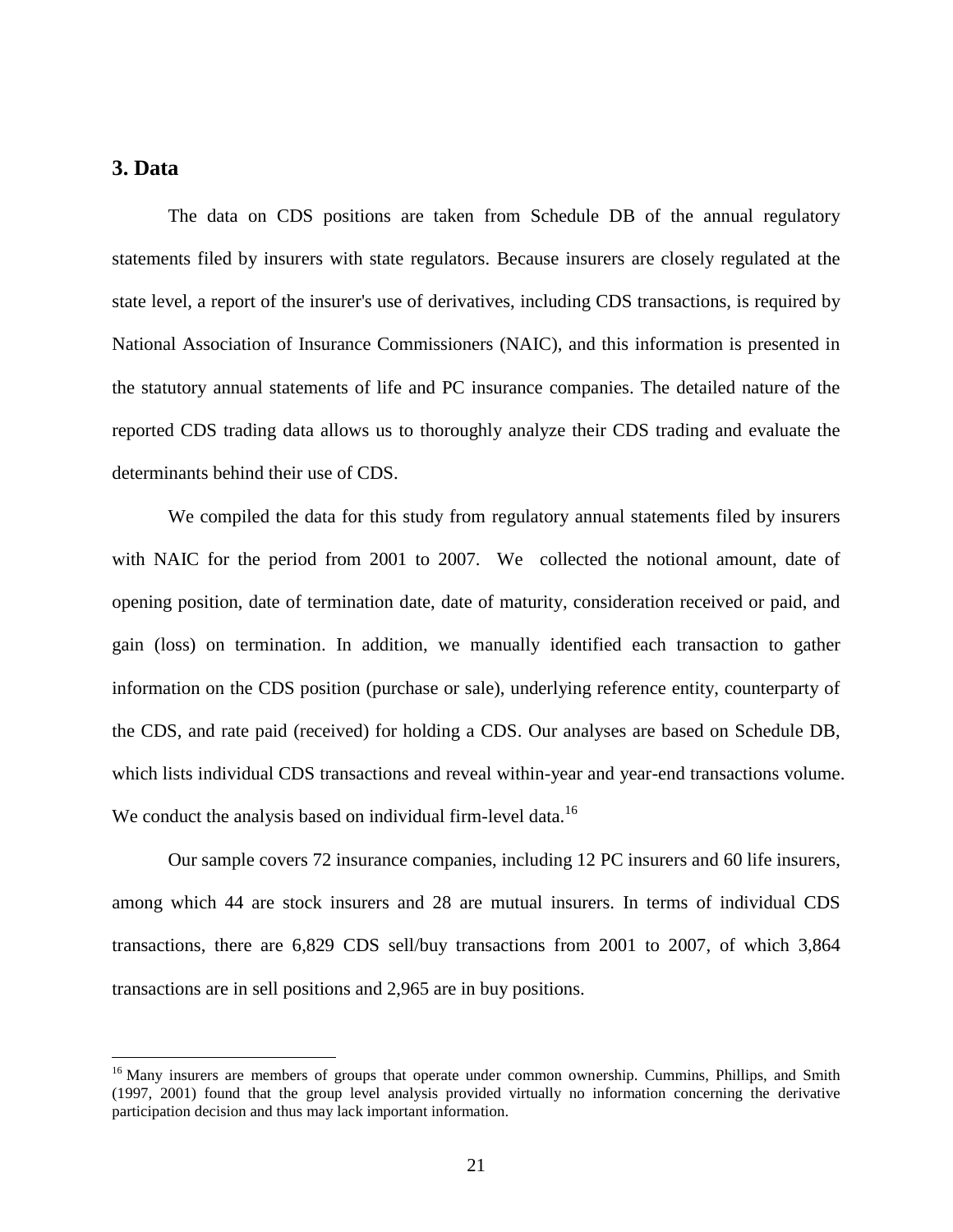# **3. Data**

 $\overline{a}$ 

The data on CDS positions are taken from Schedule DB of the annual regulatory statements filed by insurers with state regulators. Because insurers are closely regulated at the state level, a report of the insurer's use of derivatives, including CDS transactions, is required by National Association of Insurance Commissioners (NAIC), and this information is presented in the statutory annual statements of life and PC insurance companies. The detailed nature of the reported CDS trading data allows us to thoroughly analyze their CDS trading and evaluate the determinants behind their use of CDS.

We compiled the data for this study from regulatory annual statements filed by insurers with NAIC for the period from 2001 to 2007. We collected the notional amount, date of opening position, date of termination date, date of maturity, consideration received or paid, and gain (loss) on termination. In addition, we manually identified each transaction to gather information on the CDS position (purchase or sale), underlying reference entity, counterparty of the CDS, and rate paid (received) for holding a CDS. Our analyses are based on Schedule DB, which lists individual CDS transactions and reveal within-year and year-end transactions volume. We conduct the analysis based on individual firm-level data.<sup>16</sup>

Our sample covers 72 insurance companies, including 12 PC insurers and 60 life insurers, among which 44 are stock insurers and 28 are mutual insurers. In terms of individual CDS transactions, there are 6,829 CDS sell/buy transactions from 2001 to 2007, of which 3,864 transactions are in sell positions and 2,965 are in buy positions.

<sup>&</sup>lt;sup>16</sup> Many insurers are members of groups that operate under common ownership. Cummins, Phillips, and Smith (1997, 2001) found that the group level analysis provided virtually no information concerning the derivative participation decision and thus may lack important information.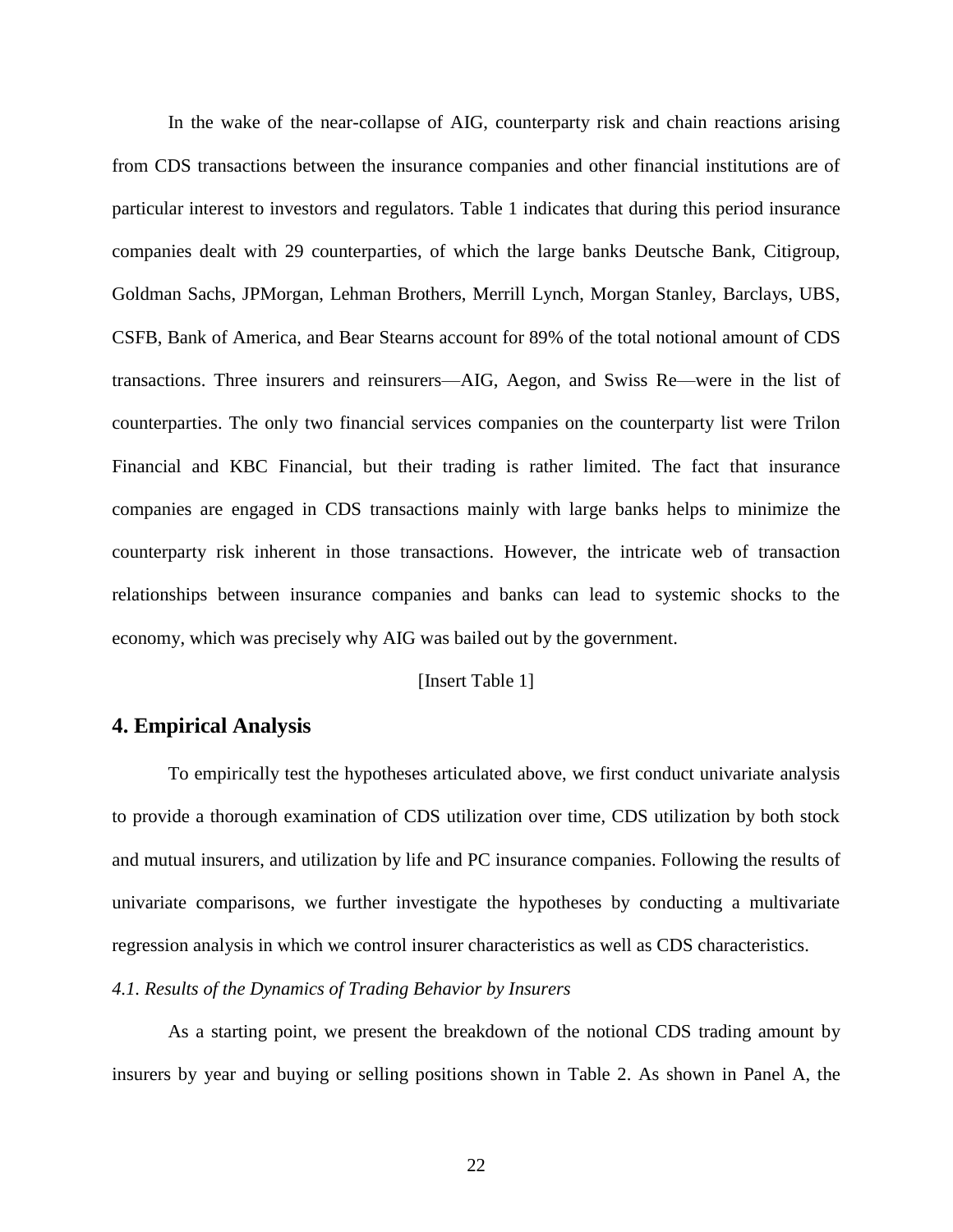In the wake of the near-collapse of AIG, counterparty risk and chain reactions arising from CDS transactions between the insurance companies and other financial institutions are of particular interest to investors and regulators. Table 1 indicates that during this period insurance companies dealt with 29 counterparties, of which the large banks Deutsche Bank, Citigroup, Goldman Sachs, JPMorgan, Lehman Brothers, Merrill Lynch, Morgan Stanley, Barclays, UBS, CSFB, Bank of America, and Bear Stearns account for 89% of the total notional amount of CDS transactions. Three insurers and reinsurers—AIG, Aegon, and Swiss Re—were in the list of counterparties. The only two financial services companies on the counterparty list were Trilon Financial and KBC Financial, but their trading is rather limited. The fact that insurance companies are engaged in CDS transactions mainly with large banks helps to minimize the counterparty risk inherent in those transactions. However, the intricate web of transaction relationships between insurance companies and banks can lead to systemic shocks to the economy, which was precisely why AIG was bailed out by the government.

### [Insert Table 1]

## **4. Empirical Analysis**

To empirically test the hypotheses articulated above, we first conduct univariate analysis to provide a thorough examination of CDS utilization over time, CDS utilization by both stock and mutual insurers, and utilization by life and PC insurance companies. Following the results of univariate comparisons, we further investigate the hypotheses by conducting a multivariate regression analysis in which we control insurer characteristics as well as CDS characteristics.

## *4.1. Results of the Dynamics of Trading Behavior by Insurers*

As a starting point, we present the breakdown of the notional CDS trading amount by insurers by year and buying or selling positions shown in Table 2. As shown in Panel A, the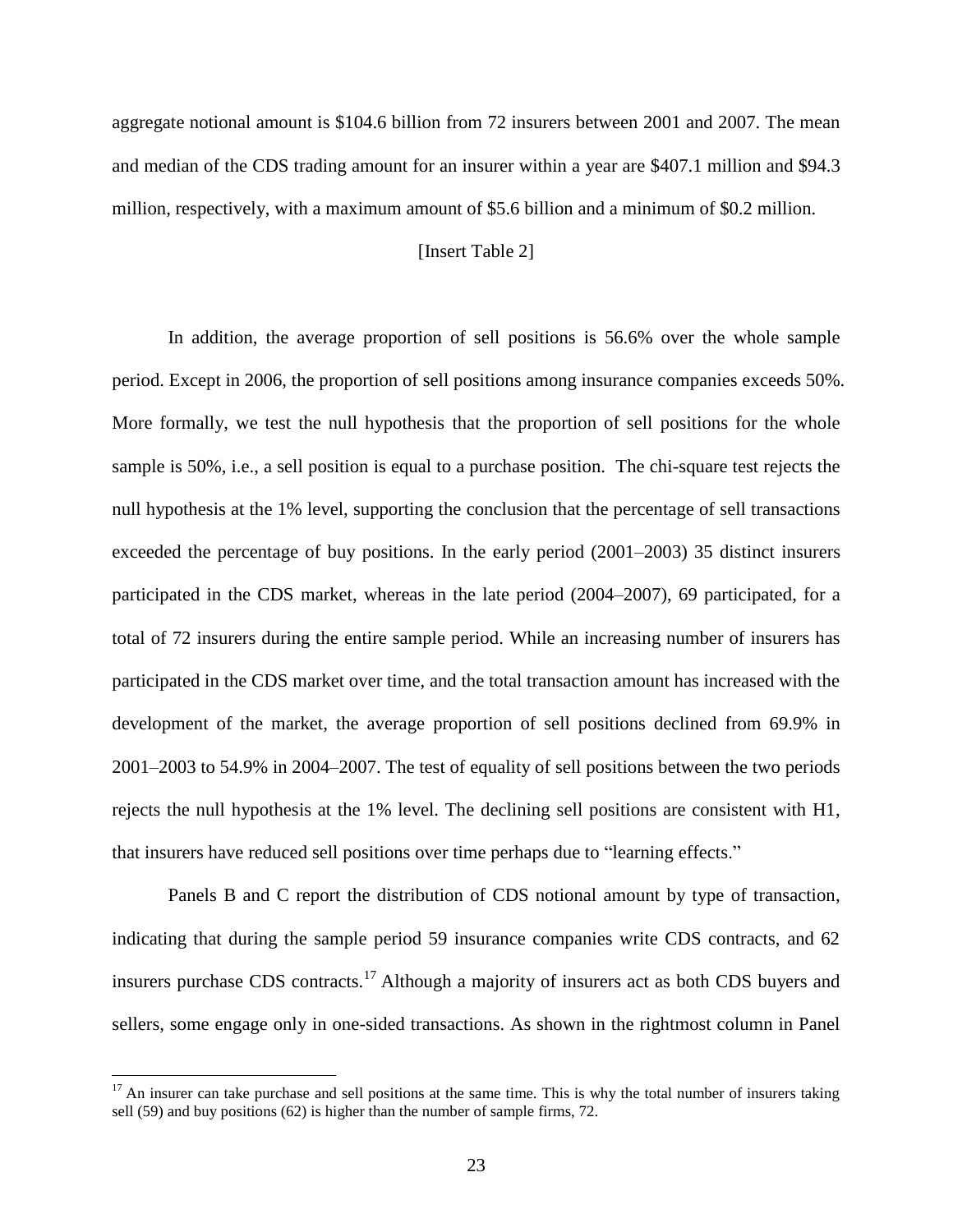aggregate notional amount is \$104.6 billion from 72 insurers between 2001 and 2007. The mean and median of the CDS trading amount for an insurer within a year are \$407.1 million and \$94.3 million, respectively, with a maximum amount of \$5.6 billion and a minimum of \$0.2 million.

## [Insert Table 2]

In addition, the average proportion of sell positions is 56.6% over the whole sample period. Except in 2006, the proportion of sell positions among insurance companies exceeds 50%. More formally, we test the null hypothesis that the proportion of sell positions for the whole sample is 50%, i.e., a sell position is equal to a purchase position. The chi-square test rejects the null hypothesis at the 1% level, supporting the conclusion that the percentage of sell transactions exceeded the percentage of buy positions. In the early period (2001–2003) 35 distinct insurers participated in the CDS market, whereas in the late period (2004–2007), 69 participated, for a total of 72 insurers during the entire sample period. While an increasing number of insurers has participated in the CDS market over time, and the total transaction amount has increased with the development of the market, the average proportion of sell positions declined from 69.9% in 2001–2003 to 54.9% in 2004–2007. The test of equality of sell positions between the two periods rejects the null hypothesis at the 1% level. The declining sell positions are consistent with H1, that insurers have reduced sell positions over time perhaps due to "learning effects."

Panels B and C report the distribution of CDS notional amount by type of transaction, indicating that during the sample period 59 insurance companies write CDS contracts, and 62 insurers purchase CDS contracts.<sup>17</sup> Although a majority of insurers act as both CDS buyers and sellers, some engage only in one-sided transactions. As shown in the rightmost column in Panel

 $17$  An insurer can take purchase and sell positions at the same time. This is why the total number of insurers taking sell (59) and buy positions (62) is higher than the number of sample firms, 72.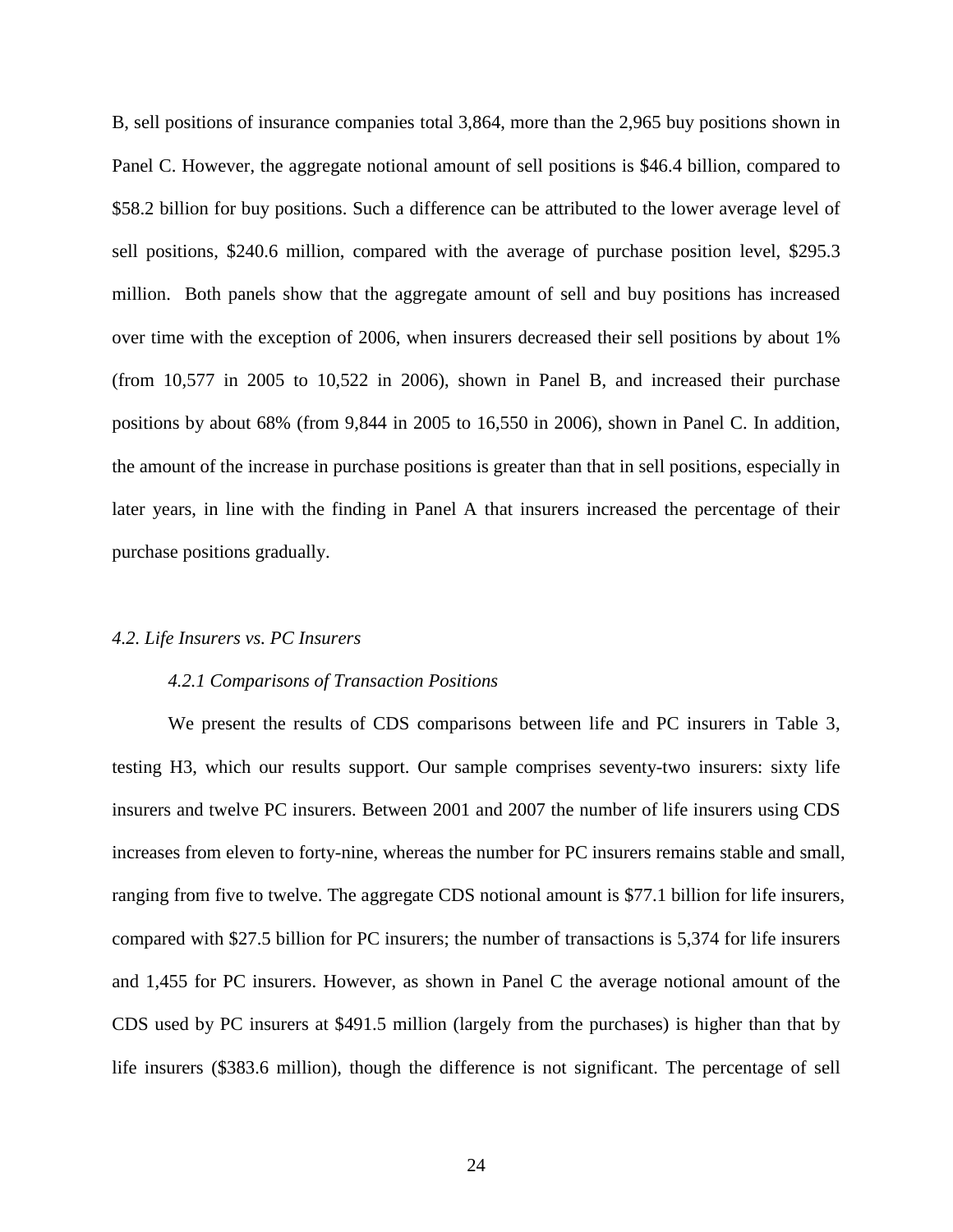B, sell positions of insurance companies total 3,864, more than the 2,965 buy positions shown in Panel C. However, the aggregate notional amount of sell positions is \$46.4 billion, compared to \$58.2 billion for buy positions. Such a difference can be attributed to the lower average level of sell positions, \$240.6 million, compared with the average of purchase position level, \$295.3 million. Both panels show that the aggregate amount of sell and buy positions has increased over time with the exception of 2006, when insurers decreased their sell positions by about 1% (from 10,577 in 2005 to 10,522 in 2006), shown in Panel B, and increased their purchase positions by about 68% (from 9,844 in 2005 to 16,550 in 2006), shown in Panel C. In addition, the amount of the increase in purchase positions is greater than that in sell positions, especially in later years, in line with the finding in Panel A that insurers increased the percentage of their purchase positions gradually.

## *4.2. Life Insurers vs. PC Insurers*

#### *4.2.1 Comparisons of Transaction Positions*

We present the results of CDS comparisons between life and PC insurers in Table 3, testing H3, which our results support. Our sample comprises seventy-two insurers: sixty life insurers and twelve PC insurers. Between 2001 and 2007 the number of life insurers using CDS increases from eleven to forty-nine, whereas the number for PC insurers remains stable and small, ranging from five to twelve. The aggregate CDS notional amount is \$77.1 billion for life insurers, compared with \$27.5 billion for PC insurers; the number of transactions is 5,374 for life insurers and 1,455 for PC insurers. However, as shown in Panel C the average notional amount of the CDS used by PC insurers at \$491.5 million (largely from the purchases) is higher than that by life insurers (\$383.6 million), though the difference is not significant. The percentage of sell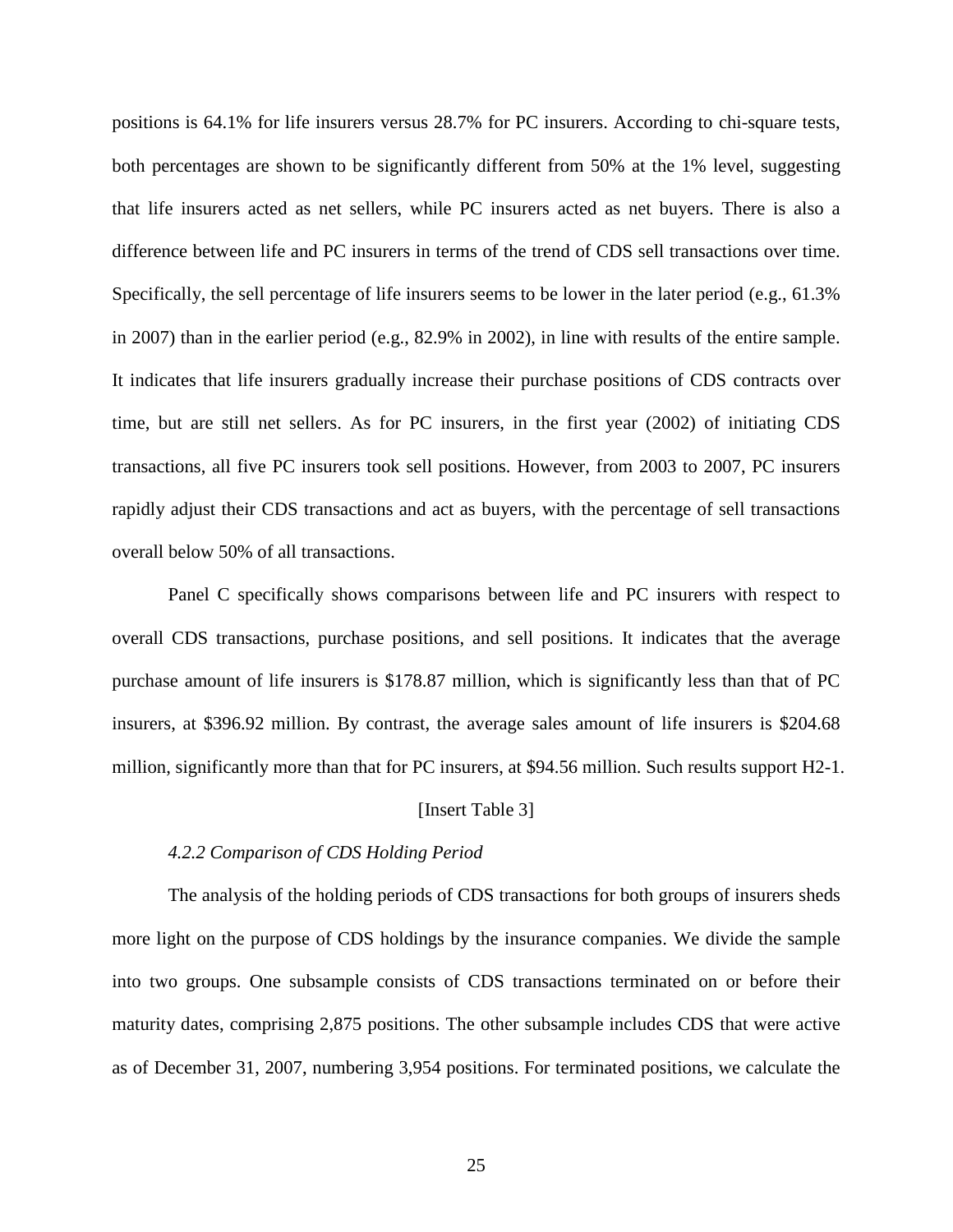positions is 64.1% for life insurers versus 28.7% for PC insurers. According to chi-square tests, both percentages are shown to be significantly different from 50% at the 1% level, suggesting that life insurers acted as net sellers, while PC insurers acted as net buyers. There is also a difference between life and PC insurers in terms of the trend of CDS sell transactions over time. Specifically, the sell percentage of life insurers seems to be lower in the later period (e.g., 61.3% in 2007) than in the earlier period (e.g., 82.9% in 2002), in line with results of the entire sample. It indicates that life insurers gradually increase their purchase positions of CDS contracts over time, but are still net sellers. As for PC insurers, in the first year (2002) of initiating CDS transactions, all five PC insurers took sell positions. However, from 2003 to 2007, PC insurers rapidly adjust their CDS transactions and act as buyers, with the percentage of sell transactions overall below 50% of all transactions.

Panel C specifically shows comparisons between life and PC insurers with respect to overall CDS transactions, purchase positions, and sell positions. It indicates that the average purchase amount of life insurers is \$178.87 million, which is significantly less than that of PC insurers, at \$396.92 million. By contrast, the average sales amount of life insurers is \$204.68 million, significantly more than that for PC insurers, at \$94.56 million. Such results support H2-1.

### [Insert Table 3]

## *4.2.2 Comparison of CDS Holding Period*

The analysis of the holding periods of CDS transactions for both groups of insurers sheds more light on the purpose of CDS holdings by the insurance companies. We divide the sample into two groups. One subsample consists of CDS transactions terminated on or before their maturity dates, comprising 2,875 positions. The other subsample includes CDS that were active as of December 31, 2007, numbering 3,954 positions. For terminated positions, we calculate the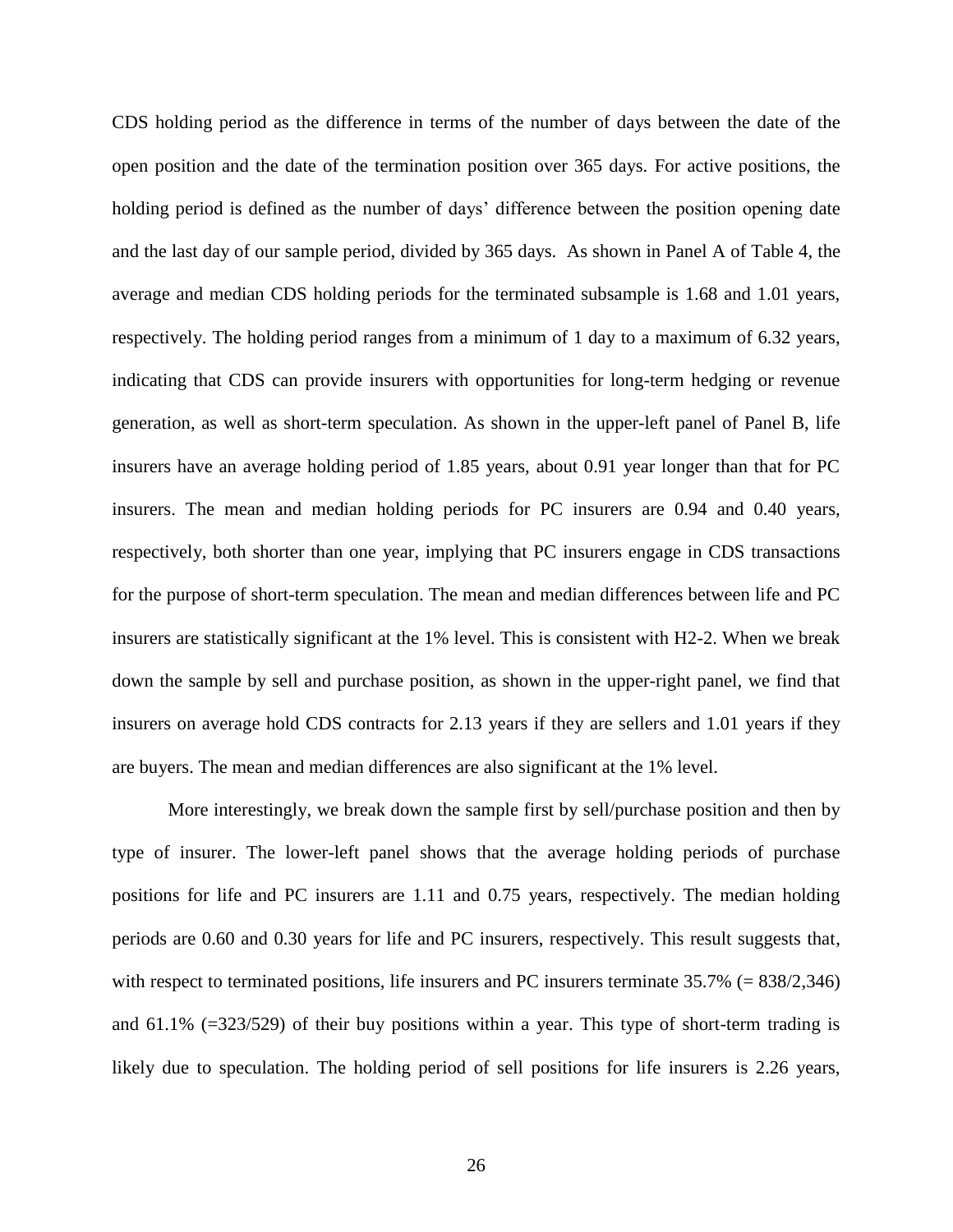CDS holding period as the difference in terms of the number of days between the date of the open position and the date of the termination position over 365 days. For active positions, the holding period is defined as the number of days' difference between the position opening date and the last day of our sample period, divided by 365 days. As shown in Panel A of Table 4, the average and median CDS holding periods for the terminated subsample is 1.68 and 1.01 years, respectively. The holding period ranges from a minimum of 1 day to a maximum of 6.32 years, indicating that CDS can provide insurers with opportunities for long-term hedging or revenue generation, as well as short-term speculation. As shown in the upper-left panel of Panel B, life insurers have an average holding period of 1.85 years, about 0.91 year longer than that for PC insurers. The mean and median holding periods for PC insurers are 0.94 and 0.40 years, respectively, both shorter than one year, implying that PC insurers engage in CDS transactions for the purpose of short-term speculation. The mean and median differences between life and PC insurers are statistically significant at the 1% level. This is consistent with H2-2. When we break down the sample by sell and purchase position, as shown in the upper-right panel, we find that insurers on average hold CDS contracts for 2.13 years if they are sellers and 1.01 years if they are buyers. The mean and median differences are also significant at the 1% level.

More interestingly, we break down the sample first by sell/purchase position and then by type of insurer. The lower-left panel shows that the average holding periods of purchase positions for life and PC insurers are 1.11 and 0.75 years, respectively. The median holding periods are 0.60 and 0.30 years for life and PC insurers, respectively. This result suggests that, with respect to terminated positions, life insurers and PC insurers terminate 35.7% (= 838/2,346) and  $61.1\%$  ( $=323/529$ ) of their buy positions within a year. This type of short-term trading is likely due to speculation. The holding period of sell positions for life insurers is 2.26 years,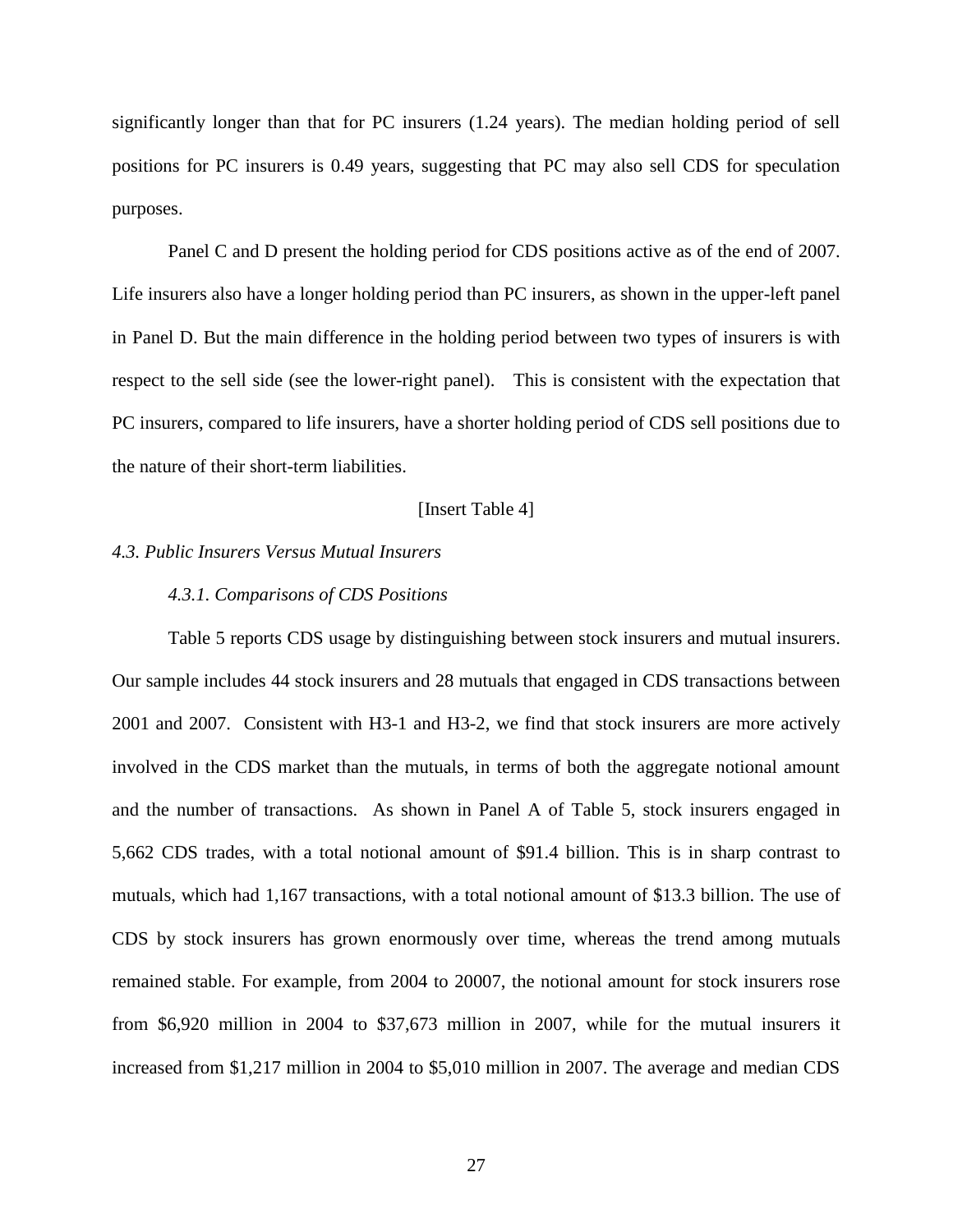significantly longer than that for PC insurers (1.24 years). The median holding period of sell positions for PC insurers is 0.49 years, suggesting that PC may also sell CDS for speculation purposes.

Panel C and D present the holding period for CDS positions active as of the end of 2007. Life insurers also have a longer holding period than PC insurers, as shown in the upper-left panel in Panel D. But the main difference in the holding period between two types of insurers is with respect to the sell side (see the lower-right panel). This is consistent with the expectation that PC insurers, compared to life insurers, have a shorter holding period of CDS sell positions due to the nature of their short-term liabilities.

#### [Insert Table 4]

## *4.3. Public Insurers Versus Mutual Insurers*

#### *4.3.1. Comparisons of CDS Positions*

Table 5 reports CDS usage by distinguishing between stock insurers and mutual insurers. Our sample includes 44 stock insurers and 28 mutuals that engaged in CDS transactions between 2001 and 2007. Consistent with H3-1 and H3-2, we find that stock insurers are more actively involved in the CDS market than the mutuals, in terms of both the aggregate notional amount and the number of transactions. As shown in Panel A of Table 5, stock insurers engaged in 5,662 CDS trades, with a total notional amount of \$91.4 billion. This is in sharp contrast to mutuals, which had 1,167 transactions, with a total notional amount of \$13.3 billion. The use of CDS by stock insurers has grown enormously over time, whereas the trend among mutuals remained stable. For example, from 2004 to 20007, the notional amount for stock insurers rose from \$6,920 million in 2004 to \$37,673 million in 2007, while for the mutual insurers it increased from \$1,217 million in 2004 to \$5,010 million in 2007. The average and median CDS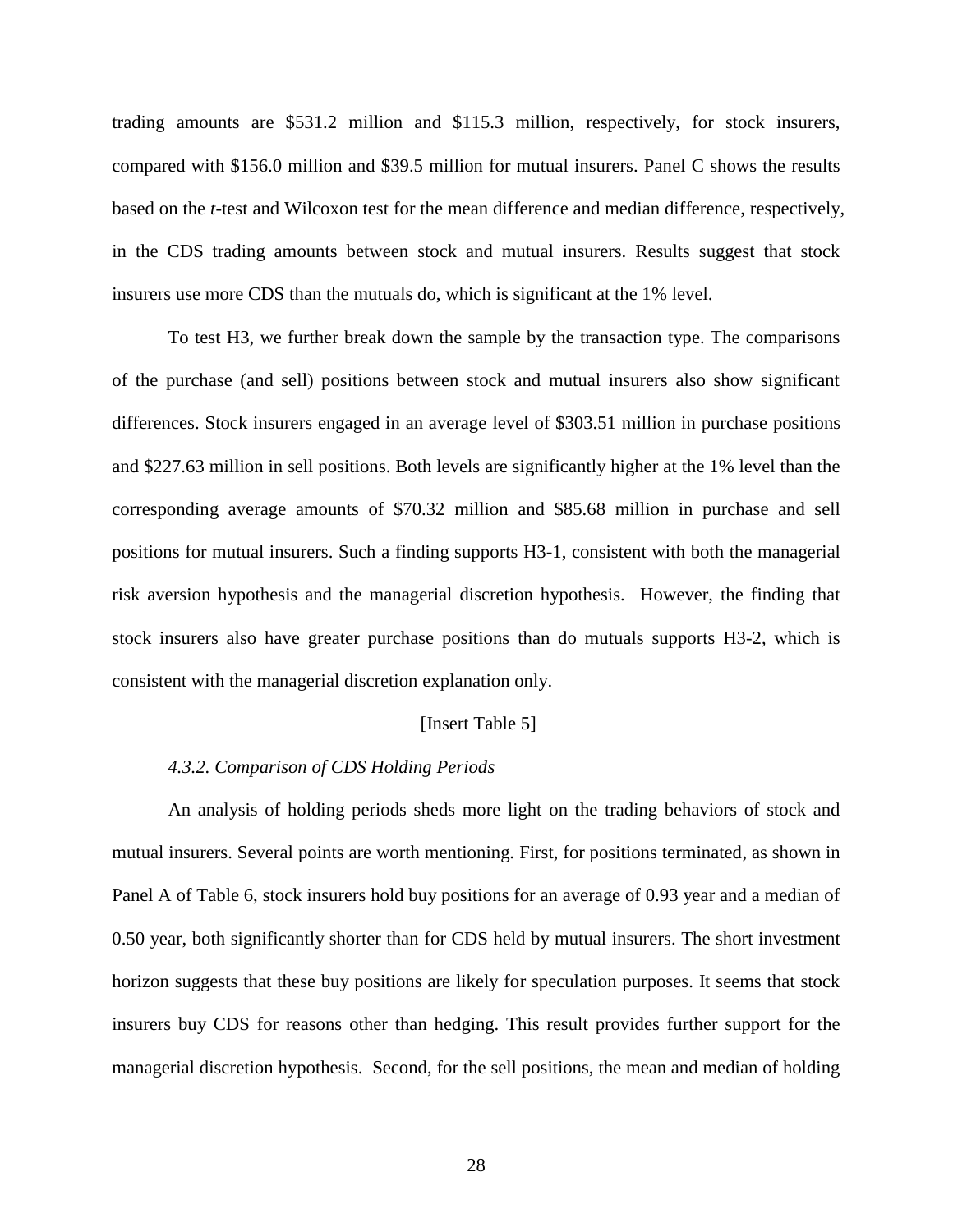trading amounts are \$531.2 million and \$115.3 million, respectively, for stock insurers, compared with \$156.0 million and \$39.5 million for mutual insurers. Panel C shows the results based on the *t*-test and Wilcoxon test for the mean difference and median difference, respectively, in the CDS trading amounts between stock and mutual insurers. Results suggest that stock insurers use more CDS than the mutuals do, which is significant at the 1% level.

To test H3, we further break down the sample by the transaction type. The comparisons of the purchase (and sell) positions between stock and mutual insurers also show significant differences. Stock insurers engaged in an average level of \$303.51 million in purchase positions and \$227.63 million in sell positions. Both levels are significantly higher at the 1% level than the corresponding average amounts of \$70.32 million and \$85.68 million in purchase and sell positions for mutual insurers. Such a finding supports H3-1, consistent with both the managerial risk aversion hypothesis and the managerial discretion hypothesis. However, the finding that stock insurers also have greater purchase positions than do mutuals supports H3-2, which is consistent with the managerial discretion explanation only.

## [Insert Table 5]

## *4.3.2. Comparison of CDS Holding Periods*

An analysis of holding periods sheds more light on the trading behaviors of stock and mutual insurers. Several points are worth mentioning. First, for positions terminated, as shown in Panel A of Table 6, stock insurers hold buy positions for an average of 0.93 year and a median of 0.50 year, both significantly shorter than for CDS held by mutual insurers. The short investment horizon suggests that these buy positions are likely for speculation purposes. It seems that stock insurers buy CDS for reasons other than hedging. This result provides further support for the managerial discretion hypothesis. Second, for the sell positions, the mean and median of holding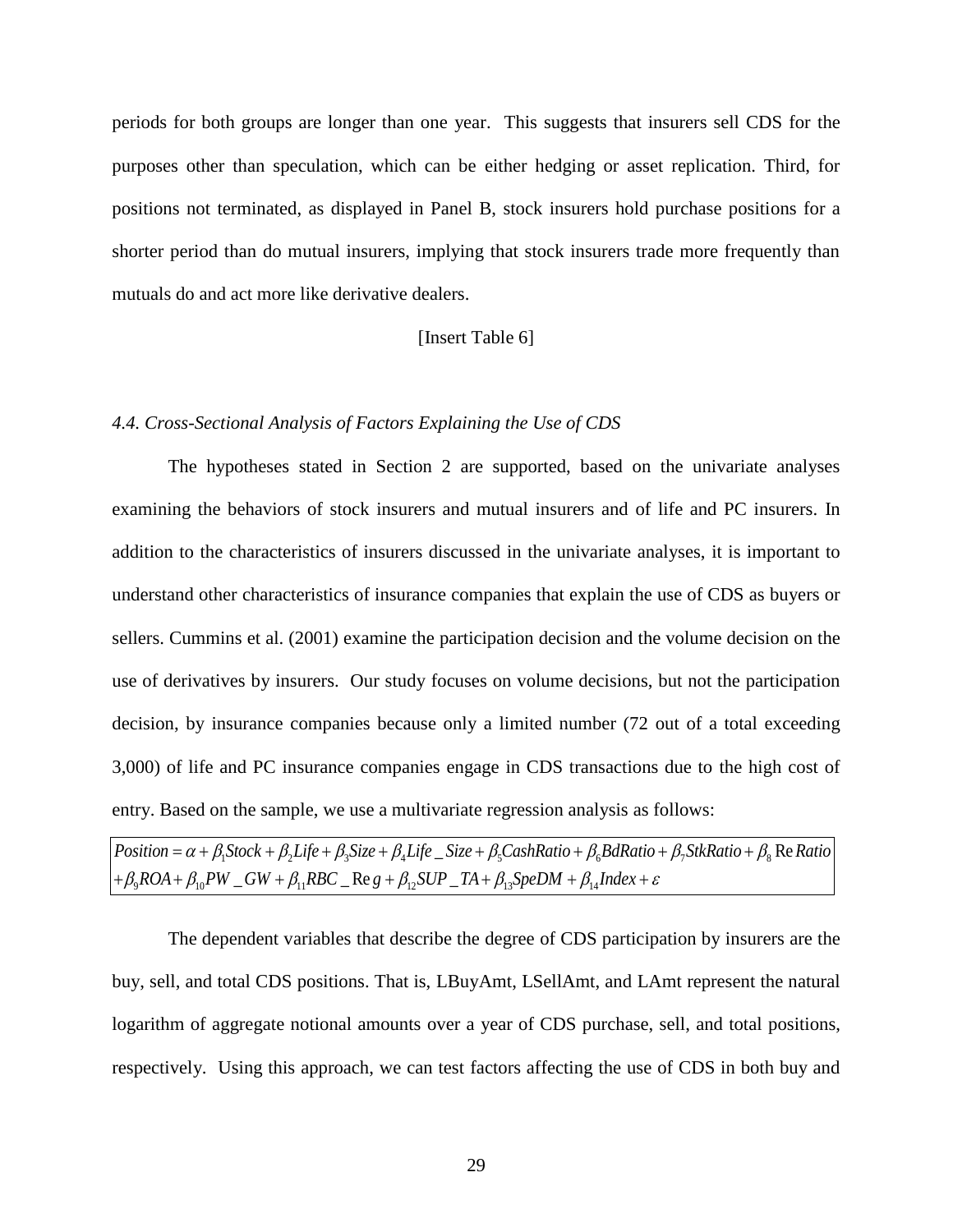periods for both groups are longer than one year. This suggests that insurers sell CDS for the purposes other than speculation, which can be either hedging or asset replication. Third, for positions not terminated, as displayed in Panel B, stock insurers hold purchase positions for a shorter period than do mutual insurers, implying that stock insurers trade more frequently than mutuals do and act more like derivative dealers.

## [Insert Table 6]

## *4.4. Cross-Sectional Analysis of Factors Explaining the Use of CDS*

The hypotheses stated in Section 2 are supported, based on the univariate analyses examining the behaviors of stock insurers and mutual insurers and of life and PC insurers. In addition to the characteristics of insurers discussed in the univariate analyses, it is important to understand other characteristics of insurance companies that explain the use of CDS as buyers or sellers. Cummins et al. (2001) examine the participation decision and the volume decision on the use of derivatives by insurers. Our study focuses on volume decisions, but not the participation decision, by insurance companies because only a limited number (72 out of a total exceeding 3,000) of life and PC insurance companies engage in CDS transactions due to the high cost of entry. Based on the sample, we use a multivariate regression analysis as follows: s engage in CDS transactions due to the high c<br>variate regression analysis as follows:<br> $\frac{Size + \beta_5 CashRatio + \beta_6 BdRatio + \beta_7 StkRatio + \beta_8 Re}{IP\_TA + B\_SneDM + B\_Index + S}$ *Position startage And PC insurance companies engage in CDS transactions due to the high cost of entry.* Based on the sample, we use a multivariate regression analysis as follows:<br> *Position* =  $\alpha + \beta_1 Stock + \beta_2 Life + \beta_3 Size + \beta_4 Life$ life and PC insurance companies engage in CDS transactions due to the high cost of<br>ed on the sample, we use a multivariate regression analysis as follows:<br> $\alpha + \beta_1 Stock + \beta_2 Life + \beta_3 Size + \beta_4 Life - Size + \beta_5 CashRatio + \beta_6 BdRatio + \beta_7StkRatio + \beta_8 Re Ratio$ of life and PC insurance companies engage in CDS transactions due to the high cost of<br>ased on the sample, we use a multivariate regression analysis as follows:<br> $= \alpha + \beta_1 Stock + \beta_2 Life + \beta_3 Size + \beta_4 Life - Size + \beta_5CashRatio + \beta_6 B dRatio + \beta_7StRRatio + \beta_8 Re Ratio$ 

in the sample, we use a multivariate regression analysis as follows:<br>  $B_1 Stock + \beta_2 Life + \beta_3 Size + \beta_4 Life - Size + \beta_5CashRatio + \beta_6 BdRatio + \beta_7StkRatio + \beta_8 BdRatio + \beta_9 SdRatio + \beta_1 Sd block$ sition =  $\alpha + \beta_1$ Stock +  $\beta_2$ Life +  $\beta_3$ Size +  $\beta_4$ Life \_ Size +  $\beta_5$ CashRatio +  $\beta_6$ <br>  $\beta_9$ ROA +  $\beta_{10}$ PW \_ GW +  $\beta_{11}$ RBC \_ Re g +  $\beta_{12}$ SUP \_ TA +  $\beta_{13}$ SpeDM +  $\beta_{14}$ the sample, we use a multivari<br>  $\frac{1}{2}$ <br>  $\frac{1}{2}$ <br>  $\frac{1}{2}$ <br>  $\frac{1}{2}$ <br>  $\frac{1}{2}$ <br>  $\frac{1}{2}$ <br>  $\frac{1}{2}$ <br>  $\frac{1}{2}$ <br>  $\frac{1}{2}$ <br>  $\frac{1}{2}$ <br>  $\frac{1}{2}$ <br>  $\frac{1}{2}$ <br>  $\frac{1}{2}$ <br>  $\frac{1}{2}$ <br>  $\frac{1}{2}$ <br>  $\frac{1}{2}$ <br>  $\frac{1}{2}$ <br>  $\$ *ry*. Based on the sample, we use a multivariate regression analysis at<br>  $RCOA + \beta_1 Stock + \beta_2 Life + \beta_3 Size + \beta_4 Life\_Size + \beta_5 CashRatio + \beta_6 BdRa$ <br>  $RCOA + \beta_{10} PW\_GW + \beta_{11} RBC\_Re\ g + \beta_{12} SUP\_TA + \beta_{13} SpeDM + \beta_{14} Index$ ntry. Based on the sample, we use a multivariate regression analysis as follows:<br>  $\frac{\partial s}{\partial t} = \alpha + \beta_1 Stock + \beta_2 Life + \beta_3 Size + \beta_4 Life\_Size + \beta_5 CashRatio + \beta_6 BdRatio + \beta_7StkRatio + \beta_8$ <br>  $\beta_9 ROA + \beta_{10} PW\_GW + \beta_{11} RBC\_Re\ g + \beta_{12} SUP\_TA + \beta_{13} SpeDM + \beta_{14} Index + \varepsilon$ entry. Based on the sample, we use a multivariate regression analysis as follows:<br>
Position =  $\alpha + \beta_1 Stock + \beta_2 Life + \beta_3 Size + \beta_4 Life\_Size + \beta_5CashRatio + \beta_6 BdRatio + \beta_7StkRatio + \beta_7 SkRatio + \beta_9 ROA + \beta_{10} PW\_GW + \beta_{11} RBC \_ \text{Re } g + \beta_{12} SUP\_TA + \beta_{13} SpeDM + \beta_{14} Index + \varepsilon$ 

The dependent variables that describe the degree of CDS participation by insurers are the buy, sell, and total CDS positions. That is, LBuyAmt, LSellAmt, and LAmt represent the natural logarithm of aggregate notional amounts over a year of CDS purchase, sell, and total positions, respectively. Using this approach, we can test factors affecting the use of CDS in both buy and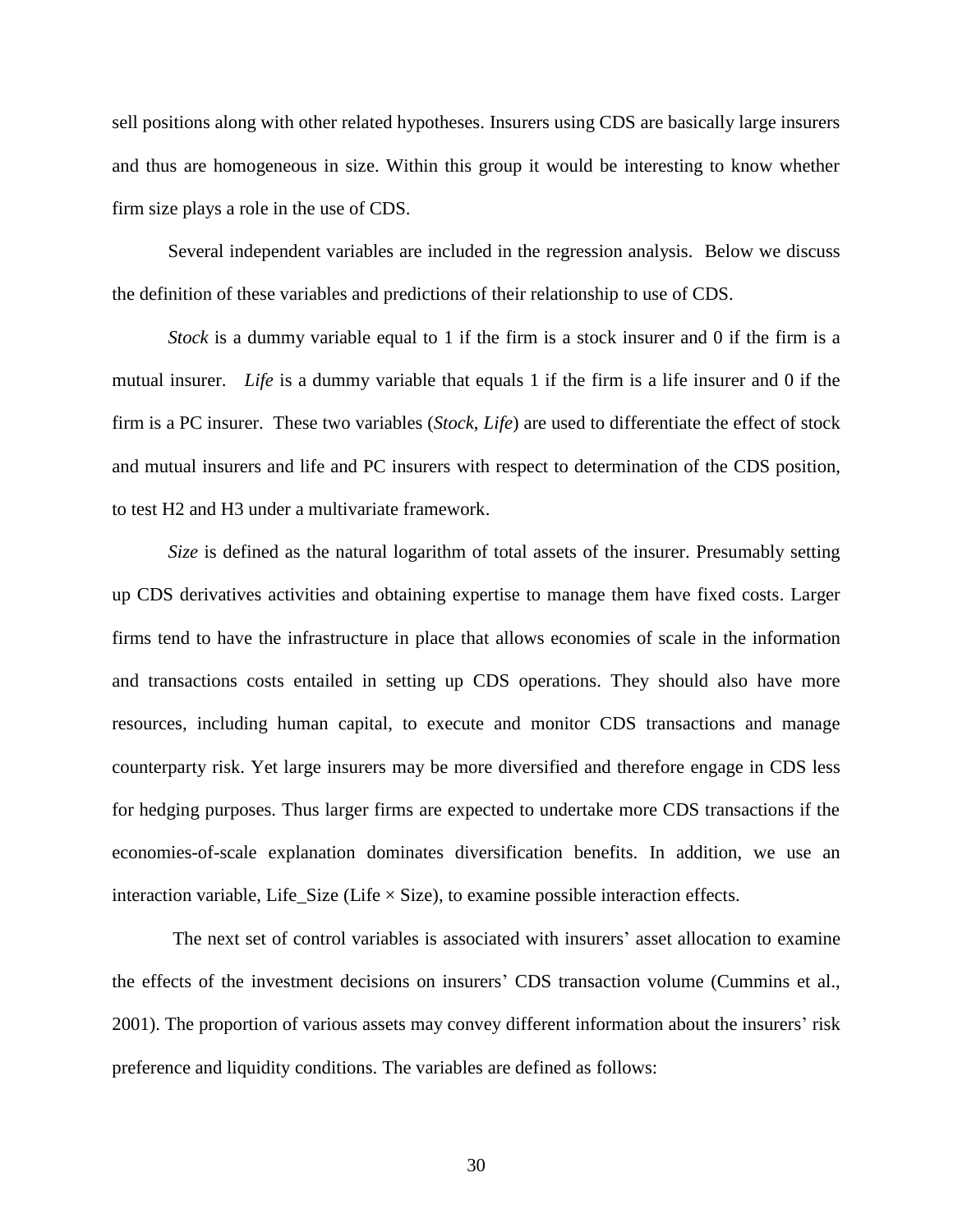sell positions along with other related hypotheses. Insurers using CDS are basically large insurers and thus are homogeneous in size. Within this group it would be interesting to know whether firm size plays a role in the use of CDS.

Several independent variables are included in the regression analysis. Below we discuss the definition of these variables and predictions of their relationship to use of CDS.

*Stock* is a dummy variable equal to 1 if the firm is a stock insurer and 0 if the firm is a mutual insurer. *Life* is a dummy variable that equals 1 if the firm is a life insurer and 0 if the firm is a PC insurer. These two variables (*Stock*, *Life*) are used to differentiate the effect of stock and mutual insurers and life and PC insurers with respect to determination of the CDS position, to test H2 and H3 under a multivariate framework.

*Size* is defined as the natural logarithm of total assets of the insurer. Presumably setting up CDS derivatives activities and obtaining expertise to manage them have fixed costs. Larger firms tend to have the infrastructure in place that allows economies of scale in the information and transactions costs entailed in setting up CDS operations. They should also have more resources, including human capital, to execute and monitor CDS transactions and manage counterparty risk. Yet large insurers may be more diversified and therefore engage in CDS less for hedging purposes. Thus larger firms are expected to undertake more CDS transactions if the economies-of-scale explanation dominates diversification benefits. In addition, we use an interaction variable, Life\_Size (Life  $\times$  Size), to examine possible interaction effects.

The next set of control variables is associated with insurers' asset allocation to examine the effects of the investment decisions on insurers' CDS transaction volume (Cummins et al., 2001). The proportion of various assets may convey different information about the insurers' risk preference and liquidity conditions. The variables are defined as follows: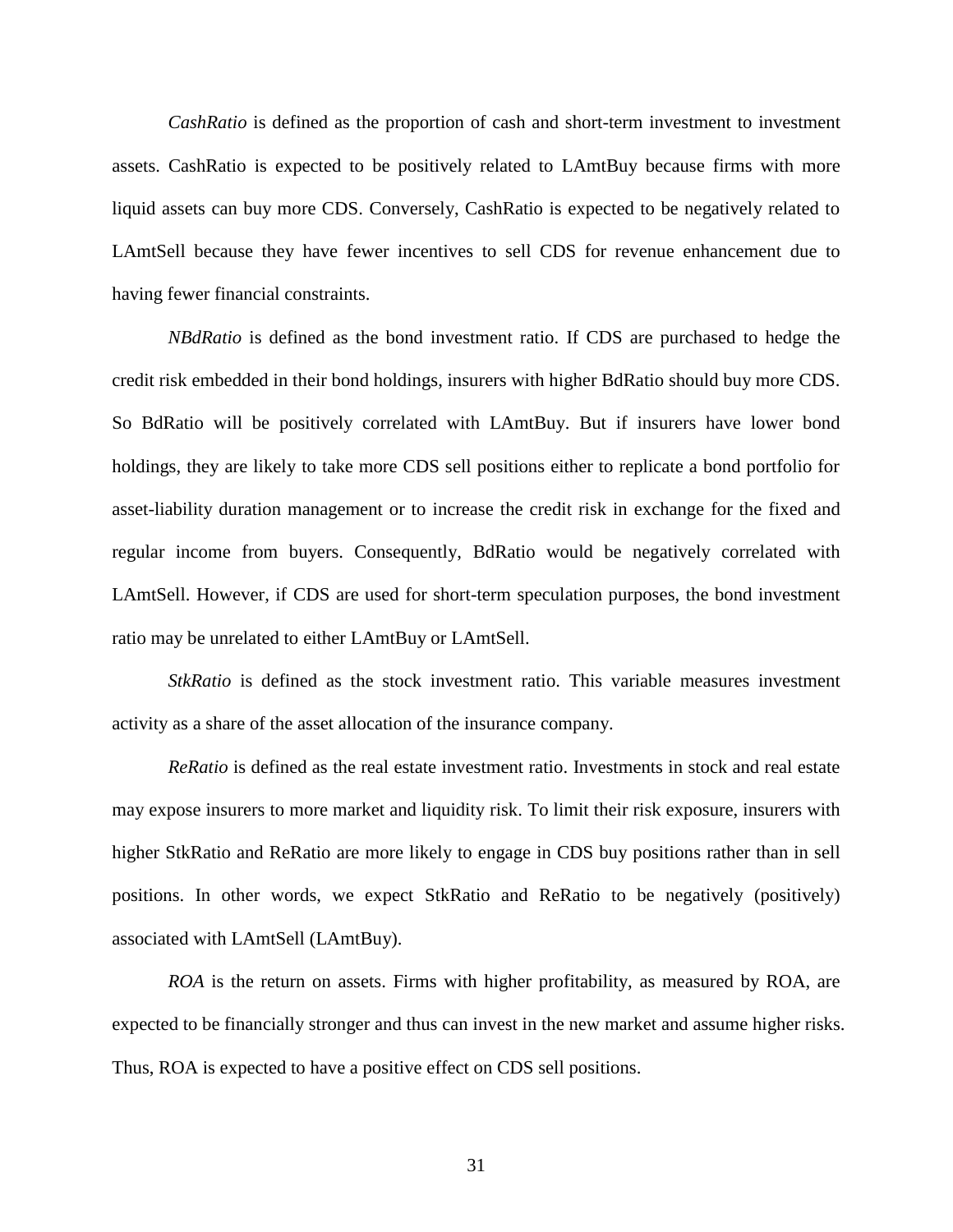*CashRatio* is defined as the proportion of cash and short-term investment to investment assets. CashRatio is expected to be positively related to LAmtBuy because firms with more liquid assets can buy more CDS. Conversely, CashRatio is expected to be negatively related to LAmtSell because they have fewer incentives to sell CDS for revenue enhancement due to having fewer financial constraints.

*NBdRatio* is defined as the bond investment ratio. If CDS are purchased to hedge the credit risk embedded in their bond holdings, insurers with higher BdRatio should buy more CDS. So BdRatio will be positively correlated with LAmtBuy. But if insurers have lower bond holdings, they are likely to take more CDS sell positions either to replicate a bond portfolio for asset-liability duration management or to increase the credit risk in exchange for the fixed and regular income from buyers. Consequently, BdRatio would be negatively correlated with LAmtSell. However, if CDS are used for short-term speculation purposes, the bond investment ratio may be unrelated to either LAmtBuy or LAmtSell.

*StkRatio* is defined as the stock investment ratio. This variable measures investment activity as a share of the asset allocation of the insurance company.

*ReRatio* is defined as the real estate investment ratio. Investments in stock and real estate may expose insurers to more market and liquidity risk. To limit their risk exposure, insurers with higher StkRatio and ReRatio are more likely to engage in CDS buy positions rather than in sell positions. In other words, we expect StkRatio and ReRatio to be negatively (positively) associated with LAmtSell (LAmtBuy).

*ROA* is the return on assets. Firms with higher profitability, as measured by ROA, are expected to be financially stronger and thus can invest in the new market and assume higher risks. Thus, ROA is expected to have a positive effect on CDS sell positions.

31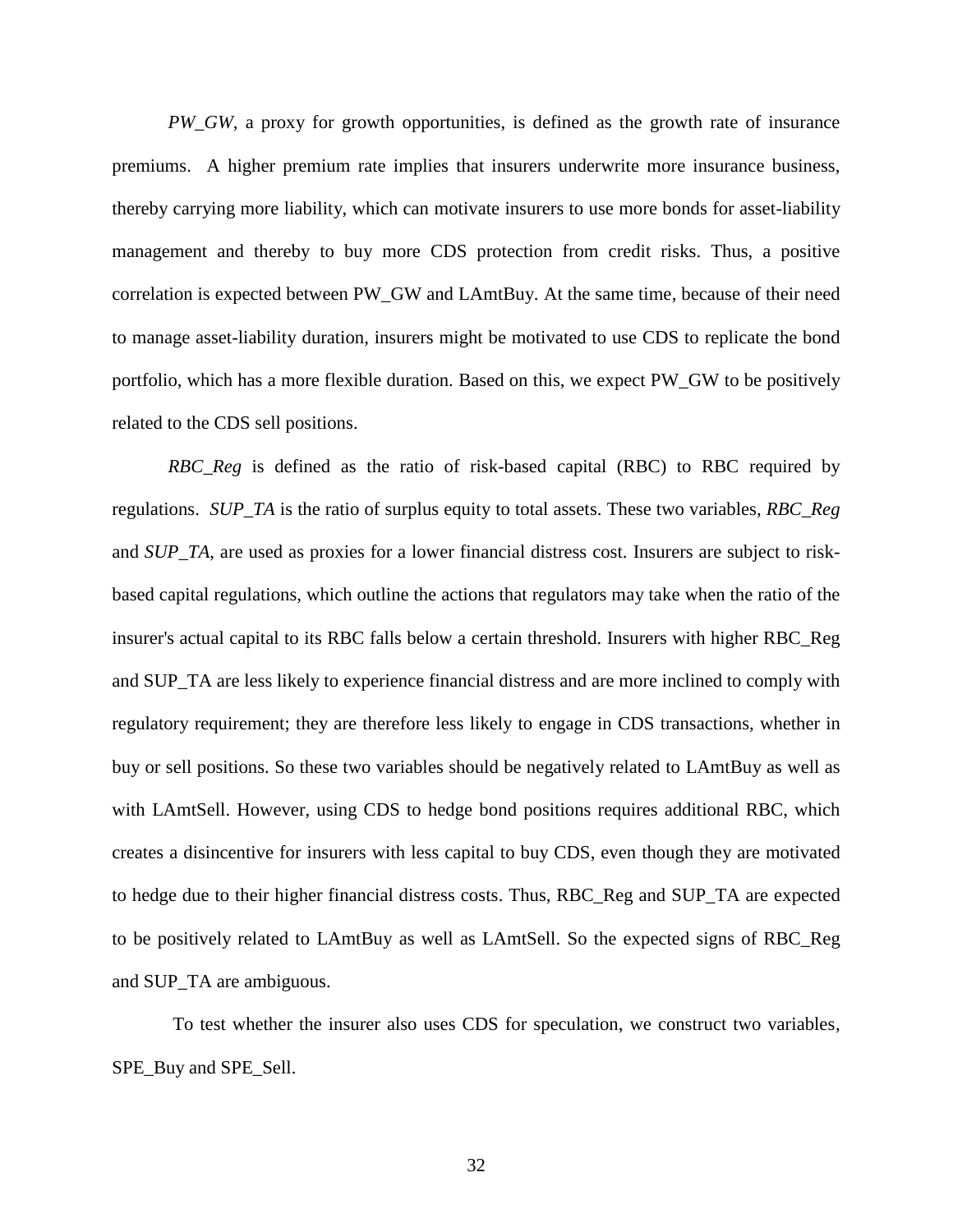*PW\_GW*, a proxy for growth opportunities, is defined as the growth rate of insurance premiums. A higher premium rate implies that insurers underwrite more insurance business, thereby carrying more liability, which can motivate insurers to use more bonds for asset-liability management and thereby to buy more CDS protection from credit risks. Thus, a positive correlation is expected between PW\_GW and LAmtBuy. At the same time, because of their need to manage asset-liability duration, insurers might be motivated to use CDS to replicate the bond portfolio, which has a more flexible duration. Based on this, we expect PW\_GW to be positively related to the CDS sell positions.

*RBC\_Reg* is defined as the ratio of risk-based capital (RBC) to RBC required by regulations. *SUP\_TA* is the ratio of surplus equity to total assets. These two variables, *RBC\_Reg* and *SUP\_TA*, are used as proxies for a lower financial distress cost. Insurers are subject to riskbased capital regulations, which outline the actions that regulators may take when the ratio of the insurer's actual capital to its RBC falls below a certain threshold. Insurers with higher RBC\_Reg and SUP TA are less likely to experience financial distress and are more inclined to comply with regulatory requirement; they are therefore less likely to engage in CDS transactions, whether in buy or sell positions. So these two variables should be negatively related to LAmtBuy as well as with LAmtSell. However, using CDS to hedge bond positions requires additional RBC, which creates a disincentive for insurers with less capital to buy CDS, even though they are motivated to hedge due to their higher financial distress costs. Thus, RBC\_Reg and SUP\_TA are expected to be positively related to LAmtBuy as well as LAmtSell. So the expected signs of RBC\_Reg and SUP\_TA are ambiguous.

To test whether the insurer also uses CDS for speculation, we construct two variables, SPE\_Buy and SPE\_Sell.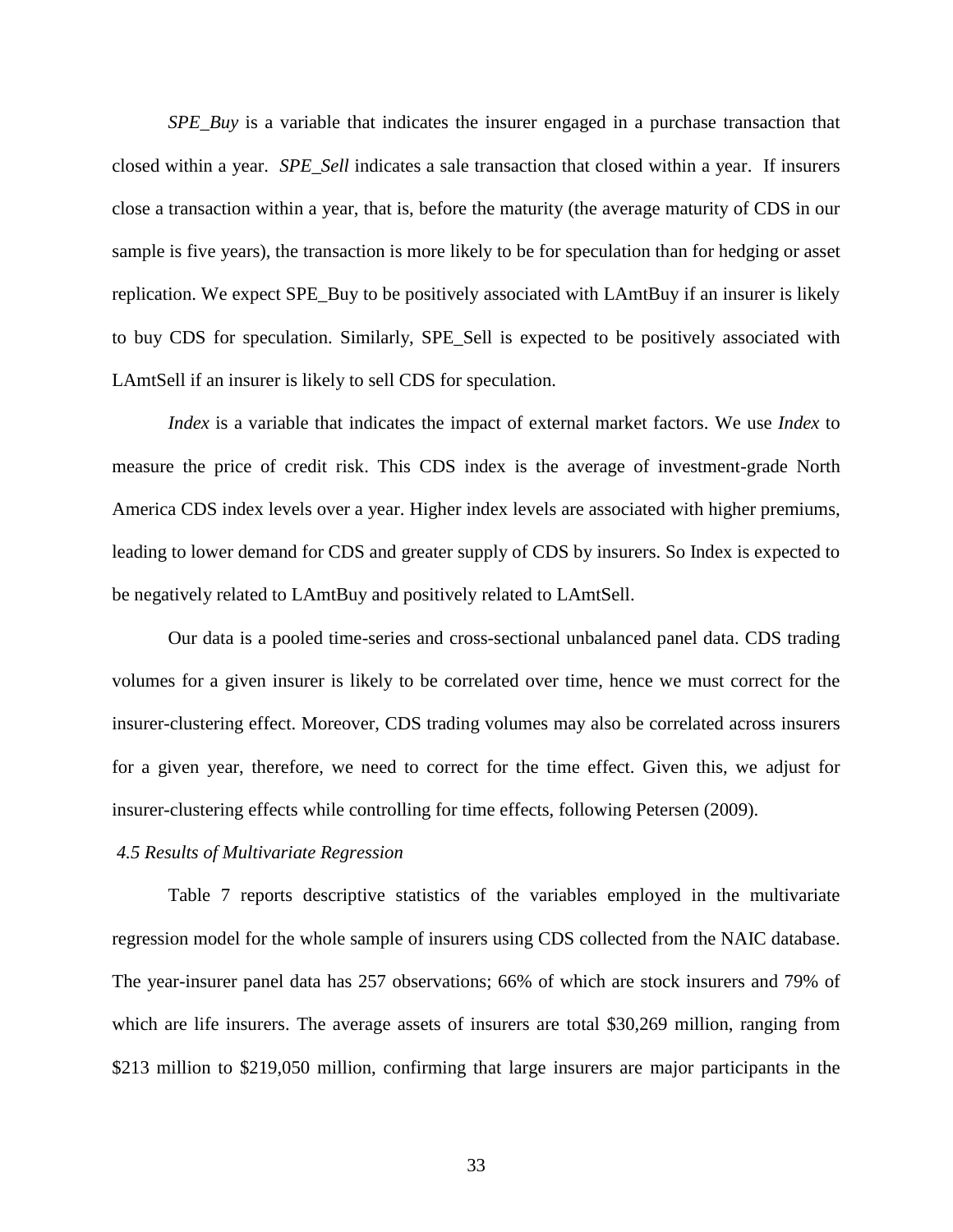*SPE\_Buy* is a variable that indicates the insurer engaged in a purchase transaction that closed within a year. *SPE\_Sell* indicates a sale transaction that closed within a year. If insurers close a transaction within a year, that is, before the maturity (the average maturity of CDS in our sample is five years), the transaction is more likely to be for speculation than for hedging or asset replication. We expect SPE\_Buy to be positively associated with LAmtBuy if an insurer is likely to buy CDS for speculation. Similarly, SPE\_Sell is expected to be positively associated with LAmtSell if an insurer is likely to sell CDS for speculation.

*Index* is a variable that indicates the impact of external market factors. We use *Index* to measure the price of credit risk. This CDS index is the average of investment-grade North America CDS index levels over a year. Higher index levels are associated with higher premiums, leading to lower demand for CDS and greater supply of CDS by insurers. So Index is expected to be negatively related to LAmtBuy and positively related to LAmtSell.

Our data is a pooled time-series and cross-sectional unbalanced panel data. CDS trading volumes for a given insurer is likely to be correlated over time, hence we must correct for the insurer-clustering effect. Moreover, CDS trading volumes may also be correlated across insurers for a given year, therefore, we need to correct for the time effect. Given this, we adjust for insurer-clustering effects while controlling for time effects, following Petersen (2009).

#### *4.5 Results of Multivariate Regression*

Table 7 reports descriptive statistics of the variables employed in the multivariate regression model for the whole sample of insurers using CDS collected from the NAIC database. The year-insurer panel data has 257 observations; 66% of which are stock insurers and 79% of which are life insurers. The average assets of insurers are total \$30,269 million, ranging from \$213 million to \$219,050 million, confirming that large insurers are major participants in the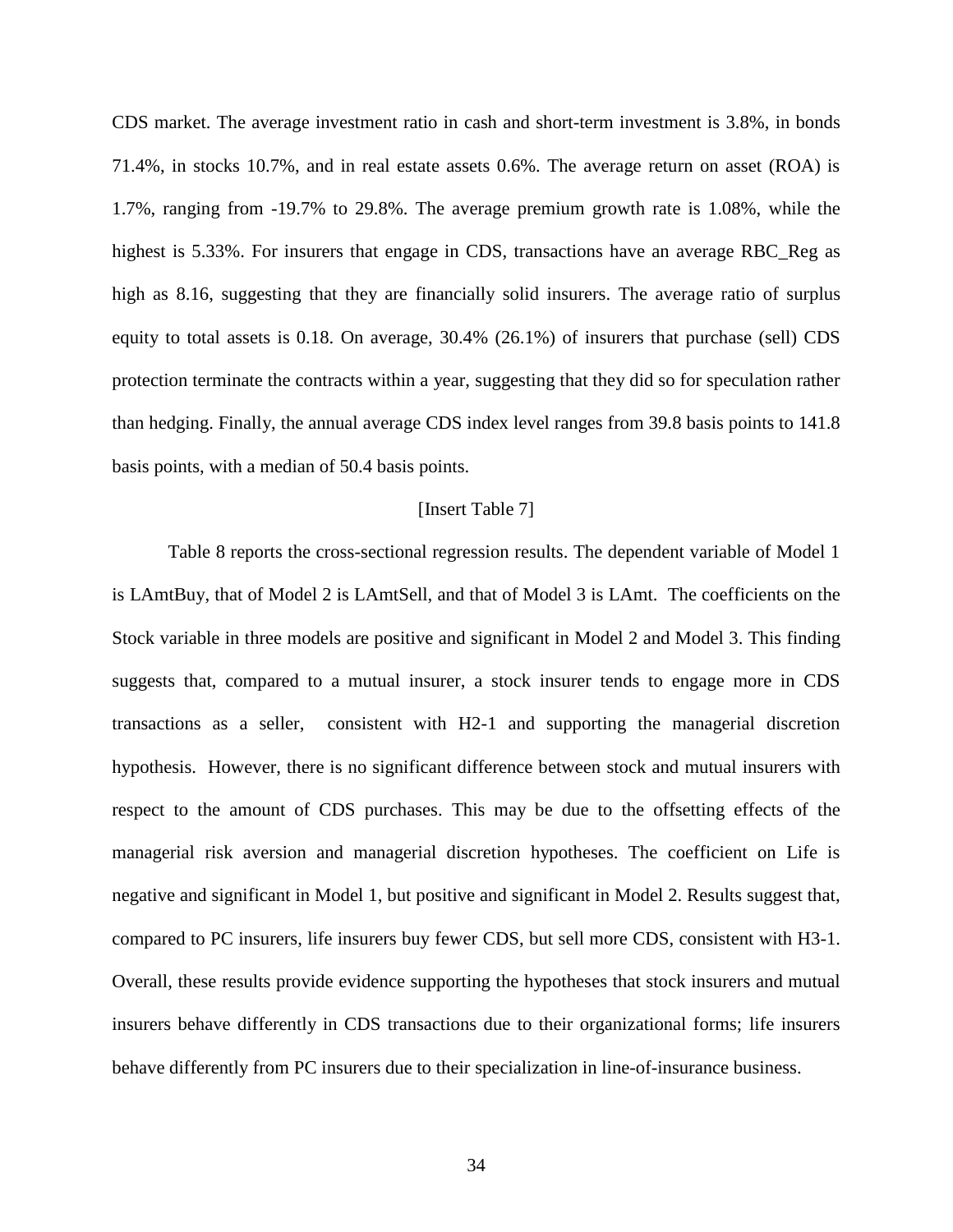CDS market. The average investment ratio in cash and short-term investment is 3.8%, in bonds 71.4%, in stocks 10.7%, and in real estate assets 0.6%. The average return on asset (ROA) is 1.7%, ranging from -19.7% to 29.8%. The average premium growth rate is 1.08%, while the highest is 5.33%. For insurers that engage in CDS, transactions have an average RBC Reg as high as 8.16, suggesting that they are financially solid insurers. The average ratio of surplus equity to total assets is 0.18. On average, 30.4% (26.1%) of insurers that purchase (sell) CDS protection terminate the contracts within a year, suggesting that they did so for speculation rather than hedging. Finally, the annual average CDS index level ranges from 39.8 basis points to 141.8 basis points, with a median of 50.4 basis points.

### [Insert Table 7]

Table 8 reports the cross-sectional regression results. The dependent variable of Model 1 is LAmtBuy, that of Model 2 is LAmtSell, and that of Model 3 is LAmt. The coefficients on the Stock variable in three models are positive and significant in Model 2 and Model 3. This finding suggests that, compared to a mutual insurer, a stock insurer tends to engage more in CDS transactions as a seller, consistent with H2-1 and supporting the managerial discretion hypothesis. However, there is no significant difference between stock and mutual insurers with respect to the amount of CDS purchases. This may be due to the offsetting effects of the managerial risk aversion and managerial discretion hypotheses. The coefficient on Life is negative and significant in Model 1, but positive and significant in Model 2. Results suggest that, compared to PC insurers, life insurers buy fewer CDS, but sell more CDS, consistent with H3-1. Overall, these results provide evidence supporting the hypotheses that stock insurers and mutual insurers behave differently in CDS transactions due to their organizational forms; life insurers behave differently from PC insurers due to their specialization in line-of-insurance business.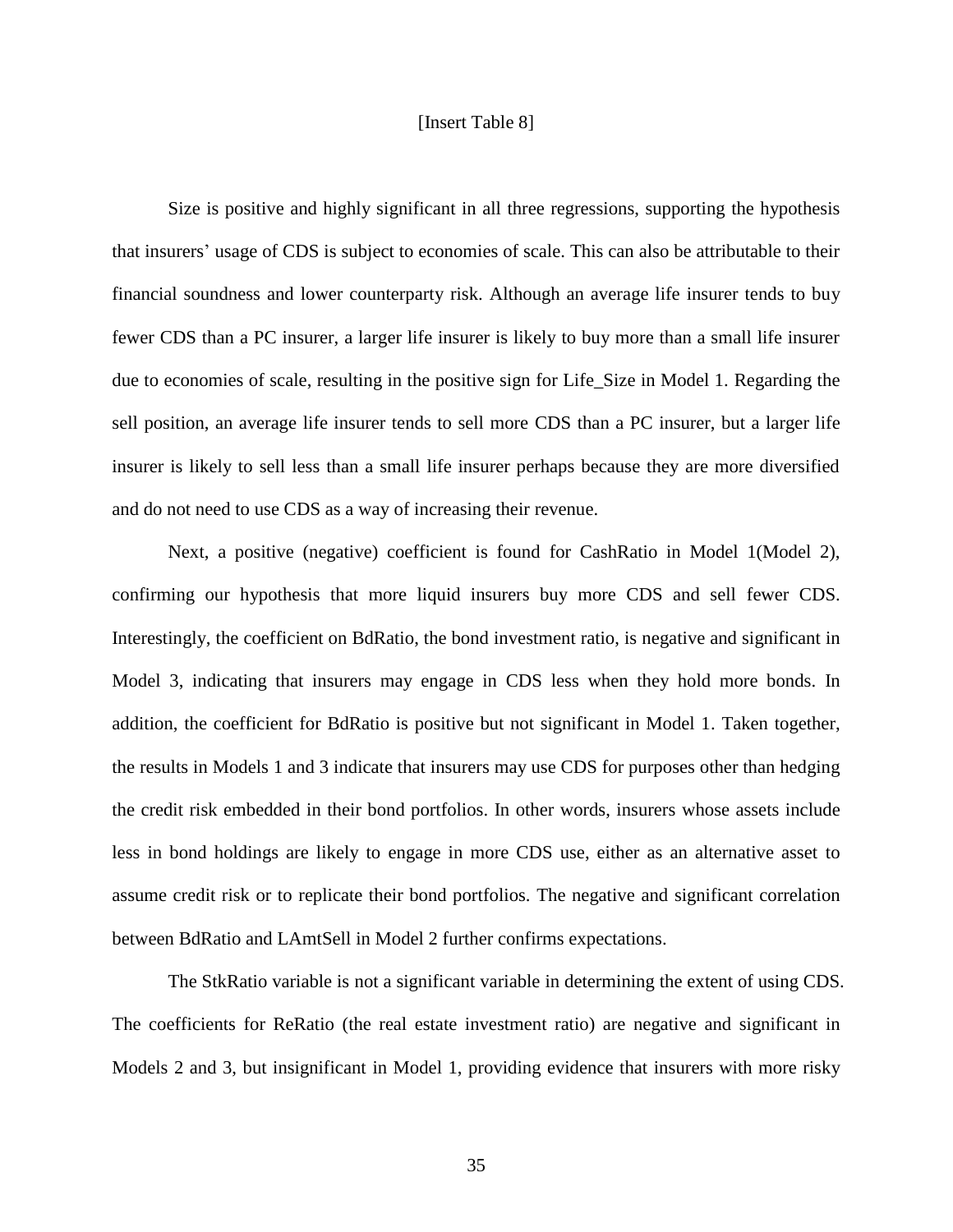## [Insert Table 8]

Size is positive and highly significant in all three regressions, supporting the hypothesis that insurers' usage of CDS is subject to economies of scale. This can also be attributable to their financial soundness and lower counterparty risk. Although an average life insurer tends to buy fewer CDS than a PC insurer, a larger life insurer is likely to buy more than a small life insurer due to economies of scale, resulting in the positive sign for Life\_Size in Model 1. Regarding the sell position, an average life insurer tends to sell more CDS than a PC insurer, but a larger life insurer is likely to sell less than a small life insurer perhaps because they are more diversified and do not need to use CDS as a way of increasing their revenue.

Next, a positive (negative) coefficient is found for CashRatio in Model 1(Model 2), confirming our hypothesis that more liquid insurers buy more CDS and sell fewer CDS. Interestingly, the coefficient on BdRatio, the bond investment ratio, is negative and significant in Model 3, indicating that insurers may engage in CDS less when they hold more bonds. In addition, the coefficient for BdRatio is positive but not significant in Model 1. Taken together, the results in Models 1 and 3 indicate that insurers may use CDS for purposes other than hedging the credit risk embedded in their bond portfolios. In other words, insurers whose assets include less in bond holdings are likely to engage in more CDS use, either as an alternative asset to assume credit risk or to replicate their bond portfolios. The negative and significant correlation between BdRatio and LAmtSell in Model 2 further confirms expectations.

The StkRatio variable is not a significant variable in determining the extent of using CDS. The coefficients for ReRatio (the real estate investment ratio) are negative and significant in Models 2 and 3, but insignificant in Model 1, providing evidence that insurers with more risky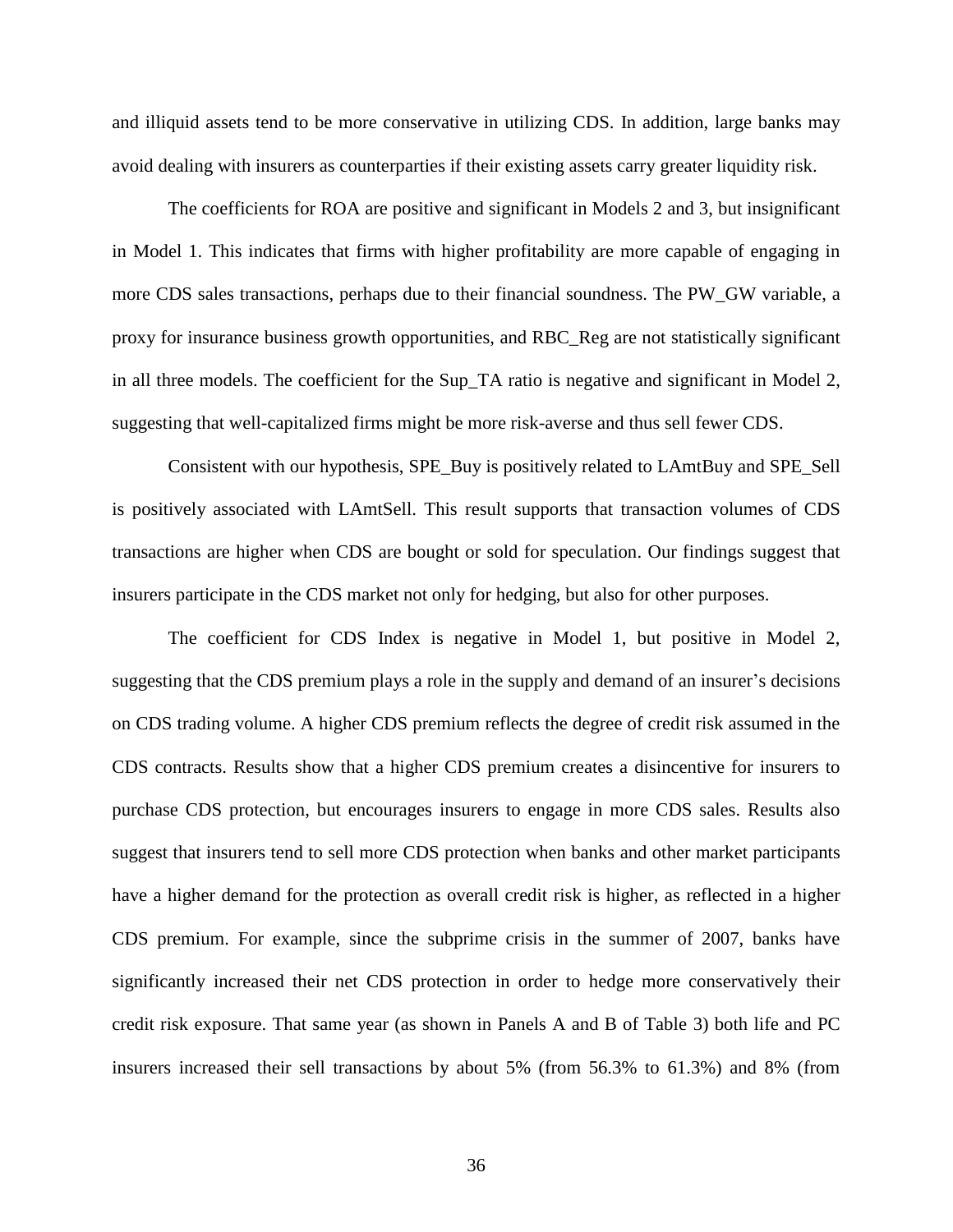and illiquid assets tend to be more conservative in utilizing CDS. In addition, large banks may avoid dealing with insurers as counterparties if their existing assets carry greater liquidity risk.

The coefficients for ROA are positive and significant in Models 2 and 3, but insignificant in Model 1. This indicates that firms with higher profitability are more capable of engaging in more CDS sales transactions, perhaps due to their financial soundness. The PW\_GW variable, a proxy for insurance business growth opportunities, and RBC\_Reg are not statistically significant in all three models. The coefficient for the Sup\_TA ratio is negative and significant in Model 2, suggesting that well-capitalized firms might be more risk-averse and thus sell fewer CDS.

Consistent with our hypothesis, SPE\_Buy is positively related to LAmtBuy and SPE\_Sell is positively associated with LAmtSell. This result supports that transaction volumes of CDS transactions are higher when CDS are bought or sold for speculation. Our findings suggest that insurers participate in the CDS market not only for hedging, but also for other purposes.

The coefficient for CDS Index is negative in Model 1, but positive in Model 2, suggesting that the CDS premium plays a role in the supply and demand of an insurer's decisions on CDS trading volume. A higher CDS premium reflects the degree of credit risk assumed in the CDS contracts. Results show that a higher CDS premium creates a disincentive for insurers to purchase CDS protection, but encourages insurers to engage in more CDS sales. Results also suggest that insurers tend to sell more CDS protection when banks and other market participants have a higher demand for the protection as overall credit risk is higher, as reflected in a higher CDS premium. For example, since the subprime crisis in the summer of 2007, banks have significantly increased their net CDS protection in order to hedge more conservatively their credit risk exposure. That same year (as shown in Panels A and B of Table 3) both life and PC insurers increased their sell transactions by about 5% (from 56.3% to 61.3%) and 8% (from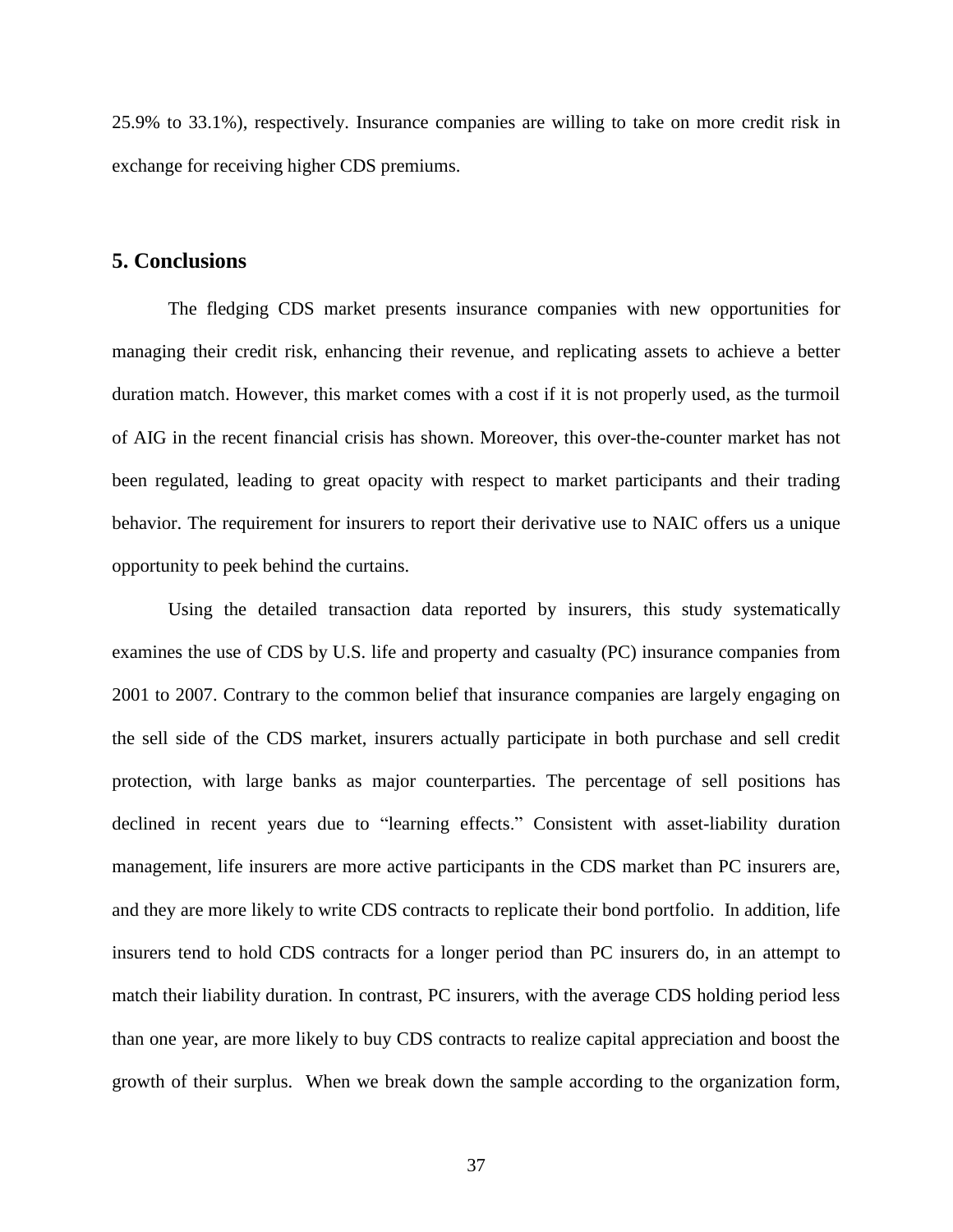25.9% to 33.1%), respectively. Insurance companies are willing to take on more credit risk in exchange for receiving higher CDS premiums.

## **5. Conclusions**

The fledging CDS market presents insurance companies with new opportunities for managing their credit risk, enhancing their revenue, and replicating assets to achieve a better duration match. However, this market comes with a cost if it is not properly used, as the turmoil of AIG in the recent financial crisis has shown. Moreover, this over-the-counter market has not been regulated, leading to great opacity with respect to market participants and their trading behavior. The requirement for insurers to report their derivative use to NAIC offers us a unique opportunity to peek behind the curtains.

Using the detailed transaction data reported by insurers, this study systematically examines the use of CDS by U.S. life and property and casualty (PC) insurance companies from 2001 to 2007. Contrary to the common belief that insurance companies are largely engaging on the sell side of the CDS market, insurers actually participate in both purchase and sell credit protection, with large banks as major counterparties. The percentage of sell positions has declined in recent years due to "learning effects." Consistent with asset-liability duration management, life insurers are more active participants in the CDS market than PC insurers are, and they are more likely to write CDS contracts to replicate their bond portfolio. In addition, life insurers tend to hold CDS contracts for a longer period than PC insurers do, in an attempt to match their liability duration. In contrast, PC insurers, with the average CDS holding period less than one year, are more likely to buy CDS contracts to realize capital appreciation and boost the growth of their surplus. When we break down the sample according to the organization form,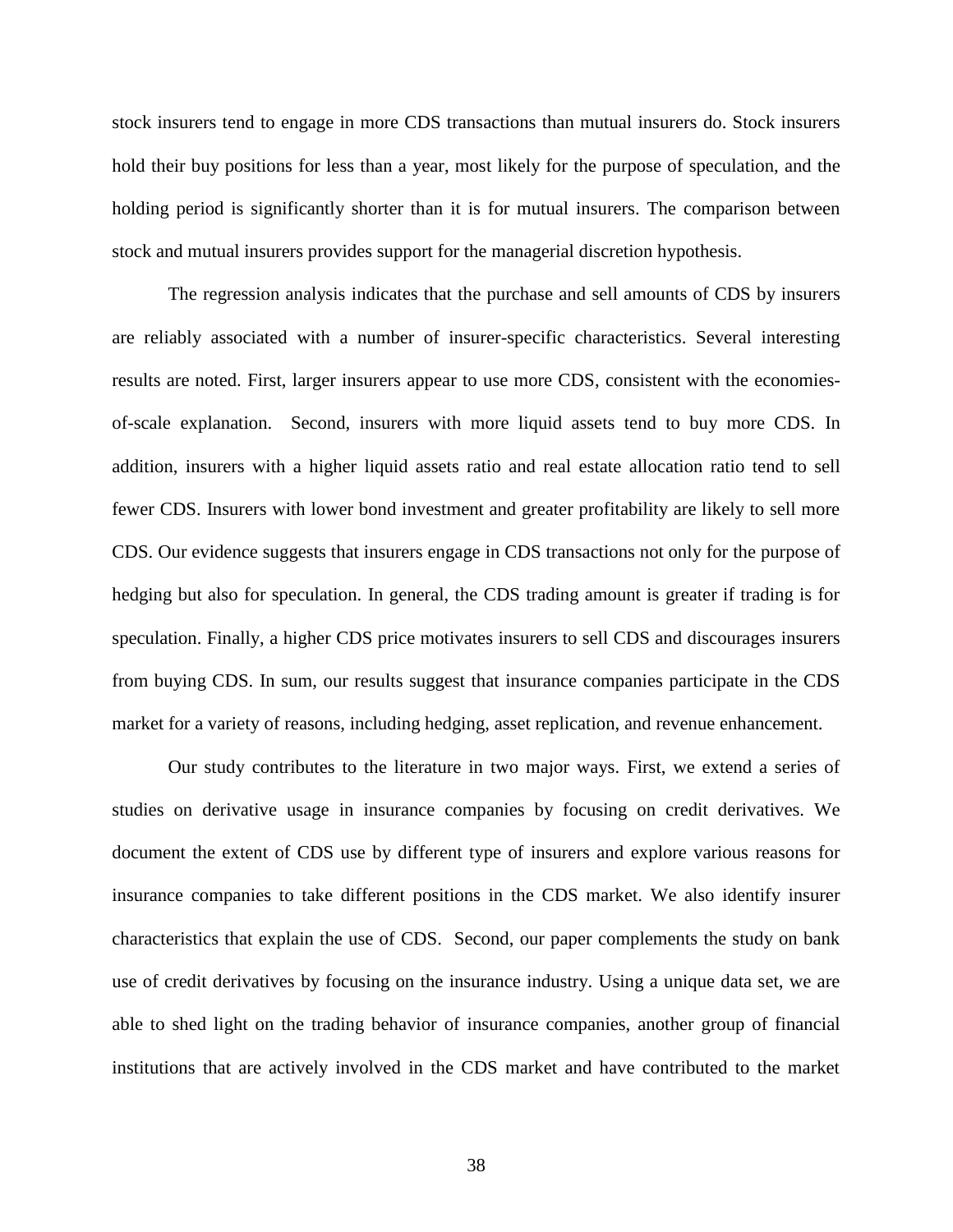stock insurers tend to engage in more CDS transactions than mutual insurers do. Stock insurers hold their buy positions for less than a year, most likely for the purpose of speculation, and the holding period is significantly shorter than it is for mutual insurers. The comparison between stock and mutual insurers provides support for the managerial discretion hypothesis.

The regression analysis indicates that the purchase and sell amounts of CDS by insurers are reliably associated with a number of insurer-specific characteristics. Several interesting results are noted. First, larger insurers appear to use more CDS, consistent with the economiesof-scale explanation. Second, insurers with more liquid assets tend to buy more CDS. In addition, insurers with a higher liquid assets ratio and real estate allocation ratio tend to sell fewer CDS. Insurers with lower bond investment and greater profitability are likely to sell more CDS. Our evidence suggests that insurers engage in CDS transactions not only for the purpose of hedging but also for speculation. In general, the CDS trading amount is greater if trading is for speculation. Finally, a higher CDS price motivates insurers to sell CDS and discourages insurers from buying CDS. In sum, our results suggest that insurance companies participate in the CDS market for a variety of reasons, including hedging, asset replication, and revenue enhancement.

Our study contributes to the literature in two major ways. First, we extend a series of studies on derivative usage in insurance companies by focusing on credit derivatives. We document the extent of CDS use by different type of insurers and explore various reasons for insurance companies to take different positions in the CDS market. We also identify insurer characteristics that explain the use of CDS. Second, our paper complements the study on bank use of credit derivatives by focusing on the insurance industry. Using a unique data set, we are able to shed light on the trading behavior of insurance companies, another group of financial institutions that are actively involved in the CDS market and have contributed to the market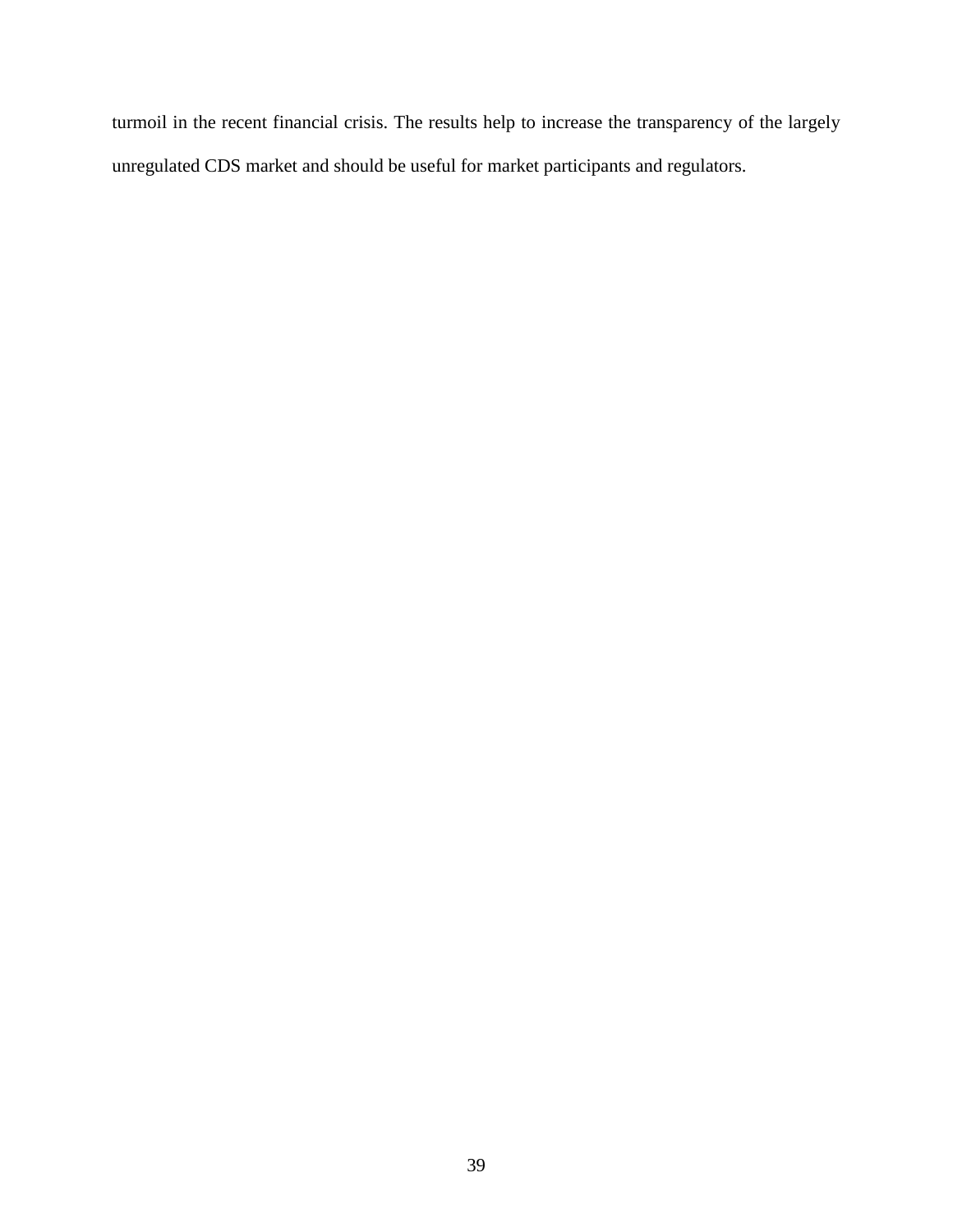turmoil in the recent financial crisis. The results help to increase the transparency of the largely unregulated CDS market and should be useful for market participants and regulators.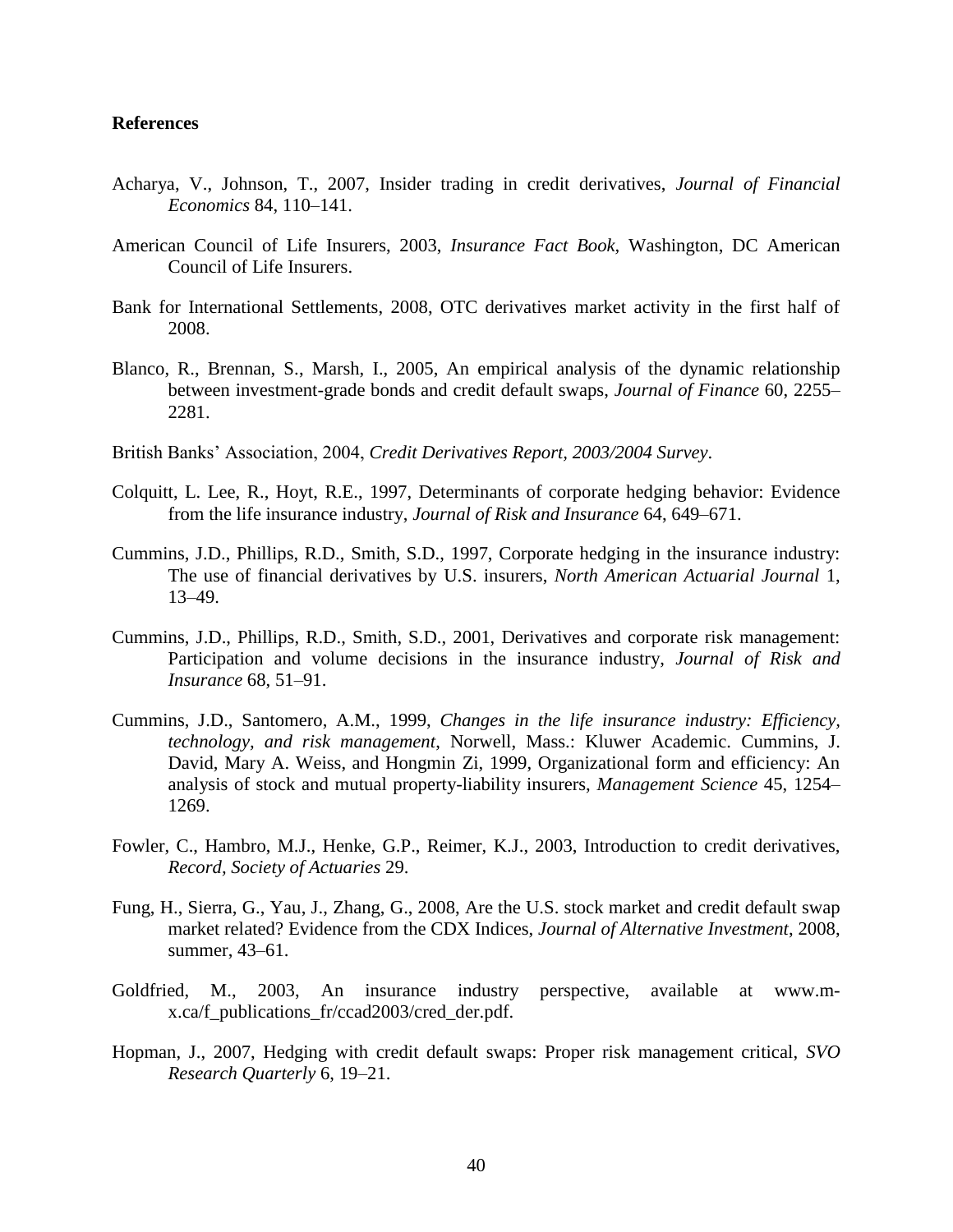## **References**

- Acharya, V., Johnson, T., 2007, Insider trading in credit derivatives, *Journal of Financial Economics* 84, 110–141.
- American Council of Life Insurers, 2003, *Insurance Fact Book,* Washington, DC American Council of Life Insurers.
- Bank for International Settlements, 2008, OTC derivatives market activity in the first half of 2008.
- Blanco, R., Brennan, S., Marsh, I., 2005, An empirical analysis of the dynamic relationship between investment-grade bonds and credit default swaps, *Journal of Finance* 60, 2255– 2281.
- British Banks' Association, 2004, *Credit Derivatives Report, 2003/2004 Survey*.
- Colquitt, L. Lee, R., Hoyt, R.E., 1997, Determinants of corporate hedging behavior: Evidence from the life insurance industry, *Journal of Risk and Insurance* 64, 649–671.
- Cummins, J.D., Phillips, R.D., Smith, S.D., 1997, Corporate hedging in the insurance industry: The use of financial derivatives by U.S. insurers, *North American Actuarial Journal* 1, 13–49.
- Cummins, J.D., Phillips, R.D., Smith, S.D., 2001, Derivatives and corporate risk management: Participation and volume decisions in the insurance industry, *Journal of Risk and Insurance* 68, 51–91.
- Cummins, J.D., Santomero, A.M., 1999, *Changes in the life insurance industry: Efficiency, technology, and risk management*, Norwell, Mass.: Kluwer Academic. Cummins, J. David, Mary A. Weiss, and Hongmin Zi, 1999, Organizational form and efficiency: An analysis of stock and mutual property-liability insurers, *Management Science* 45, 1254– 1269.
- Fowler, C., Hambro, M.J., Henke, G.P., Reimer, K.J., 2003, Introduction to credit derivatives, *Record, Society of Actuaries* 29.
- Fung, H., Sierra, G., Yau, J., Zhang, G., 2008, Are the U.S. stock market and credit default swap market related? Evidence from the CDX Indices, *Journal of Alternative Investment*, 2008, summer, 43–61.
- Goldfried, M., 2003, An insurance industry perspective, available at www.mx.ca/f\_publications\_fr/ccad2003/cred\_der.pdf.
- Hopman, J., 2007, Hedging with credit default swaps: Proper risk management critical, *SVO Research Quarterly* 6, 19–21.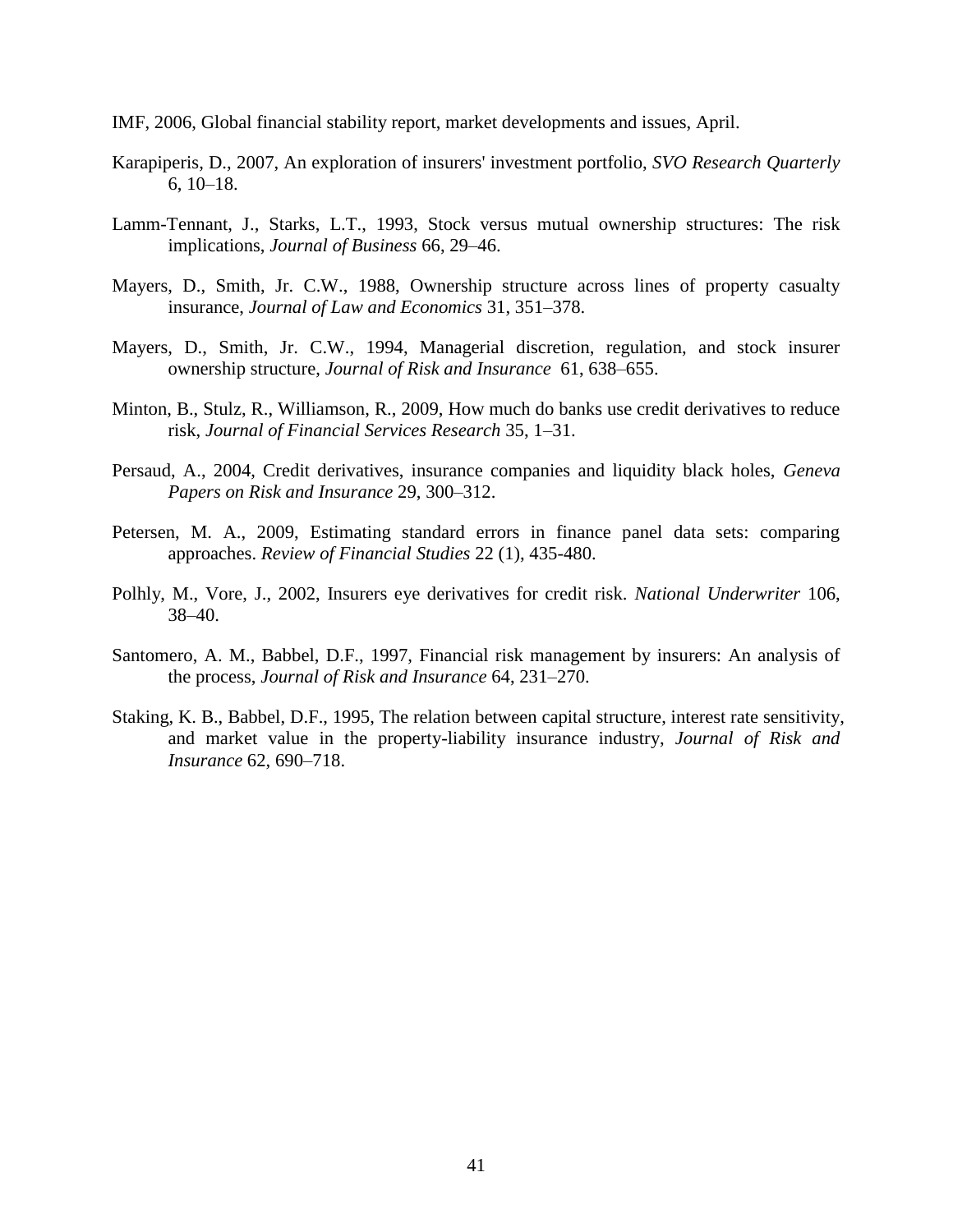- IMF, 2006, Global financial stability report, market developments and issues, April.
- Karapiperis, D., 2007, An exploration of insurers' investment portfolio, *SVO Research Quarterly* 6, 10–18.
- Lamm-Tennant, J., Starks, L.T., 1993, Stock versus mutual ownership structures: The risk implications, *Journal of Business* 66, 29–46.
- Mayers, D., Smith, Jr. C.W., 1988, Ownership structure across lines of property casualty insurance, *Journal of Law and Economics* 31, 351–378.
- Mayers, D., Smith, Jr. C.W., 1994, Managerial discretion, regulation, and stock insurer ownership structure, *Journal of Risk and Insurance* 61, 638–655.
- Minton, B., Stulz, R., Williamson, R., 2009, How much do banks use credit derivatives to reduce risk, *Journal of Financial Services Research* 35, 1–31.
- Persaud, A., 2004, Credit derivatives, insurance companies and liquidity black holes, *Geneva Papers on Risk and Insurance* 29, 300–312.
- Petersen, M. A., 2009, Estimating standard errors in finance panel data sets: comparing approaches. *Review of Financial Studies* 22 (1), 435-480.
- Polhly, M., Vore, J., 2002, Insurers eye derivatives for credit risk. *National Underwriter* 106, 38–40.
- Santomero, A. M., Babbel, D.F., 1997, Financial risk management by insurers: An analysis of the process, *Journal of Risk and Insurance* 64, 231–270.
- Staking, K. B., Babbel, D.F., 1995, The relation between capital structure, interest rate sensitivity, and market value in the property-liability insurance industry, *Journal of Risk and Insurance* 62, 690–718.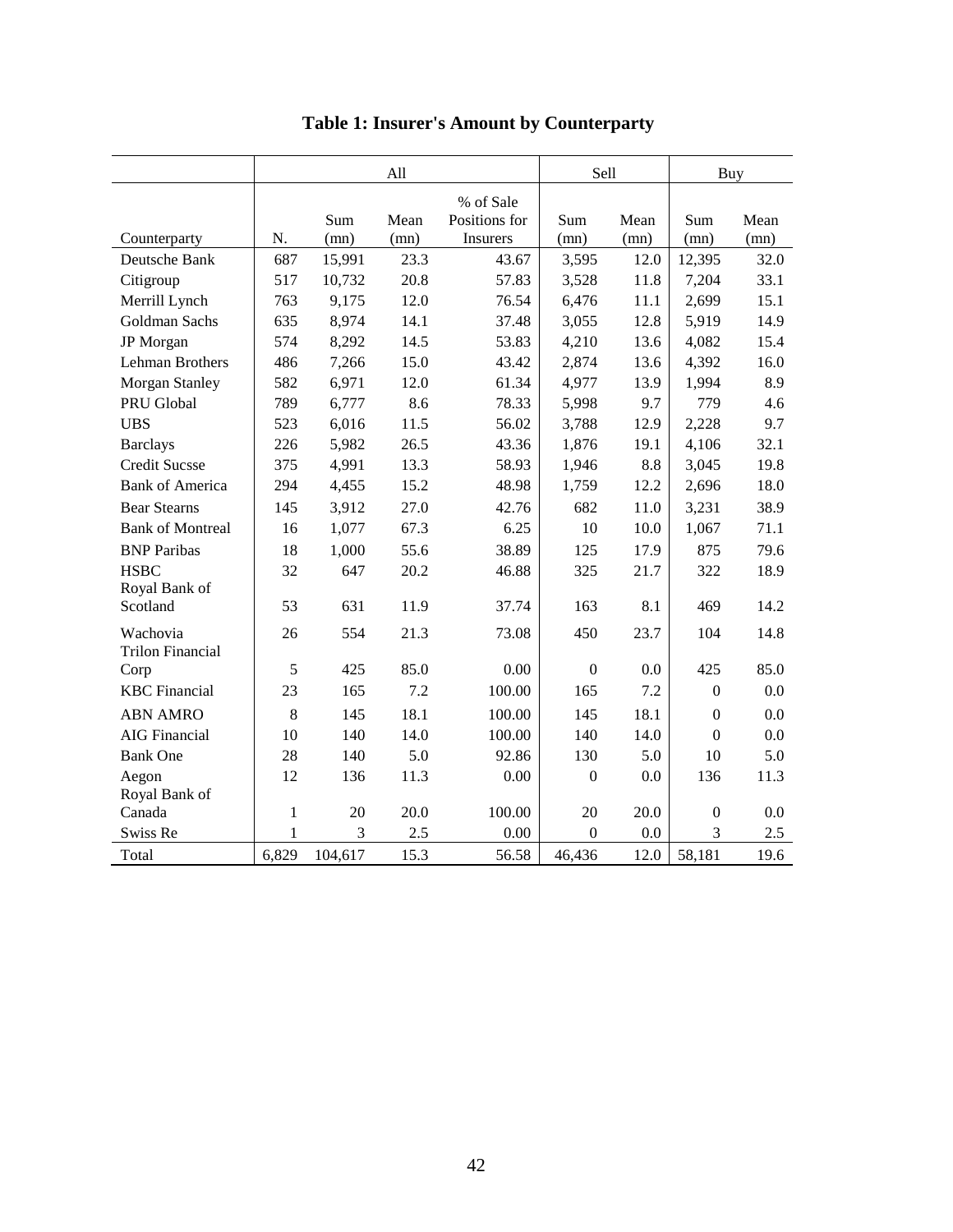|                                     |              |             | All          |                                               | Sell             |              | Buy              |              |
|-------------------------------------|--------------|-------------|--------------|-----------------------------------------------|------------------|--------------|------------------|--------------|
| Counterparty                        | N.           | Sum<br>(mn) | Mean<br>(mn) | % of Sale<br>Positions for<br><b>Insurers</b> | Sum<br>(mn)      | Mean<br>(mn) | Sum<br>(mn)      | Mean<br>(mn) |
| Deutsche Bank                       | 687          | 15,991      | 23.3         | 43.67                                         | 3,595            | 12.0         | 12,395           | 32.0         |
| Citigroup                           | 517          | 10,732      | 20.8         | 57.83                                         | 3,528            | 11.8         | 7,204            | 33.1         |
| Merrill Lynch                       | 763          | 9,175       | 12.0         | 76.54                                         | 6,476            | 11.1         | 2,699            | 15.1         |
| Goldman Sachs                       | 635          | 8,974       | 14.1         | 37.48                                         | 3,055            | 12.8         | 5,919            | 14.9         |
| JP Morgan                           | 574          | 8,292       | 14.5         | 53.83                                         | 4,210            | 13.6         | 4,082            | 15.4         |
| Lehman Brothers                     | 486          | 7,266       | 15.0         | 43.42                                         | 2,874            | 13.6         | 4,392            | 16.0         |
| Morgan Stanley                      | 582          | 6,971       | 12.0         | 61.34                                         | 4,977            | 13.9         | 1,994            | 8.9          |
| PRU Global                          | 789          | 6,777       | 8.6          | 78.33                                         | 5,998            | 9.7          | 779              | 4.6          |
| <b>UBS</b>                          | 523          | 6,016       | 11.5         | 56.02                                         | 3,788            | 12.9         | 2,228            | 9.7          |
| <b>Barclays</b>                     | 226          | 5,982       | 26.5         | 43.36                                         | 1,876            | 19.1         | 4,106            | 32.1         |
| <b>Credit Sucsse</b>                | 375          | 4,991       | 13.3         | 58.93                                         | 1,946            | 8.8          | 3,045            | 19.8         |
| <b>Bank of America</b>              | 294          | 4,455       | 15.2         | 48.98                                         | 1,759            | 12.2         | 2,696            | 18.0         |
| <b>Bear Stearns</b>                 | 145          | 3,912       | 27.0         | 42.76                                         | 682              | 11.0         | 3,231            | 38.9         |
| <b>Bank of Montreal</b>             | 16           | 1,077       | 67.3         | 6.25                                          | 10               | 10.0         | 1,067            | 71.1         |
| <b>BNP</b> Paribas                  | 18           | 1,000       | 55.6         | 38.89                                         | 125              | 17.9         | 875              | 79.6         |
| <b>HSBC</b>                         | 32           | 647         | 20.2         | 46.88                                         | 325              | 21.7         | 322              | 18.9         |
| Royal Bank of                       |              |             |              |                                               |                  |              |                  |              |
| Scotland                            | 53           | 631         | 11.9         | 37.74                                         | 163              | 8.1          | 469              | 14.2         |
| Wachovia<br><b>Trilon Financial</b> | 26           | 554         | 21.3         | 73.08                                         | 450              | 23.7         | 104              | 14.8         |
| Corp                                | 5            | 425         | 85.0         | 0.00                                          | $\boldsymbol{0}$ | 0.0          | 425              | 85.0         |
| <b>KBC</b> Financial                | 23           | 165         | 7.2          | 100.00                                        | 165              | 7.2          | $\boldsymbol{0}$ | 0.0          |
| <b>ABN AMRO</b>                     | 8            | 145         | 18.1         | 100.00                                        | 145              | 18.1         | $\mathbf{0}$     | 0.0          |
| <b>AIG Financial</b>                | 10           | 140         | 14.0         | 100.00                                        | 140              | 14.0         | $\mathbf{0}$     | 0.0          |
| <b>Bank One</b>                     | 28           | 140         | 5.0          | 92.86                                         | 130              | 5.0          | 10               | 5.0          |
| Aegon                               | 12           | 136         | 11.3         | 0.00                                          | $\mathbf{0}$     | 0.0          | 136              | 11.3         |
| Royal Bank of                       |              |             |              |                                               |                  |              |                  |              |
| Canada                              | $\mathbf{1}$ | 20          | 20.0         | 100.00                                        | 20               | 20.0         | $\mathbf{0}$     | 0.0          |
| Swiss Re                            | 1            | 3           | 2.5          | 0.00                                          | $\theta$         | 0.0          | 3                | 2.5          |
| Total                               | 6,829        | 104,617     | 15.3         | 56.58                                         | 46,436           | 12.0         | 58,181           | 19.6         |

**Table 1: Insurer's Amount by Counterparty**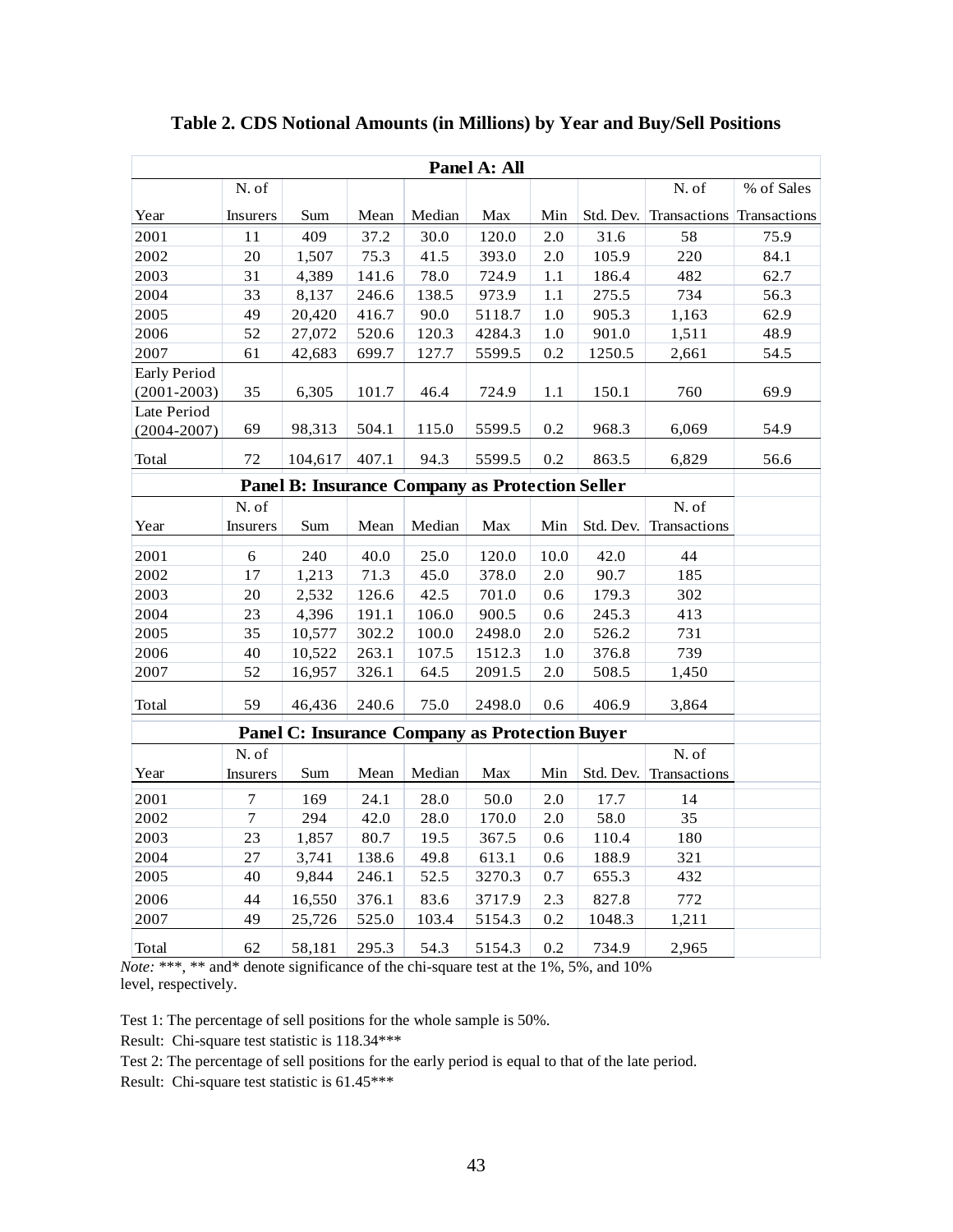|                                                                                                      |                 |                                                        |       |        | Panel A: All |         |        |                                     |            |
|------------------------------------------------------------------------------------------------------|-----------------|--------------------------------------------------------|-------|--------|--------------|---------|--------|-------------------------------------|------------|
|                                                                                                      | $\mathbf{N}$ of |                                                        |       |        |              |         |        | N. of                               | % of Sales |
| Year                                                                                                 | Insurers        | Sum                                                    | Mean  | Median | Max          | Min     |        | Std. Dev. Transactions Transactions |            |
| 2001                                                                                                 | 11              | 409                                                    | 37.2  | 30.0   | 120.0        | 2.0     | 31.6   | 58                                  | 75.9       |
| 2002                                                                                                 | 20              | 1,507                                                  | 75.3  | 41.5   | 393.0        | 2.0     | 105.9  | 220                                 | 84.1       |
| 2003                                                                                                 | 31              | 4,389                                                  | 141.6 | 78.0   | 724.9        | 1.1     | 186.4  | 482                                 | 62.7       |
| 2004                                                                                                 | 33              | 8,137                                                  | 246.6 | 138.5  | 973.9        | $1.1\,$ | 275.5  | 734                                 | 56.3       |
| 2005                                                                                                 | 49              | 20,420                                                 | 416.7 | 90.0   | 5118.7       | 1.0     | 905.3  | 1,163                               | 62.9       |
| 2006                                                                                                 | 52              | 27,072                                                 | 520.6 | 120.3  | 4284.3       | $1.0\,$ | 901.0  | 1,511                               | 48.9       |
| 2007                                                                                                 | 61              | 42,683                                                 | 699.7 | 127.7  | 5599.5       | 0.2     | 1250.5 | 2,661                               | 54.5       |
| Early Period<br>$(2001 - 2003)$                                                                      | 35              | 6,305                                                  | 101.7 | 46.4   | 724.9        | 1.1     | 150.1  | 760                                 | 69.9       |
| Late Period<br>$(2004 - 2007)$                                                                       | 69              | 98,313                                                 | 504.1 | 115.0  | 5599.5       | 0.2     | 968.3  | 6,069                               | 54.9       |
| Total                                                                                                | 72              | 104,617                                                | 407.1 | 94.3   | 5599.5       | 0.2     | 863.5  | 6,829                               | 56.6       |
|                                                                                                      |                 | <b>Panel B: Insurance Company as Protection Seller</b> |       |        |              |         |        |                                     |            |
|                                                                                                      | N. of           |                                                        |       |        |              |         |        | N. of                               |            |
| Year                                                                                                 | Insurers        | Sum                                                    | Mean  | Median | Max          | Min     |        | Std. Dev. Transactions              |            |
| 2001                                                                                                 | $6\,$           | 240                                                    | 40.0  | 25.0   | 120.0        | 10.0    | 42.0   | 44                                  |            |
| 2002                                                                                                 | 17              | 1,213                                                  | 71.3  | 45.0   | 378.0        | $2.0\,$ | 90.7   | 185                                 |            |
| 2003                                                                                                 | 20              | 2,532                                                  | 126.6 | 42.5   | 701.0        | 0.6     | 179.3  | 302                                 |            |
| 2004                                                                                                 | 23              | 4,396                                                  | 191.1 | 106.0  | 900.5        | 0.6     | 245.3  | 413                                 |            |
| 2005                                                                                                 | 35              | 10,577                                                 | 302.2 | 100.0  | 2498.0       | 2.0     | 526.2  | 731                                 |            |
| 2006                                                                                                 | 40              | 10,522                                                 | 263.1 | 107.5  | 1512.3       | $1.0\,$ | 376.8  | 739                                 |            |
| 2007                                                                                                 | 52              | 16,957                                                 | 326.1 | 64.5   | 2091.5       | 2.0     | 508.5  | 1,450                               |            |
| Total                                                                                                | 59              | 46,436                                                 | 240.6 | 75.0   | 2498.0       | 0.6     | 406.9  | 3,864                               |            |
|                                                                                                      |                 | <b>Panel C: Insurance Company as Protection Buyer</b>  |       |        |              |         |        |                                     |            |
|                                                                                                      | N. of           |                                                        |       |        |              |         |        | N. of                               |            |
| Year                                                                                                 | <b>Insurers</b> | Sum                                                    | Mean  | Median | Max          | Min     |        | Std. Dev. Transactions              |            |
| 2001                                                                                                 | $\overline{7}$  | 169                                                    | 24.1  | 28.0   | 50.0         | 2.0     | 17.7   | 14                                  |            |
| 2002                                                                                                 | $\overline{7}$  | 294                                                    | 42.0  | 28.0   | 170.0        | $2.0\,$ | 58.0   | 35                                  |            |
| 2003                                                                                                 | 23              | 1,857                                                  | 80.7  | 19.5   | 367.5        | $0.6\,$ | 110.4  | 180                                 |            |
| 2004                                                                                                 | 27              | 3,741                                                  | 138.6 | 49.8   | 613.1        | $0.6\,$ | 188.9  | 321                                 |            |
| 2005                                                                                                 | 40              | 9,844                                                  | 246.1 | 52.5   | 3270.3       | 0.7     | 655.3  | 432                                 |            |
| 2006                                                                                                 | 44              | 16,550                                                 | 376.1 | 83.6   | 3717.9       | 2.3     | 827.8  | 772                                 |            |
| 2007                                                                                                 | 49              | 25,726                                                 | 525.0 | 103.4  | 5154.3       | $0.2\,$ | 1048.3 | 1,211                               |            |
| Total<br><i>Note:</i> ***, ** and* denote significance of the chi-square test at the 1%, 5%, and 10% | 62              | 58,181                                                 | 295.3 | 54.3   | 5154.3       | 0.2     | 734.9  | 2,965                               |            |

**Table 2. CDS Notional Amounts (in Millions) by Year and Buy/Sell Positions**

level, respectively.

Test 1: The percentage of sell positions for the whole sample is 50%.

Result: Chi-square test statistic is 118.34\*\*\*

Test 2: The percentage of sell positions for the early period is equal to that of the late period.

Result: Chi-square test statistic is 61.45\*\*\*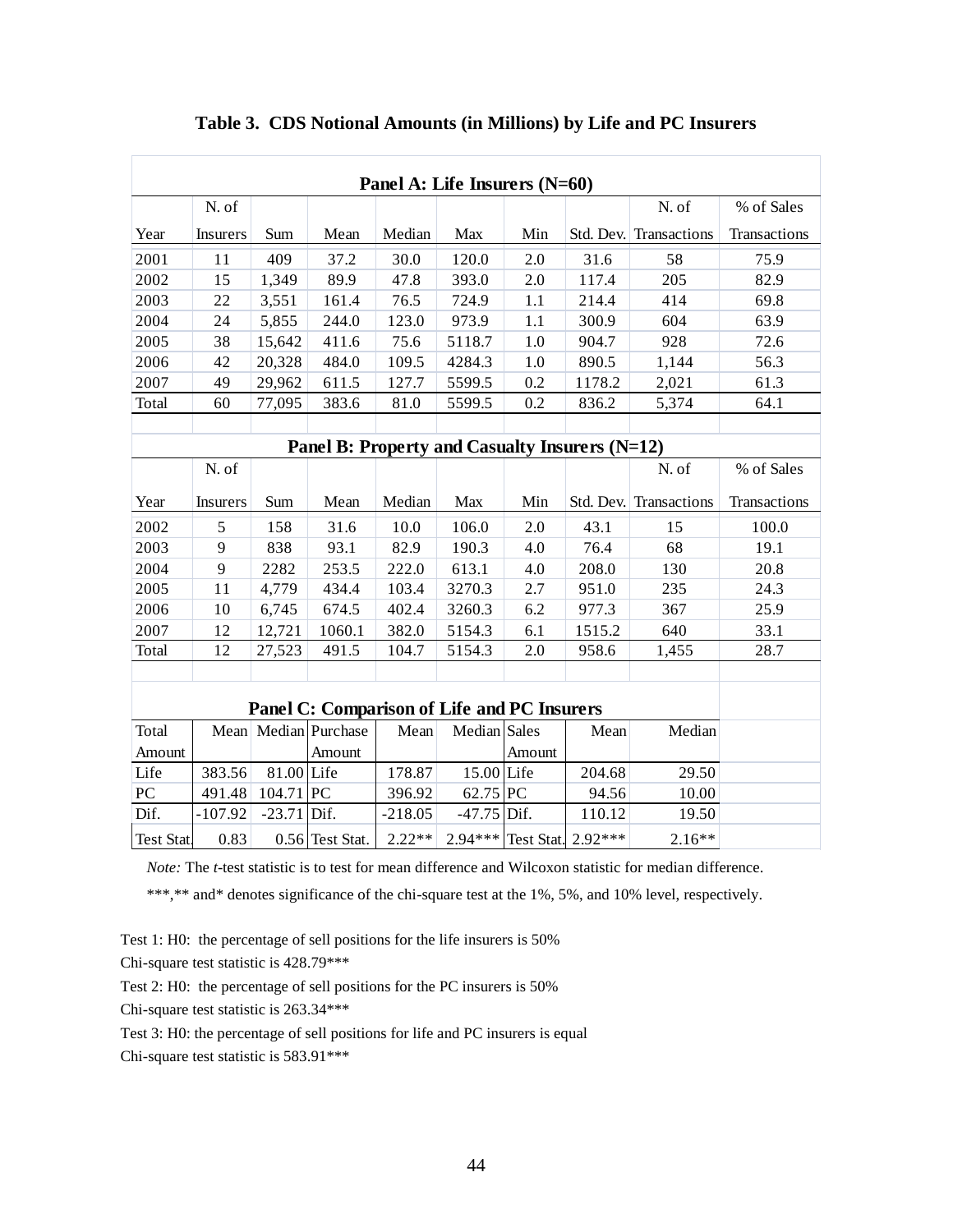|                                                | Panel A: Life Insurers (N=60) |               |                                             |           |               |                     |         |                        |              |  |  |  |
|------------------------------------------------|-------------------------------|---------------|---------------------------------------------|-----------|---------------|---------------------|---------|------------------------|--------------|--|--|--|
|                                                | N. of                         |               |                                             |           |               |                     |         | N. of                  | % of Sales   |  |  |  |
| Year                                           | Insurers                      | Sum           | Mean                                        | Median    | Max           | Min                 |         | Std. Dev. Transactions | Transactions |  |  |  |
| 2001                                           | 11                            | 409           | 37.2                                        | 30.0      | 120.0         | 2.0                 | 31.6    | 58                     | 75.9         |  |  |  |
| 2002                                           | 15                            | 1,349         | 89.9                                        | 47.8      | 393.0         | 2.0                 | 117.4   | 205                    | 82.9         |  |  |  |
| 2003                                           | 22                            | 3,551         | 161.4                                       | 76.5      | 724.9         | 1.1                 | 214.4   | 414                    | 69.8         |  |  |  |
| 2004                                           | 24                            | 5,855         | 244.0                                       | 123.0     | 973.9         | 1.1                 | 300.9   | 604                    | 63.9         |  |  |  |
| 2005                                           | 38                            | 15,642        | 411.6                                       | 75.6      | 5118.7        | 1.0                 | 904.7   | 928                    | 72.6         |  |  |  |
| 2006                                           | 42                            | 20,328        | 484.0                                       | 109.5     | 4284.3        | 1.0                 | 890.5   | 1,144                  | 56.3         |  |  |  |
| 2007                                           | 49                            | 29,962        | 611.5                                       | 127.7     | 5599.5        | 0.2                 | 1178.2  | 2,021                  | 61.3         |  |  |  |
| Total                                          | 60                            | 77,095        | 383.6                                       | 81.0      | 5599.5        | 0.2                 | 836.2   | 5,374                  | 64.1         |  |  |  |
|                                                |                               |               |                                             |           |               |                     |         |                        |              |  |  |  |
| Panel B: Property and Casualty Insurers (N=12) |                               |               |                                             |           |               |                     |         |                        |              |  |  |  |
|                                                | N. of                         |               |                                             |           |               |                     |         | N. of                  | % of Sales   |  |  |  |
| Year                                           | Insurers                      | Sum           | Mean                                        | Median    | Max           | Min                 |         | Std. Dev. Transactions | Transactions |  |  |  |
| 2002                                           | 5                             | 158           | 31.6                                        | 10.0      | 106.0         | 2.0                 | 43.1    | 15                     | 100.0        |  |  |  |
| 2003                                           | 9                             | 838           | 93.1                                        | 82.9      | 190.3         | 4.0                 | 76.4    | 68                     | 19.1         |  |  |  |
| 2004                                           | 9                             | 2282          | 253.5                                       | 222.0     | 613.1         | 4.0                 | 208.0   | 130                    | 20.8         |  |  |  |
| 2005                                           | 11                            | 4,779         | 434.4                                       | 103.4     | 3270.3        | 2.7                 | 951.0   | 235                    | 24.3         |  |  |  |
| 2006                                           | 10                            | 6,745         | 674.5                                       | 402.4     | 3260.3        | 6.2                 | 977.3   | 367                    | 25.9         |  |  |  |
| 2007                                           | 12                            | 12,721        | 1060.1                                      | 382.0     | 5154.3        | 6.1                 | 1515.2  | 640                    | 33.1         |  |  |  |
| Total                                          | 12                            | 27,523        | 491.5                                       | 104.7     | 5154.3        | 2.0                 | 958.6   | 1,455                  | 28.7         |  |  |  |
|                                                |                               |               |                                             |           |               |                     |         |                        |              |  |  |  |
|                                                |                               |               |                                             |           |               |                     |         |                        |              |  |  |  |
|                                                |                               |               | Panel C: Comparison of Life and PC Insurers |           |               |                     |         |                        |              |  |  |  |
| Total                                          |                               |               | Mean Median Purchase                        | Mean      | Median Sales  |                     | Mean    | Median                 |              |  |  |  |
| Amount                                         |                               |               | Amount                                      |           |               | Amount              |         |                        |              |  |  |  |
| Life                                           | 383.56                        | 81.00 Life    |                                             | 178.87    | 15.00 Life    |                     | 204.68  | 29.50                  |              |  |  |  |
| ${\rm P}{\bf C}$                               | 491.48                        | $104.71$ PC   |                                             | 396.92    | $62.75$ PC    |                     | 94.56   | 10.00                  |              |  |  |  |
| Dif.                                           | $-107.92$                     | $-23.71$ Dif. |                                             | $-218.05$ | $-47.75$ Dif. |                     | 110.12  | 19.50                  |              |  |  |  |
| Test Stat.                                     | 0.83                          |               | $0.56$ Test Stat.                           | $2.22**$  |               | 2.94 *** Test Stat. | 2.92*** | $2.16**$               |              |  |  |  |

**Table 3. CDS Notional Amounts (in Millions) by Life and PC Insurers**

*Note:* The *t*-test statistic is to test for mean difference and Wilcoxon statistic for median difference.

\*\*\*,\*\* and\* denotes significance of the chi-square test at the 1%, 5%, and 10% level, respectively.

Test 1: H0: the percentage of sell positions for the life insurers is 50%

Chi-square test statistic is 428.79\*\*\*

Test 2: H0: the percentage of sell positions for the PC insurers is 50%

Chi-square test statistic is 263.34\*\*\*

Test 3: H0: the percentage of sell positions for life and PC insurers is equal

Chi-square test statistic is 583.91\*\*\*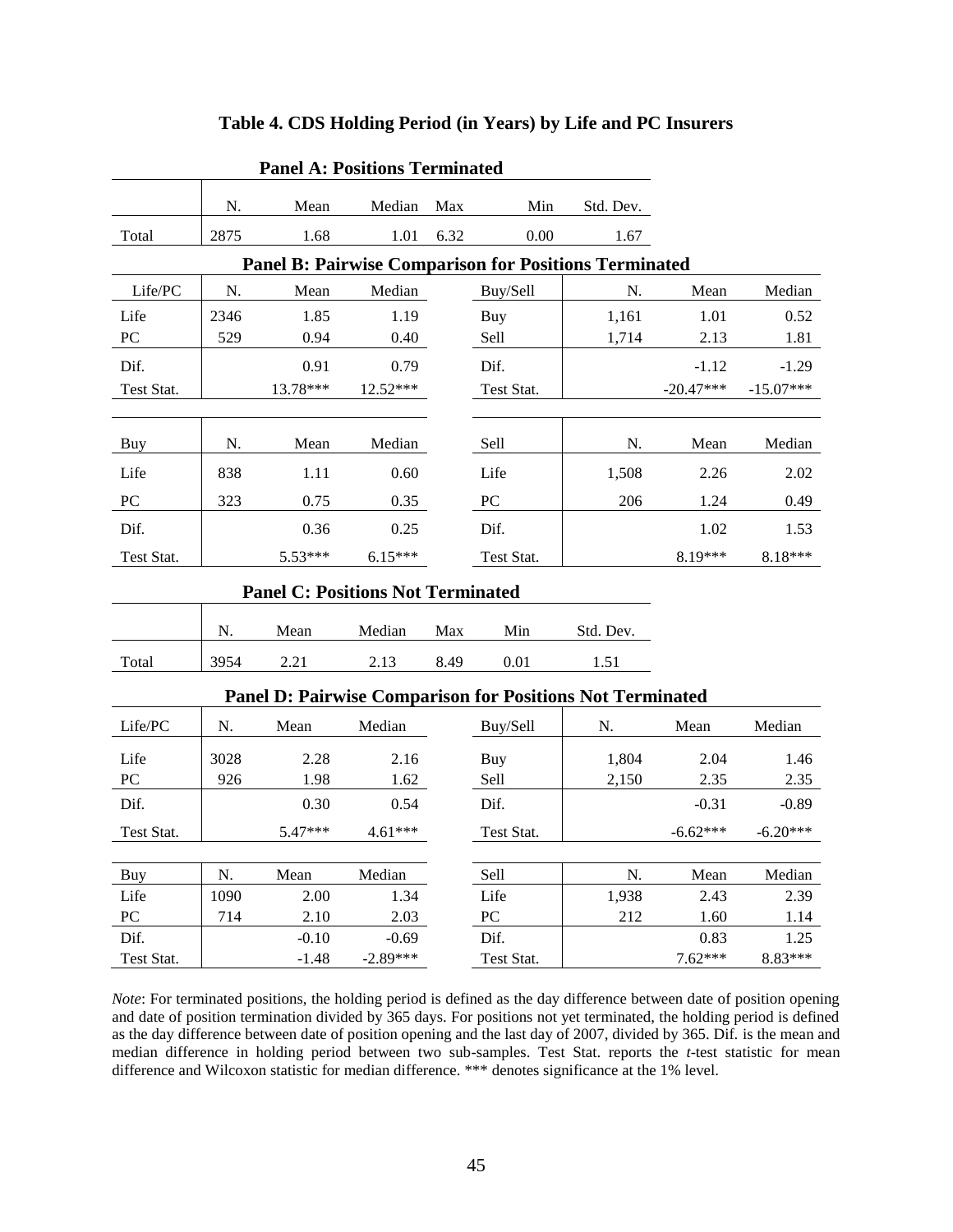|                          |            | <b>Panel A: Positions Terminated</b>     |                 |      |                                                                  |           |              |              |
|--------------------------|------------|------------------------------------------|-----------------|------|------------------------------------------------------------------|-----------|--------------|--------------|
|                          | N.         | Mean                                     | Median          | Max  | Min                                                              | Std. Dev. |              |              |
| Total                    | 2875       | 1.68                                     | 1.01            | 6.32 | 0.00                                                             | 1.67      |              |              |
|                          |            |                                          |                 |      | <b>Panel B: Pairwise Comparison for Positions Terminated</b>     |           |              |              |
| Life/PC                  | N.         | Mean                                     | Median          |      | Buy/Sell                                                         | N.        | Mean         | Median       |
| Life                     | 2346       | 1.85                                     | 1.19            |      | Buy                                                              | 1,161     | 1.01         | 0.52         |
| PC                       | 529        | 0.94                                     | 0.40            |      | Sell                                                             | 1,714     | 2.13         | 1.81         |
| Dif.                     |            | 0.91                                     | 0.79            |      | Dif.                                                             |           | $-1.12$      | $-1.29$      |
| Test Stat.               |            | 13.78***                                 | 12.52***        |      | Test Stat.                                                       |           | $-20.47***$  | $-15.07***$  |
|                          |            |                                          |                 |      |                                                                  |           |              |              |
| Buy                      | N.         | Mean                                     | Median          |      | Sell                                                             | N.        | Mean         | Median       |
| Life                     | 838        | 1.11                                     | 0.60            |      | Life                                                             | 1,508     | 2.26         | 2.02         |
| ${\bf P}{\bf C}$         | 323        | 0.75                                     | 0.35            |      | PC                                                               | 206       | 1.24         | 0.49         |
| Dif.                     |            | 0.36                                     | 0.25            |      | Dif.                                                             |           | 1.02         | 1.53         |
| Test Stat.               |            | 5.53***                                  | $6.15***$       |      | Test Stat.                                                       |           | 8.19***      | 8.18***      |
|                          |            | <b>Panel C: Positions Not Terminated</b> |                 |      |                                                                  |           |              |              |
|                          |            |                                          |                 |      |                                                                  |           |              |              |
|                          | N.         | Mean                                     | Median          | Max  | Min                                                              | Std. Dev. |              |              |
| Total                    | 3954       | 2.21                                     | 2.13            | 8.49 | 0.01                                                             | 1.51      |              |              |
|                          |            |                                          |                 |      | <b>Panel D: Pairwise Comparison for Positions Not Terminated</b> |           |              |              |
| Life/PC                  | ${\bf N}.$ | Mean                                     | Median          |      | Buy/Sell                                                         | N.        | Mean         | Median       |
| Life                     | 3028       | 2.28                                     | 2.16            |      | Buy                                                              | 1,804     | 2.04         | 1.46         |
| ${\rm P}{\bf C}$         | 926        | 1.98                                     | 1.62            |      | Sell                                                             | 2,150     | 2.35         | 2.35         |
| Dif.                     |            | 0.30                                     | 0.54            |      | Dif.                                                             |           | $-0.31$      | $-0.89$      |
| Test Stat.               |            | 5.47***                                  | $4.61***$       |      | Test Stat.                                                       |           | $-6.62***$   | $-6.20***$   |
|                          |            |                                          |                 |      |                                                                  |           |              |              |
| Buy                      | N.         | Mean                                     | Median          |      | Sell                                                             | N.        | Mean         | Median       |
| Life                     | 1090       | 2.00                                     | 1.34            |      | Life                                                             | 1,938     | 2.43         | 2.39         |
| ${\rm P}{\bf C}$<br>Dif. | 714        | 2.10<br>$-0.10$                          | 2.03<br>$-0.69$ |      | ${\rm P}{\bf C}$<br>Dif.                                         | 212       | 1.60<br>0.83 | 1.14<br>1.25 |
| Test Stat.               |            | $-1.48$                                  | $-2.89***$      |      | Test Stat.                                                       |           | $7.62***$    | 8.83***      |

# **Table 4. CDS Holding Period (in Years) by Life and PC Insurers**

*Note*: For terminated positions, the holding period is defined as the day difference between date of position opening and date of position termination divided by 365 days. For positions not yet terminated, the holding period is defined as the day difference between date of position opening and the last day of 2007, divided by 365. Dif. is the mean and median difference in holding period between two sub-samples. Test Stat. reports the *t*-test statistic for mean difference and Wilcoxon statistic for median difference. \*\*\* denotes significance at the 1% level.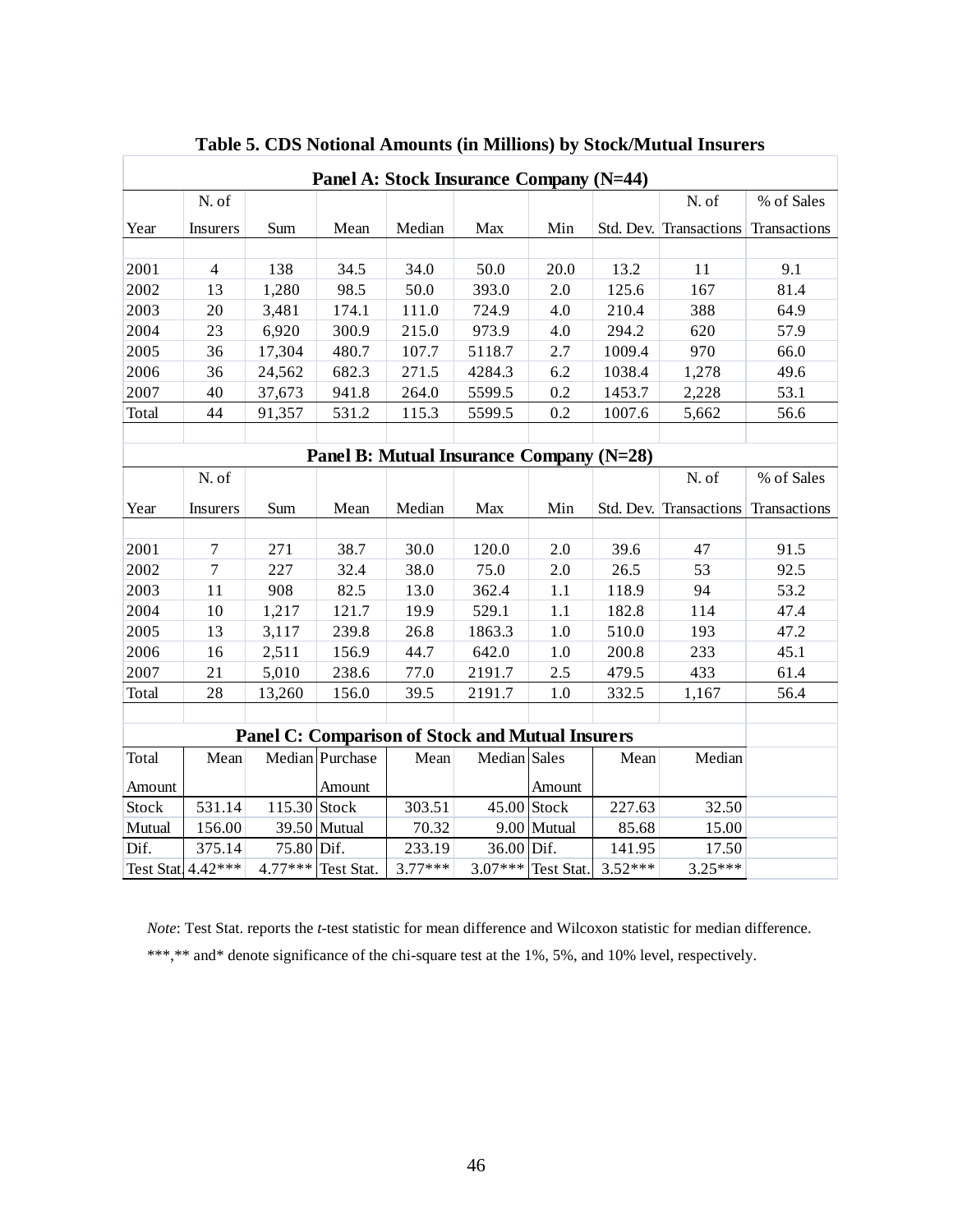|                                          | Panel A: Stock Insurance Company (N=44) |              |                    |           |                                                         |                    |           |                                     |                                     |  |  |
|------------------------------------------|-----------------------------------------|--------------|--------------------|-----------|---------------------------------------------------------|--------------------|-----------|-------------------------------------|-------------------------------------|--|--|
|                                          | N. of                                   |              |                    |           |                                                         |                    |           | N. of                               | % of Sales                          |  |  |
| Year                                     | <b>Insurers</b>                         | Sum          | Mean               | Median    | Max                                                     | Min                |           |                                     | Std. Dev. Transactions Transactions |  |  |
|                                          |                                         |              |                    |           |                                                         |                    |           |                                     |                                     |  |  |
| 2001                                     | $\overline{4}$                          | 138          | 34.5               | 34.0      | 50.0                                                    | 20.0               | 13.2      | 11                                  | 9.1                                 |  |  |
| 2002                                     | 13                                      | 1,280        | 98.5               | 50.0      | 393.0                                                   | 2.0                | 125.6     | 167                                 | 81.4                                |  |  |
| 2003                                     | 20                                      | 3,481        | 174.1              | 111.0     | 724.9                                                   | 4.0                | 210.4     | 388                                 | 64.9                                |  |  |
| 2004                                     | 23                                      | 6,920        | 300.9              | 215.0     | 973.9                                                   | 4.0                | 294.2     | 620                                 | 57.9                                |  |  |
| 2005                                     | 36                                      | 17,304       | 480.7              | 107.7     | 5118.7                                                  | 2.7                | 1009.4    | 970                                 | 66.0                                |  |  |
| 2006                                     | 36                                      | 24,562       | 682.3              | 271.5     | 4284.3                                                  | 6.2                | 1038.4    | 1,278                               | 49.6                                |  |  |
| 2007                                     | 40                                      | 37,673       | 941.8              | 264.0     | 5599.5                                                  | 0.2                | 1453.7    | 2,228                               | 53.1                                |  |  |
| Total                                    | 44                                      | 91,357       | 531.2              | 115.3     | 5599.5                                                  | 0.2                | 1007.6    | 5,662                               | 56.6                                |  |  |
|                                          |                                         |              |                    |           |                                                         |                    |           |                                     |                                     |  |  |
| Panel B: Mutual Insurance Company (N=28) |                                         |              |                    |           |                                                         |                    |           |                                     |                                     |  |  |
|                                          | N. of                                   |              |                    |           |                                                         |                    |           | N. of                               | % of Sales                          |  |  |
| Year                                     | Insurers                                | Sum          | Mean               | Median    | Max                                                     | Min                |           | Std. Dev. Transactions Transactions |                                     |  |  |
|                                          |                                         |              |                    |           |                                                         |                    |           |                                     |                                     |  |  |
| 2001                                     | 7                                       | 271          | 38.7               | 30.0      | 120.0                                                   | 2.0                | 39.6      | 47                                  | 91.5                                |  |  |
| 2002                                     | $\overline{7}$                          | 227          | 32.4               | 38.0      | 75.0                                                    | 2.0                | 26.5      | 53                                  | 92.5                                |  |  |
| 2003                                     | 11                                      | 908          | 82.5               | 13.0      | 362.4                                                   | 1.1                | 118.9     | 94                                  | 53.2                                |  |  |
| 2004                                     | $10\,$                                  | 1,217        | 121.7              | 19.9      | 529.1                                                   | 1.1                | 182.8     | 114                                 | 47.4                                |  |  |
| 2005                                     | 13                                      | 3,117        | 239.8              | 26.8      | 1863.3                                                  | 1.0                | 510.0     | 193                                 | 47.2                                |  |  |
| 2006                                     | 16                                      | 2,511        | 156.9              | 44.7      | 642.0                                                   | 1.0                | 200.8     | 233                                 | 45.1                                |  |  |
| 2007                                     | 21                                      | 5,010        | 238.6              | 77.0      | 2191.7                                                  | $2.5\,$            | 479.5     | 433                                 | 61.4                                |  |  |
| Total                                    | $28\,$                                  | 13,260       | 156.0              | 39.5      | 2191.7                                                  | 1.0                | 332.5     | 1,167                               | 56.4                                |  |  |
|                                          |                                         |              |                    |           |                                                         |                    |           |                                     |                                     |  |  |
|                                          |                                         |              |                    |           | <b>Panel C: Comparison of Stock and Mutual Insurers</b> |                    |           |                                     |                                     |  |  |
| Total                                    | Mean                                    |              | Median Purchase    | Mean      | Median Sales                                            |                    | Mean      | Median                              |                                     |  |  |
| Amount                                   |                                         |              | Amount             |           |                                                         | Amount             |           |                                     |                                     |  |  |
| Stock                                    | 531.14                                  | 115.30 Stock |                    | 303.51    |                                                         | $45.00$ Stock      | 227.63    | 32.50                               |                                     |  |  |
| Mutual                                   | 156.00                                  |              | 39.50 Mutual       | 70.32     |                                                         | $9.00$ Mutual      | 85.68     | 15.00                               |                                     |  |  |
| Dif.                                     | 375.14                                  | 75.80 Dif.   |                    | 233.19    | 36.00 Dif.                                              |                    | 141.95    | 17.50                               |                                     |  |  |
|                                          | Test Stat. 4.42***                      |              | 4.77*** Test Stat. | $3.77***$ |                                                         | 3.07*** Test Stat. | $3.52***$ | $3.25***$                           |                                     |  |  |

**Table 5. CDS Notional Amounts (in Millions) by Stock/Mutual Insurers**

*Note*: Test Stat. reports the *t*-test statistic for mean difference and Wilcoxon statistic for median difference. \*\*\*,\*\* and\* denote significance of the chi-square test at the 1%, 5%, and 10% level, respectively.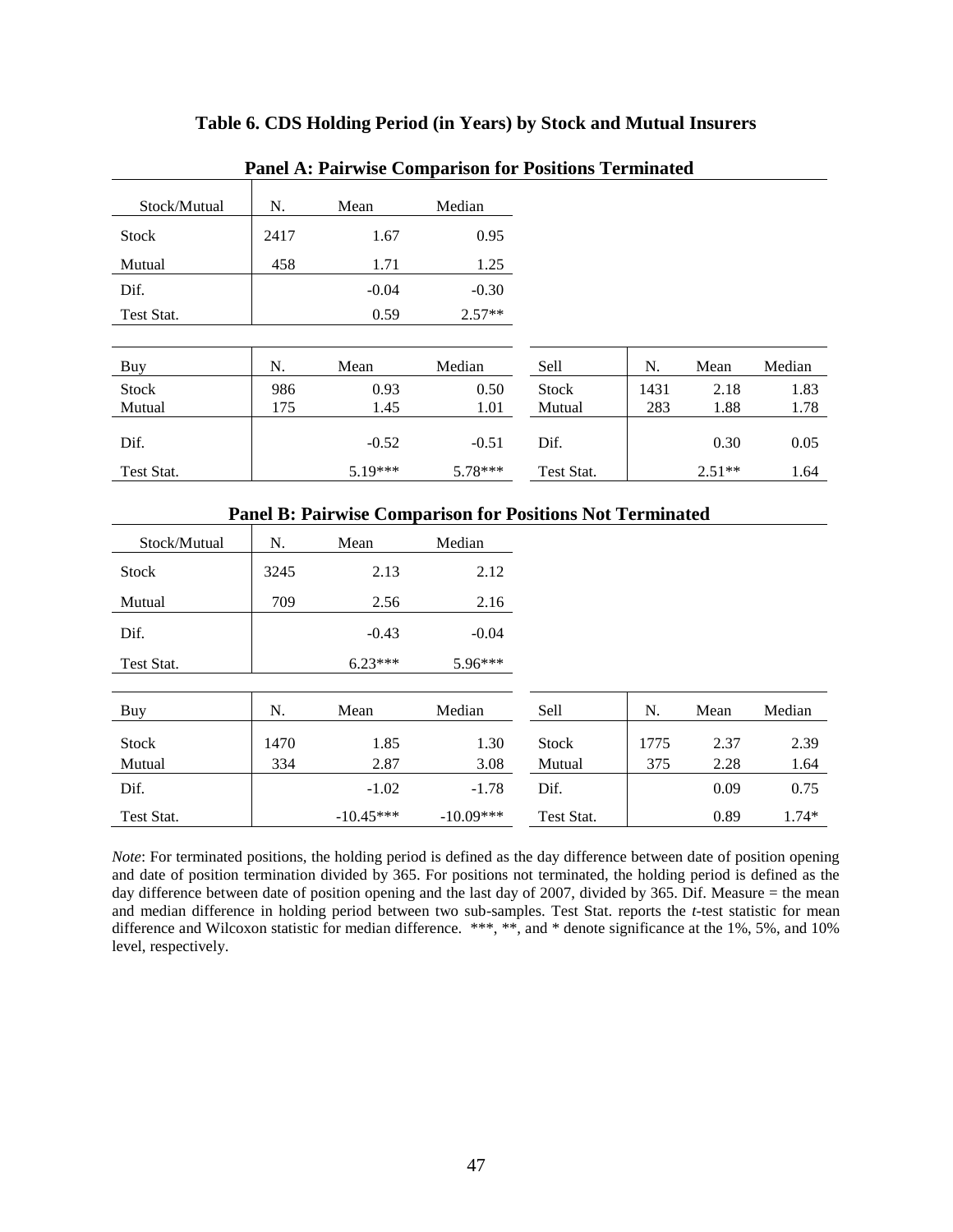## **Table 6. CDS Holding Period (in Years) by Stock and Mutual Insurers**

| Stock/Mutual | N.   | Mean    | Median    |              |      |          |        |
|--------------|------|---------|-----------|--------------|------|----------|--------|
| Stock        | 2417 | 1.67    | 0.95      |              |      |          |        |
| Mutual       | 458  | 1.71    | 1.25      |              |      |          |        |
| Dif.         |      | $-0.04$ | $-0.30$   |              |      |          |        |
| Test Stat.   |      | 0.59    | $2.57**$  |              |      |          |        |
|              |      |         |           |              |      |          |        |
| Buy          | N.   | Mean    | Median    | Sell         | N.   | Mean     | Median |
| Stock        | 986  | 0.93    | 0.50      | <b>Stock</b> | 1431 | 2.18     | 1.83   |
| Mutual       | 175  | 1.45    | 1.01      | Mutual       | 283  | 1.88     | 1.78   |
| Dif.         |      | $-0.52$ | $-0.51$   | Dif.         |      | 0.30     | 0.05   |
| Test Stat.   |      | 5.19*** | $5.78***$ | Test Stat.   |      | $2.51**$ | 1.64   |

## **Panel A: Pairwise Comparison for Positions Terminated**

|              |      | Tanci D. Tan wist Comparison for Toshoms For Terminated |             |              |      |      |         |
|--------------|------|---------------------------------------------------------|-------------|--------------|------|------|---------|
| Stock/Mutual | N.   | Mean                                                    | Median      |              |      |      |         |
| Stock        | 3245 | 2.13                                                    | 2.12        |              |      |      |         |
| Mutual       | 709  | 2.56                                                    | 2.16        |              |      |      |         |
| Dif.         |      | $-0.43$                                                 | $-0.04$     |              |      |      |         |
| Test Stat.   |      | $6.23***$                                               | $5.96***$   |              |      |      |         |
| Buy          | N.   | Mean                                                    | Median      | Sell         | N.   | Mean | Median  |
| Stock        | 1470 | 1.85                                                    | 1.30        | <b>Stock</b> | 1775 | 2.37 | 2.39    |
| Mutual       | 334  | 2.87                                                    | 3.08        | Mutual       | 375  | 2.28 | 1.64    |
| Dif.         |      | $-1.02$                                                 | $-1.78$     | Dif.         |      | 0.09 | 0.75    |
| Test Stat.   |      | $-10.45***$                                             | $-10.09***$ | Test Stat.   |      | 0.89 | $1.74*$ |

**Panel B: Pairwise Comparison for Positions Not Terminated**

*Note*: For terminated positions, the holding period is defined as the day difference between date of position opening and date of position termination divided by 365. For positions not terminated, the holding period is defined as the day difference between date of position opening and the last day of 2007, divided by 365. Dif. Measure = the mean and median difference in holding period between two sub-samples. Test Stat. reports the *t*-test statistic for mean difference and Wilcoxon statistic for median difference. \*\*\*, \*\*, and \* denote significance at the 1%, 5%, and 10% level, respectively.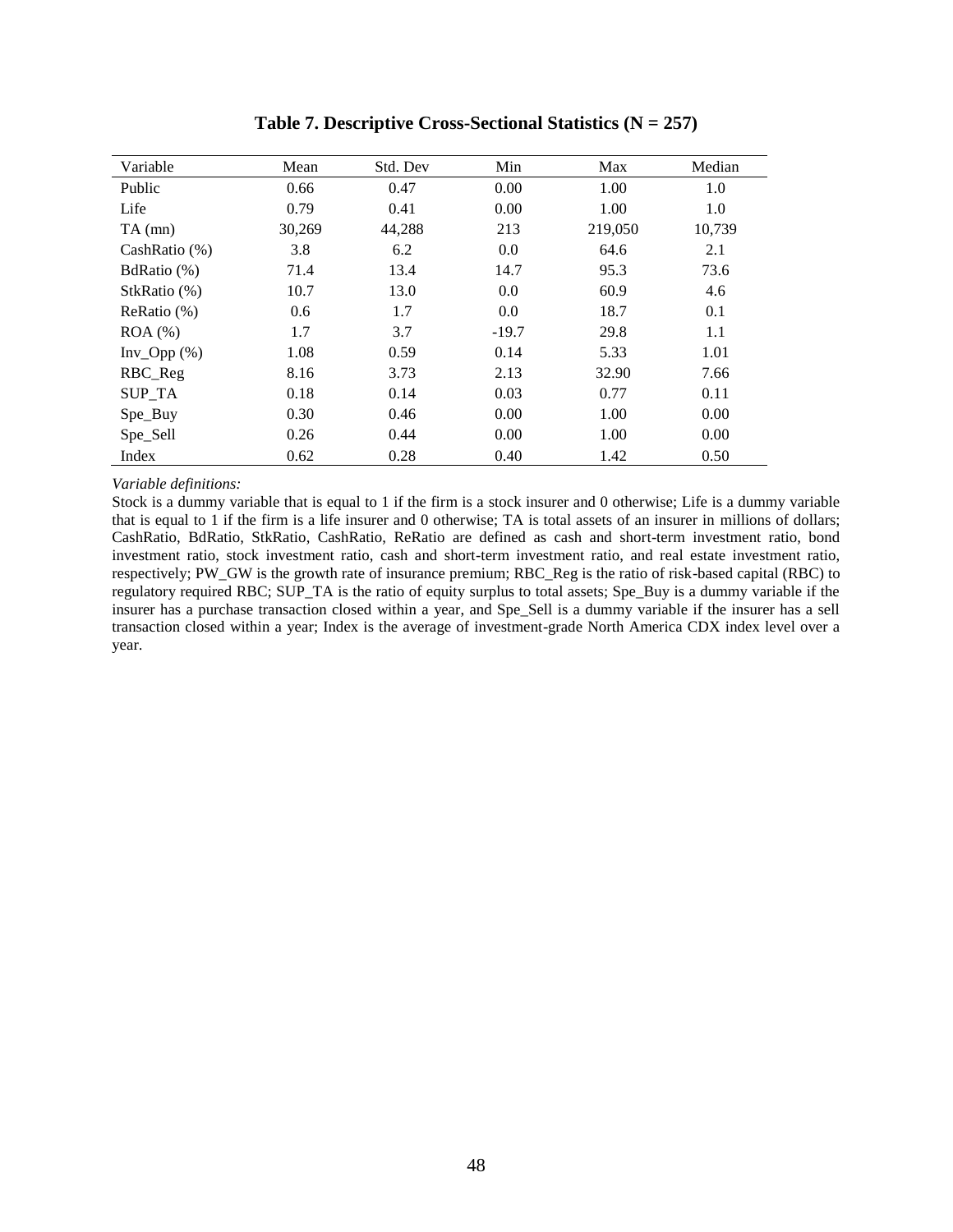| Variable         | Mean   | Std. Dev | Min     | Max     | Median |
|------------------|--------|----------|---------|---------|--------|
| Public           | 0.66   | 0.47     | 0.00    | 1.00    | 1.0    |
| Life             | 0.79   | 0.41     | 0.00    | 1.00    | 1.0    |
| $TA$ (mn)        | 30,269 | 44,288   | 213     | 219,050 | 10,739 |
| CashRatio $(\%)$ | 3.8    | 6.2      | 0.0     | 64.6    | 2.1    |
| BdRatio (%)      | 71.4   | 13.4     | 14.7    | 95.3    | 73.6   |
| StkRatio (%)     | 10.7   | 13.0     | 0.0     | 60.9    | 4.6    |
| ReRatio (%)      | 0.6    | 1.7      | 0.0     | 18.7    | 0.1    |
| $ROA (\%)$       | 1.7    | 3.7      | $-19.7$ | 29.8    | 1.1    |
| $Inv\_Opp(%)$    | 1.08   | 0.59     | 0.14    | 5.33    | 1.01   |
| RBC_Reg          | 8.16   | 3.73     | 2.13    | 32.90   | 7.66   |
| <b>SUP TA</b>    | 0.18   | 0.14     | 0.03    | 0.77    | 0.11   |
| Spe_Buy          | 0.30   | 0.46     | 0.00    | 1.00    | 0.00   |
| Spe_Sell         | 0.26   | 0.44     | 0.00    | 1.00    | 0.00   |
| Index            | 0.62   | 0.28     | 0.40    | 1.42    | 0.50   |

**Table 7. Descriptive Cross-Sectional Statistics (N = 257)**

#### *Variable definitions:*

Stock is a dummy variable that is equal to 1 if the firm is a stock insurer and 0 otherwise; Life is a dummy variable that is equal to 1 if the firm is a life insurer and 0 otherwise; TA is total assets of an insurer in millions of dollars; CashRatio, BdRatio, StkRatio, CashRatio, ReRatio are defined as cash and short-term investment ratio, bond investment ratio, stock investment ratio, cash and short-term investment ratio, and real estate investment ratio, respectively; PW\_GW is the growth rate of insurance premium; RBC\_Reg is the ratio of risk-based capital (RBC) to regulatory required RBC; SUP\_TA is the ratio of equity surplus to total assets; Spe\_Buy is a dummy variable if the insurer has a purchase transaction closed within a year, and Spe\_Sell is a dummy variable if the insurer has a sell transaction closed within a year; Index is the average of investment-grade North America CDX index level over a year.